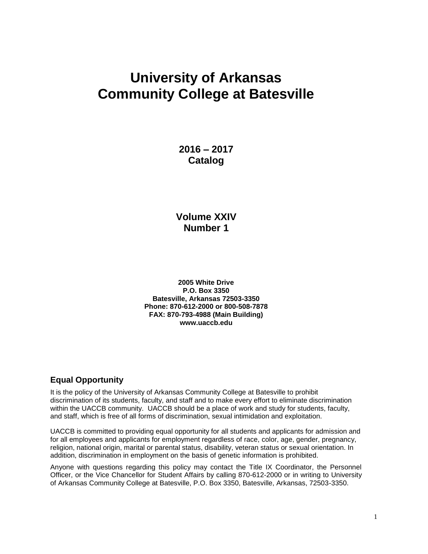# **University of Arkansas Community College at Batesville**

**2016 – 2017 Catalog**

# **Volume XXIV Number 1**

**2005 White Drive P.O. Box 3350 Batesville, Arkansas 72503-3350 Phone: 870-612-2000 or 800-508-7878 FAX: 870-793-4988 (Main Building) www.uaccb.edu**

# **Equal Opportunity**

It is the policy of the University of Arkansas Community College at Batesville to prohibit discrimination of its students, faculty, and staff and to make every effort to eliminate discrimination within the UACCB community. UACCB should be a place of work and study for students, faculty, and staff, which is free of all forms of discrimination, sexual intimidation and exploitation.

UACCB is committed to providing equal opportunity for all students and applicants for admission and for all employees and applicants for employment regardless of race, color, age, gender, pregnancy, religion, national origin, marital or parental status, disability, veteran status or sexual orientation. In addition, discrimination in employment on the basis of genetic information is prohibited.

Anyone with questions regarding this policy may contact the Title IX Coordinator, the Personnel Officer, or the Vice Chancellor for Student Affairs by calling 870-612-2000 or in writing to University of Arkansas Community College at Batesville, P.O. Box 3350, Batesville, Arkansas, 72503-3350.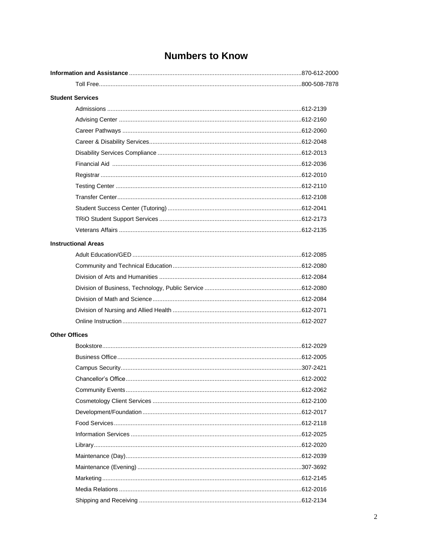# **Numbers to Know**

| <b>Student Services</b>    |  |  |
|----------------------------|--|--|
|                            |  |  |
|                            |  |  |
|                            |  |  |
|                            |  |  |
|                            |  |  |
|                            |  |  |
|                            |  |  |
|                            |  |  |
|                            |  |  |
|                            |  |  |
|                            |  |  |
|                            |  |  |
| <b>Instructional Areas</b> |  |  |
|                            |  |  |
|                            |  |  |
|                            |  |  |
|                            |  |  |
|                            |  |  |
|                            |  |  |
|                            |  |  |
| <b>Other Offices</b>       |  |  |
|                            |  |  |
|                            |  |  |
|                            |  |  |
|                            |  |  |
|                            |  |  |
|                            |  |  |
|                            |  |  |
|                            |  |  |
|                            |  |  |
|                            |  |  |
|                            |  |  |
|                            |  |  |
|                            |  |  |
|                            |  |  |
|                            |  |  |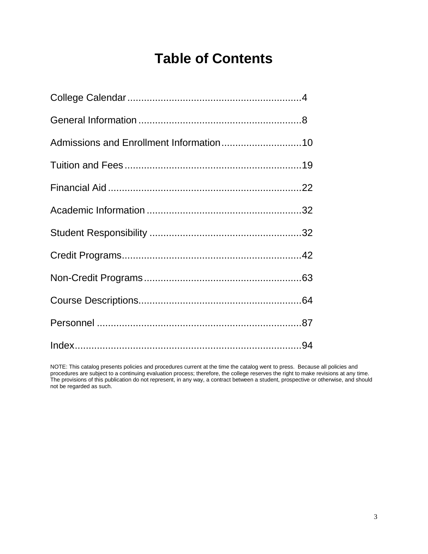# **Table of Contents**

NOTE: This catalog presents policies and procedures current at the time the catalog went to press. Because all policies and procedures are subject to a continuing evaluation process; therefore, the college reserves the right to make revisions at any time. The provisions of this publication do not represent, in any way, a contract between a student, prospective or otherwise, and should not be regarded as such.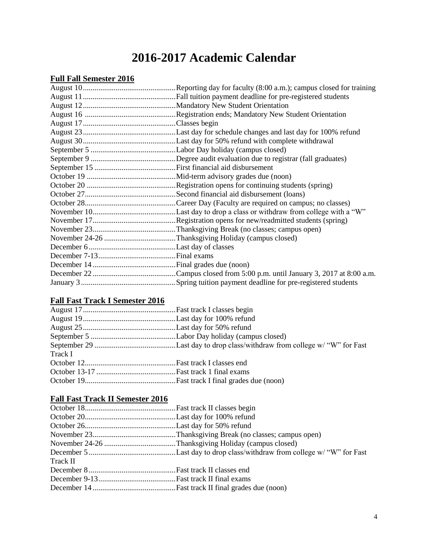# **2016-2017 Academic Calendar**

# **Full Fall Semester 2016**

# **Fall Fast Track I Semester 2016**

| Track I |  |
|---------|--|
|         |  |
|         |  |
|         |  |

# **Fall Fast Track II Semester 2016**

| Track II |  |
|----------|--|
|          |  |
|          |  |
|          |  |
|          |  |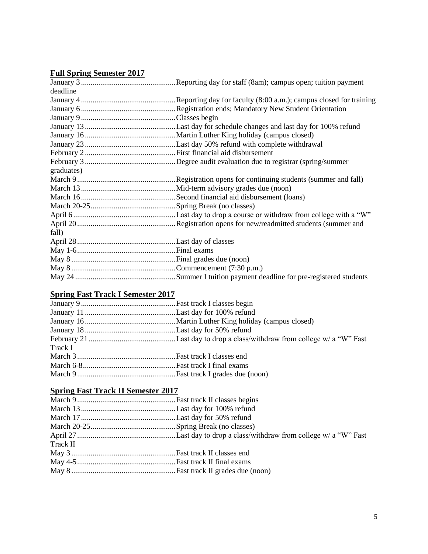# **Full Spring Semester 2017**

| deadline   |  |
|------------|--|
|            |  |
|            |  |
|            |  |
|            |  |
|            |  |
|            |  |
|            |  |
|            |  |
| graduates) |  |
|            |  |
|            |  |
|            |  |
|            |  |
|            |  |
|            |  |
| fall)      |  |
|            |  |
|            |  |
|            |  |
|            |  |
|            |  |
|            |  |

# **Spring Fast Track I Semester 2017**

# **Spring Fast Track II Semester 2017**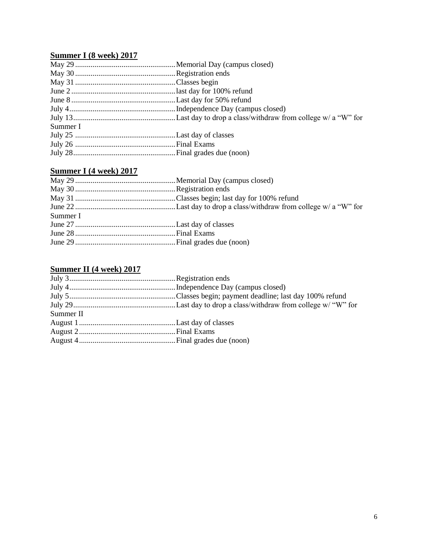# **Summer I (8 week) 2017**

| Summer I |  |
|----------|--|
|          |  |
|          |  |
|          |  |
|          |  |

# **Summer I (4 week) 2017**

| Summer I |  |
|----------|--|
|          |  |
|          |  |
|          |  |

# **Summer II (4 week) 2017**

| Summer II |  |
|-----------|--|
|           |  |
|           |  |
|           |  |
|           |  |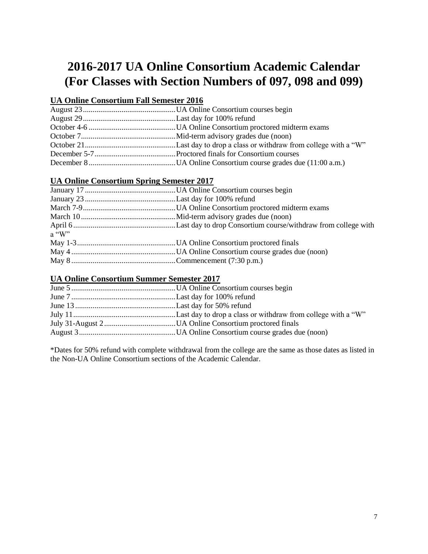# **2016-2017 UA Online Consortium Academic Calendar (For Classes with Section Numbers of 097, 098 and 099)**

# **UA Online Consortium Fall Semester 2016**

# **UA Online Consortium Spring Semester 2017**

| $a$ "W" |  |
|---------|--|
|         |  |
|         |  |
|         |  |

# **UA Online Consortium Summer Semester 2017**

\*Dates for 50% refund with complete withdrawal from the college are the same as those dates as listed in the Non-UA Online Consortium sections of the Academic Calendar.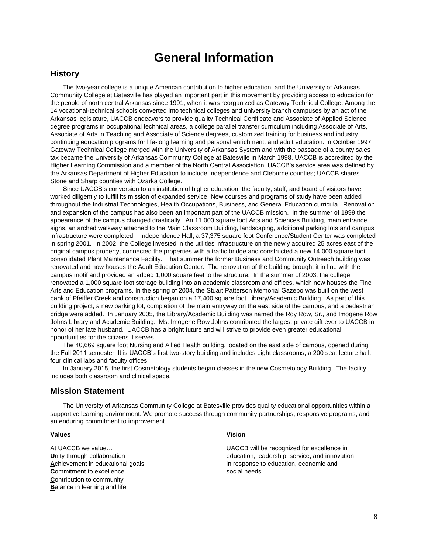# **General Information**

#### **History**

The two-year college is a unique American contribution to higher education, and the University of Arkansas Community College at Batesville has played an important part in this movement by providing access to education for the people of north central Arkansas since 1991, when it was reorganized as Gateway Technical College. Among the 14 vocational-technical schools converted into technical colleges and university branch campuses by an act of the Arkansas legislature, UACCB endeavors to provide quality Technical Certificate and Associate of Applied Science degree programs in occupational technical areas, a college parallel transfer curriculum including Associate of Arts, Associate of Arts in Teaching and Associate of Science degrees, customized training for business and industry, continuing education programs for life-long learning and personal enrichment, and adult education. In October 1997, Gateway Technical College merged with the University of Arkansas System and with the passage of a county sales tax became the University of Arkansas Community College at Batesville in March 1998. UACCB is accredited by the Higher Learning Commission and a member of the North Central Association. UACCB's service area was defined by the Arkansas Department of Higher Education to include Independence and Cleburne counties; UACCB shares Stone and Sharp counties with Ozarka College.

Since UACCB's conversion to an institution of higher education, the faculty, staff, and board of visitors have worked diligently to fulfill its mission of expanded service. New courses and programs of study have been added throughout the Industrial Technologies, Health Occupations, Business, and General Education curricula. Renovation and expansion of the campus has also been an important part of the UACCB mission. In the summer of 1999 the appearance of the campus changed drastically. An 11,000 square foot Arts and Sciences Building, main entrance signs, an arched walkway attached to the Main Classroom Building, landscaping, additional parking lots and campus infrastructure were completed. Independence Hall, a 37,375 square foot Conference/Student Center was completed in spring 2001. In 2002, the College invested in the utilities infrastructure on the newly acquired 25 acres east of the original campus property, connected the properties with a traffic bridge and constructed a new 14,000 square foot consolidated Plant Maintenance Facility. That summer the former Business and Community Outreach building was renovated and now houses the Adult Education Center. The renovation of the building brought it in line with the campus motif and provided an added 1,000 square feet to the structure. In the summer of 2003, the college renovated a 1,000 square foot storage building into an academic classroom and offices, which now houses the Fine Arts and Education programs. In the spring of 2004, the Stuart Patterson Memorial Gazebo was built on the west bank of Pfeiffer Creek and construction began on a 17,400 square foot Library/Academic Building. As part of this building project, a new parking lot, completion of the main entryway on the east side of the campus, and a pedestrian bridge were added. In January 2005, the Library/Academic Building was named the Roy Row, Sr., and Imogene Row Johns Library and Academic Building. Ms. Imogene Row Johns contributed the largest private gift ever to UACCB in honor of her late husband. UACCB has a bright future and will strive to provide even greater educational opportunities for the citizens it serves.

The 40,669 square foot Nursing and Allied Health building, located on the east side of campus, opened during the Fall 2011 semester. It is UACCB's first two-story building and includes eight classrooms, a 200 seat lecture hall, four clinical labs and faculty offices.

In January 2015, the first Cosmetology students began classes in the new Cosmetology Building. The facility includes both classroom and clinical space.

#### **Mission Statement**

The University of Arkansas Community College at Batesville provides quality educational opportunities within a supportive learning environment. We promote success through community partnerships, responsive programs, and an enduring commitment to improvement.

#### **Values Vision**

**Commitment to excellence** social needs. **C**ontribution to community **B**alance in learning and life

At UACCB we value... The value of the value of the value of the value of the value of the value of the value of the value of the value of the value of the value of the value of the value of the value of the value of the va **U**nity through collaboration education, leadership, service, and innovation **Achievement in educational goals** in response to education, economic and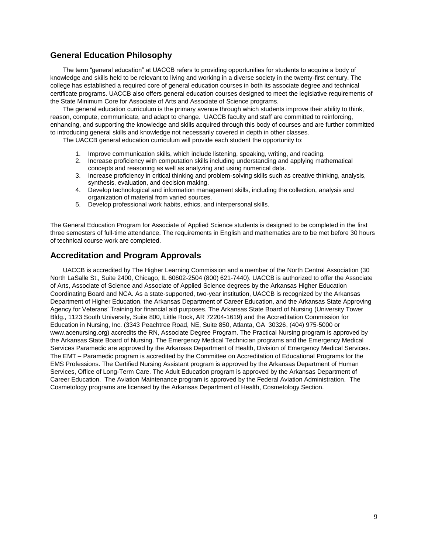# **General Education Philosophy**

The term "general education" at UACCB refers to providing opportunities for students to acquire a body of knowledge and skills held to be relevant to living and working in a diverse society in the twenty-first century. The college has established a required core of general education courses in both its associate degree and technical certificate programs. UACCB also offers general education courses designed to meet the legislative requirements of the State Minimum Core for Associate of Arts and Associate of Science programs.

The general education curriculum is the primary avenue through which students improve their ability to think, reason, compute, communicate, and adapt to change. UACCB faculty and staff are committed to reinforcing, enhancing, and supporting the knowledge and skills acquired through this body of courses and are further committed to introducing general skills and knowledge not necessarily covered in depth in other classes.

The UACCB general education curriculum will provide each student the opportunity to:

- 1. Improve communication skills, which include listening, speaking, writing, and reading.
- 2. Increase proficiency with computation skills including understanding and applying mathematical concepts and reasoning as well as analyzing and using numerical data.
- 3. Increase proficiency in critical thinking and problem-solving skills such as creative thinking, analysis, synthesis, evaluation, and decision making.
- 4. Develop technological and information management skills, including the collection, analysis and organization of material from varied sources.
- 5. Develop professional work habits, ethics, and interpersonal skills.

The General Education Program for Associate of Applied Science students is designed to be completed in the first three semesters of full-time attendance. The requirements in English and mathematics are to be met before 30 hours of technical course work are completed.

### **Accreditation and Program Approvals**

UACCB is accredited by The Higher Learning Commission and a member of the North Central Association (30 North LaSalle St., Suite 2400, Chicago, IL 60602-2504 (800) 621-7440). UACCB is authorized to offer the Associate of Arts, Associate of Science and Associate of Applied Science degrees by the Arkansas Higher Education Coordinating Board and NCA. As a state-supported, two-year institution, UACCB is recognized by the Arkansas Department of Higher Education, the Arkansas Department of Career Education, and the Arkansas State Approving Agency for Veterans' Training for financial aid purposes. The Arkansas State Board of Nursing (University Tower Bldg., 1123 South University, Suite 800, Little Rock, AR 72204-1619) and the Accreditation Commission for Education in Nursing, Inc. (3343 Peachtree Road, NE, Suite 850, Atlanta, GA 30326, (404) 975-5000 or www.acenursing.org) accredits the RN, Associate Degree Program. The Practical Nursing program is approved by the Arkansas State Board of Nursing. The Emergency Medical Technician programs and the Emergency Medical Services Paramedic are approved by the Arkansas Department of Health, Division of Emergency Medical Services. The EMT – Paramedic program is accredited by the Committee on Accreditation of Educational Programs for the EMS Professions. The Certified Nursing Assistant program is approved by the Arkansas Department of Human Services, Office of Long-Term Care. The Adult Education program is approved by the Arkansas Department of Career Education. The Aviation Maintenance program is approved by the Federal Aviation Administration. The Cosmetology programs are licensed by the Arkansas Department of Health, Cosmetology Section.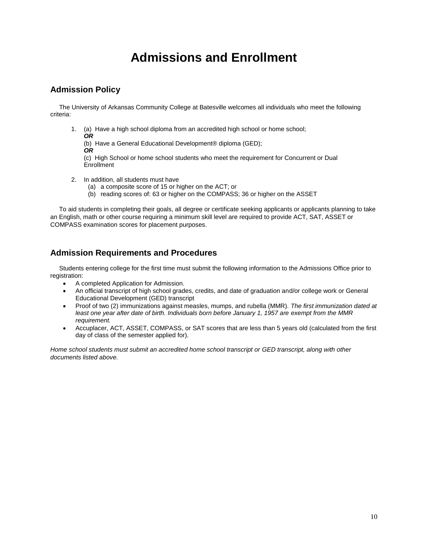# **Admissions and Enrollment**

# **Admission Policy**

 The University of Arkansas Community College at Batesville welcomes all individuals who meet the following criteria:

1. (a) Have a high school diploma from an accredited high school or home school;

*OR* (b) Have a General Educational Development® diploma (GED);

*OR*

(c) High School or home school students who meet the requirement for Concurrent or Dual **Enrollment** 

- 2. In addition, all students must have
	- (a) a composite score of 15 or higher on the ACT; or
	- (b) reading scores of: 63 or higher on the COMPASS; 36 or higher on the ASSET

 To aid students in completing their goals, all degree or certificate seeking applicants or applicants planning to take an English, math or other course requiring a minimum skill level are required to provide ACT, SAT, ASSET or COMPASS examination scores for placement purposes.

# **Admission Requirements and Procedures**

 Students entering college for the first time must submit the following information to the Admissions Office prior to registration:

- A completed Application for Admission.
- An official transcript of high school grades, credits, and date of graduation and/or college work or General Educational Development (GED) transcript
- Proof of two (2) immunizations against measles, mumps, and rubella (MMR). *The first immunization dated at least one year after date of birth. Individuals born before January 1, 1957 are exempt from the MMR requirement.*
- Accuplacer, ACT, ASSET, COMPASS, or SAT scores that are less than 5 years old (calculated from the first day of class of the semester applied for).

*Home school students must submit an accredited home school transcript or GED transcript, along with other documents listed above.*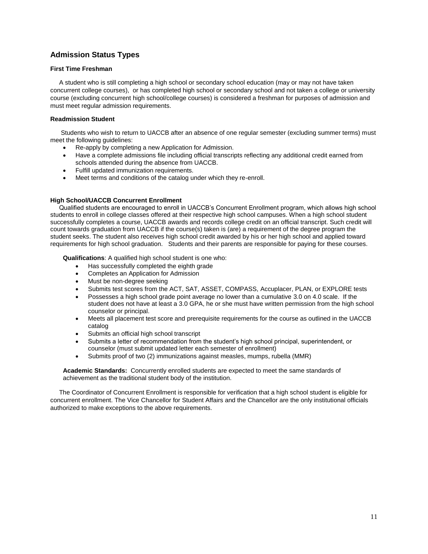# **Admission Status Types**

#### **First Time Freshman**

 A student who is still completing a high school or secondary school education (may or may not have taken concurrent college courses), or has completed high school or secondary school and not taken a college or university course (excluding concurrent high school/college courses) is considered a freshman for purposes of admission and must meet regular admission requirements.

#### **Readmission Student**

 Students who wish to return to UACCB after an absence of one regular semester (excluding summer terms) must meet the following guidelines:

- Re-apply by completing a new Application for Admission.
- Have a complete admissions file including official transcripts reflecting any additional credit earned from schools attended during the absence from UACCB.
- Fulfill updated immunization requirements.
- Meet terms and conditions of the catalog under which they re-enroll.

#### **High School/UACCB Concurrent Enrollment**

 Qualified students are encouraged to enroll in UACCB's Concurrent Enrollment program, which allows high school students to enroll in college classes offered at their respective high school campuses. When a high school student successfully completes a course, UACCB awards and records college credit on an official transcript. Such credit will count towards graduation from UACCB if the course(s) taken is (are) a requirement of the degree program the student seeks. The student also receives high school credit awarded by his or her high school and applied toward requirements for high school graduation. Students and their parents are responsible for paying for these courses.

**Qualifications**: A qualified high school student is one who:

- Has successfully completed the eighth grade
- Completes an Application for Admission
- Must be non-degree seeking
- Submits test scores from the ACT, SAT, ASSET, COMPASS, Accuplacer, PLAN, or EXPLORE tests
- Possesses a high school grade point average no lower than a cumulative 3.0 on 4.0 scale. If the student does not have at least a 3.0 GPA, he or she must have written permission from the high school counselor or principal.
- Meets all placement test score and prerequisite requirements for the course as outlined in the UACCB catalog
- Submits an official high school transcript
- Submits a letter of recommendation from the student's high school principal, superintendent, or counselor (must submit updated letter each semester of enrollment)
- Submits proof of two (2) immunizations against measles, mumps, rubella (MMR)

**Academic Standards:** Concurrently enrolled students are expected to meet the same standards of achievement as the traditional student body of the institution.

 The Coordinator of Concurrent Enrollment is responsible for verification that a high school student is eligible for concurrent enrollment. The Vice Chancellor for Student Affairs and the Chancellor are the only institutional officials authorized to make exceptions to the above requirements.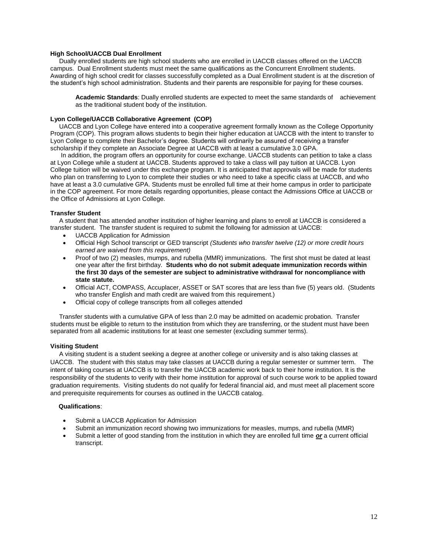#### **High School/UACCB Dual Enrollment**

 Dually enrolled students are high school students who are enrolled in UACCB classes offered on the UACCB campus. Dual Enrollment students must meet the same qualifications as the Concurrent Enrollment students. Awarding of high school credit for classes successfully completed as a Dual Enrollment student is at the discretion of the student's high school administration. Students and their parents are responsible for paying for these courses.

Academic Standards: Dually enrolled students are expected to meet the same standards of achievement as the traditional student body of the institution.

#### **Lyon College/UACCB Collaborative Agreement (COP)**

 UACCB and Lyon College have entered into a cooperative agreement formally known as the College Opportunity Program (COP). This program allows students to begin their higher education at UACCB with the intent to transfer to Lyon College to complete their Bachelor's degree. Students will ordinarily be assured of receiving a transfer scholarship if they complete an Associate Degree at UACCB with at least a cumulative 3.0 GPA.

 In addition, the program offers an opportunity for course exchange. UACCB students can petition to take a class at Lyon College while a student at UACCB. Students approved to take a class will pay tuition at UACCB. Lyon College tuition will be waived under this exchange program. It is anticipated that approvals will be made for students who plan on transferring to Lyon to complete their studies or who need to take a specific class at UACCB, and who have at least a 3.0 cumulative GPA. Students must be enrolled full time at their home campus in order to participate in the COP agreement. For more details regarding opportunities, please contact the Admissions Office at UACCB or the Office of Admissions at Lyon College.

#### **Transfer Student**

A student that has attended another institution of higher learning and plans to enroll at UACCB is considered a transfer student. The transfer student is required to submit the following for admission at UACCB:

- UACCB Application for Admission
- Official High School transcript or GED transcript *(Students who transfer twelve (12) or more credit hours earned are waived from this requirement)*
- Proof of two (2) measles, mumps, and rubella (MMR) immunizations. The first shot must be dated at least one year after the first birthday. **Students who do not submit adequate immunization records within the first 30 days of the semester are subject to administrative withdrawal for noncompliance with state statute.**
- Official ACT, COMPASS, Accuplacer, ASSET or SAT scores that are less than five (5) years old. (Students who transfer English and math credit are waived from this requirement.)
- Official copy of college transcripts from all colleges attended

 Transfer students with a cumulative GPA of less than 2.0 may be admitted on academic probation. Transfer students must be eligible to return to the institution from which they are transferring, or the student must have been separated from all academic institutions for at least one semester (excluding summer terms).

#### **Visiting Student**

 A visiting student is a student seeking a degree at another college or university and is also taking classes at UACCB. The student with this status may take classes at UACCB during a regular semester or summer term. The intent of taking courses at UACCB is to transfer the UACCB academic work back to their home institution. It is the responsibility of the students to verify with their home institution for approval of such course work to be applied toward graduation requirements. Visiting students do not qualify for federal financial aid, and must meet all placement score and prerequisite requirements for courses as outlined in the UACCB catalog.

#### **Qualifications**:

- Submit a UACCB Application for Admission
- Submit an immunization record showing two immunizations for measles, mumps, and rubella (MMR)
- Submit a letter of good standing from the institution in which they are enrolled full time *or* a current official transcript.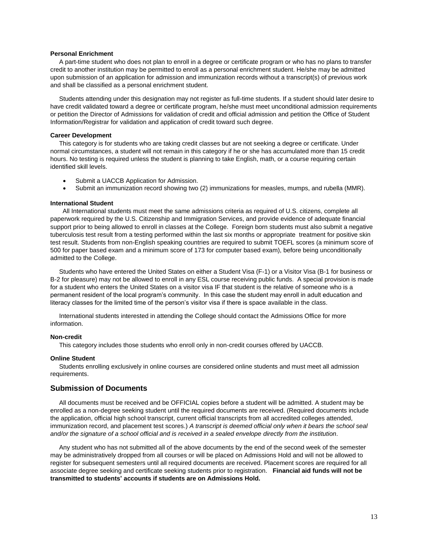#### **Personal Enrichment**

 A part-time student who does not plan to enroll in a degree or certificate program or who has no plans to transfer credit to another institution may be permitted to enroll as a personal enrichment student. He/she may be admitted upon submission of an application for admission and immunization records without a transcript(s) of previous work and shall be classified as a personal enrichment student.

 Students attending under this designation may not register as full-time students. If a student should later desire to have credit validated toward a degree or certificate program, he/she must meet unconditional admission requirements or petition the Director of Admissions for validation of credit and official admission and petition the Office of Student Information/Registrar for validation and application of credit toward such degree.

#### **Career Development**

 This category is for students who are taking credit classes but are not seeking a degree or certificate. Under normal circumstances, a student will not remain in this category if he or she has accumulated more than 15 credit hours. No testing is required unless the student is planning to take English, math, or a course requiring certain identified skill levels.

- Submit a UACCB Application for Admission.
- Submit an immunization record showing two (2) immunizations for measles, mumps, and rubella (MMR).

#### **International Student**

All International students must meet the same admissions criteria as required of U.S. citizens, complete all paperwork required by the U.S. Citizenship and Immigration Services, and provide evidence of adequate financial support prior to being allowed to enroll in classes at the College. Foreign born students must also submit a negative tuberculosis test result from a testing performed within the last six months or appropriate treatment for positive skin test result. Students from non-English speaking countries are required to submit TOEFL scores (a minimum score of 500 for paper based exam and a minimum score of 173 for computer based exam), before being unconditionally admitted to the College.

 Students who have entered the United States on either a Student Visa (F-1) or a Visitor Visa (B-1 for business or B-2 for pleasure) may not be allowed to enroll in any ESL course receiving public funds. A special provision is made for a student who enters the United States on a visitor visa IF that student is the relative of someone who is a permanent resident of the local program's community. In this case the student may enroll in adult education and literacy classes for the limited time of the person's visitor visa if there is space available in the class.

 International students interested in attending the College should contact the Admissions Office for more information.

#### **Non-credit**

This category includes those students who enroll only in non-credit courses offered by UACCB.

#### **Online Student**

Students enrolling exclusively in online courses are considered online students and must meet all admission requirements.

#### **Submission of Documents**

All documents must be received and be OFFICIAL copies before a student will be admitted. A student may be enrolled as a non-degree seeking student until the required documents are received. (Required documents include the application, official high school transcript, current official transcripts from all accredited colleges attended, immunization record, and placement test scores.) *A transcript is deemed official only when it bears the school seal and/or the signature of a school official and is received in a sealed envelope directly from the institution*.

 Any student who has not submitted all of the above documents by the end of the second week of the semester may be administratively dropped from all courses or will be placed on Admissions Hold and will not be allowed to register for subsequent semesters until all required documents are received. Placement scores are required for all associate degree seeking and certificate seeking students prior to registration. **Financial aid funds will not be transmitted to students' accounts if students are on Admissions Hold.**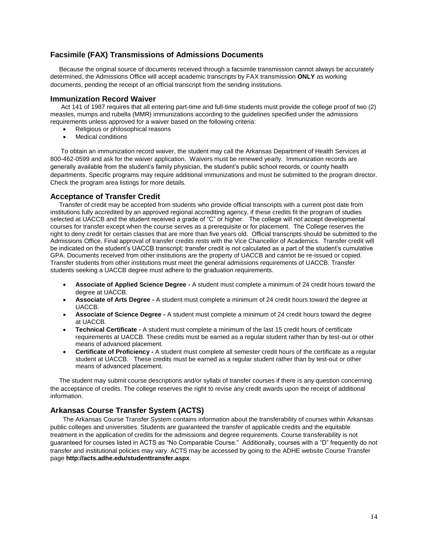### **Facsimile (FAX) Transmissions of Admissions Documents**

 Because the original source of documents received through a facsimile transmission cannot always be accurately determined, the Admissions Office will accept academic transcripts by FAX transmission **ONLY** as working documents, pending the receipt of an official transcript from the sending institutions.

#### **Immunization Record Waiver**

Act 141 of 1987 requires that all entering part-time and full-time students must provide the college proof of two (2) measles, mumps and rubella (MMR) immunizations according to the guidelines specified under the admissions requirements unless approved for a waiver based on the following criteria:

- Religious or philosophical reasons
- Medical conditions

 To obtain an immunization record waiver, the student may call the Arkansas Department of Health Services at 800-462-0599 and ask for the waiver application. Waivers must be renewed yearly. Immunization records are generally available from the student's family physician, the student's public school records, or county health departments. Specific programs may require additional immunizations and must be submitted to the program director. Check the program area listings for more details.

#### **Acceptance of Transfer Credit**

Transfer of credit may be accepted from students who provide official transcripts with a current post date from institutions fully accredited by an approved regional accrediting agency, if these credits fit the program of studies selected at UACCB and the student received a grade of "C" or higher. The college will not accept developmental courses for transfer except when the course serves as a prerequisite or for placement. The College reserves the right to deny credit for certain classes that are more than five years old. Official transcripts should be submitted to the Admissions Office. Final approval of transfer credits rests with the Vice Chancellor of Academics. Transfer credit will be indicated on the student's UACCB transcript; transfer credit is not calculated as a part of the student's cumulative GPA. Documents received from other institutions are the property of UACCB and cannot be re-issued or copied. Transfer students from other institutions must meet the general admissions requirements of UACCB. Transfer students seeking a UACCB degree must adhere to the graduation requirements.

- **Associate of Applied Science Degree -** A student must complete a minimum of 24 credit hours toward the degree at UACCB.
- **Associate of Arts Degree -** A student must complete a minimum of 24 credit hours toward the degree at UACCB.
- **Associate of Science Degree -** A student must complete a minimum of 24 credit hours toward the degree at UACCB.
- **Technical Certificate -** A student must complete a minimum of the last 15 credit hours of certificate requirements at UACCB. These credits must be earned as a regular student rather than by test-out or other means of advanced placement.
- **Certificate of Proficiency -** A student must complete all semester credit hours of the certificate as a regular student at UACCB. These credits must be earned as a regular student rather than by test-out or other means of advanced placement.

 The student may submit course descriptions and/or syllabi of transfer courses if there is any question concerning the acceptance of credits. The college reserves the right to revise any credit awards upon the receipt of additional information.

### **Arkansas Course Transfer System (ACTS)**

The Arkansas Course Transfer System contains information about the transferability of courses within Arkansas public colleges and universities. Students are guaranteed the transfer of applicable credits and the equitable treatment in the application of credits for the admissions and degree requirements. Course transferability is not guaranteed for courses listed in ACTS as "No Comparable Course." Additionally, courses with a "D" frequently do not transfer and institutional policies may vary. ACTS may be accessed by going to the ADHE website Course Transfer page **http://acts.adhe.edu/studenttransfer.aspx**.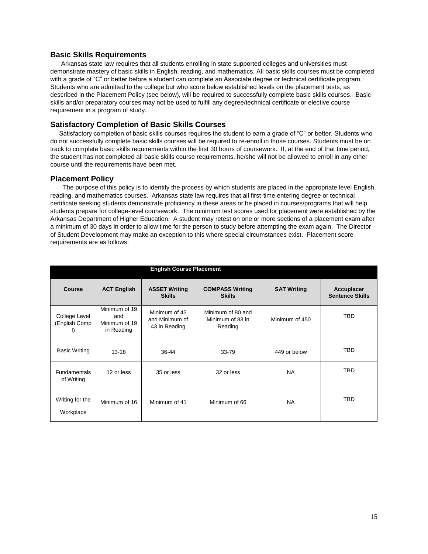#### **Basic Skills Requirements**

Arkansas state law requires that all students enrolling in state supported colleges and universities must demonstrate mastery of basic skills in English, reading, and mathematics. All basic skills courses must be completed with a grade of "C" or better before a student can complete an Associate degree or technical certificate program. Students who are admitted to the college but who score below established levels on the placement tests, as described in the Placement Policy (see below), will be required to successfully complete basic skills courses. Basic skills and/or preparatory courses may not be used to fulfill any degree/technical certificate or elective course requirement in a program of study.

#### **Satisfactory Completion of Basic Skills Courses**

 Satisfactory completion of basic skills courses requires the student to earn a grade of "C" or better. Students who do not successfully complete basic skills courses will be required to re-enroll in those courses. Students must be on track to complete basic skills requirements within the first 30 hours of coursework. If, at the end of that time period, the student has not completed all basic skills course requirements, he/she will not be allowed to enroll in any other course until the requirements have been met.

#### **Placement Policy**

The purpose of this policy is to identify the process by which students are placed in the appropriate level English, reading, and mathematics courses. Arkansas state law requires that all first-time entering degree or technical certificate seeking students demonstrate proficiency in these areas or be placed in courses/programs that will help students prepare for college-level coursework. The minimum test scores used for placement were established by the Arkansas Department of Higher Education. A student may retest on one or more sections of a placement exam after a minimum of 30 days in order to allow time for the person to study before attempting the exam again. The Director of Student Development may make an exception to this where special circumstances exist. Placement score requirements are as follows:

| <b>English Course Placement</b>      |                                                     |                                                  |                                                  |                    |                                      |
|--------------------------------------|-----------------------------------------------------|--------------------------------------------------|--------------------------------------------------|--------------------|--------------------------------------|
| Course                               | <b>ACT English</b>                                  | <b>ASSET Writing</b><br><b>Skills</b>            | <b>COMPASS Writing</b><br><b>Skills</b>          | <b>SAT Writing</b> | Accuplacer<br><b>Sentence Skills</b> |
| College Level<br>(English Comp<br>I) | Minimum of 19<br>and<br>Minimum of 19<br>in Reading | Minimum of 45<br>and Minimum of<br>43 in Reading | Minimum of 80 and<br>Minimum of 83 in<br>Reading | Minimum of 450     | <b>TBD</b>                           |
| <b>Basic Writing</b>                 | $13 - 18$                                           | 36-44                                            | $33 - 79$                                        | 449 or below       | <b>TBD</b>                           |
| <b>Fundamentals</b><br>of Writing    | 12 or less                                          | 35 or less                                       | 32 or less                                       | <b>NA</b>          | <b>TBD</b>                           |
| Writing for the<br>Workplace         | Minimum of 16                                       | Minimum of 41                                    | Minimum of 66                                    | <b>NA</b>          | <b>TBD</b>                           |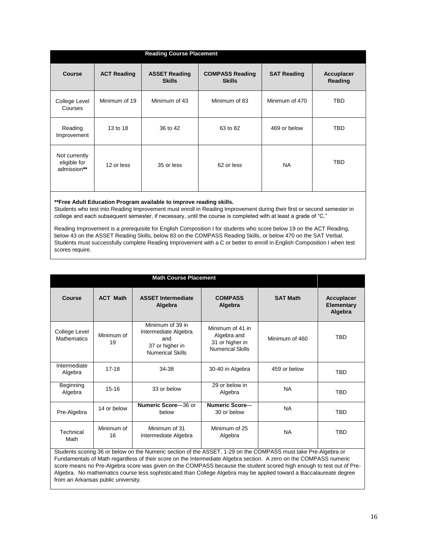| <b>Reading Course Placement</b>              |                    |                                       |                                         |                    |                       |
|----------------------------------------------|--------------------|---------------------------------------|-----------------------------------------|--------------------|-----------------------|
| <b>Course</b>                                | <b>ACT Reading</b> | <b>ASSET Reading</b><br><b>Skills</b> | <b>COMPASS Reading</b><br><b>Skills</b> | <b>SAT Reading</b> | Accuplacer<br>Reading |
| College Level<br>Courses                     | Minimum of 19      | Minimum of 43                         | Minimum of 83                           | Minimum of 470     | <b>TBD</b>            |
| Reading<br>Improvement                       | 13 to 18           | 36 to 42                              | 63 to 82                                | 469 or below       | <b>TBD</b>            |
| Not currently<br>eligible for<br>admission** | 12 or less         | 35 or less                            | 62 or less                              | <b>NA</b>          | TBD                   |

**\*\*Free Adult Education Program available to improve reading skills.**

Students who test into Reading Improvement must enroll in Reading Improvement during their first or second semester in college and each subsequent semester, if necessary, until the course is completed with at least a grade of "C."

Reading Improvement is a prerequisite for English Composition I for students who score below 19 on the ACT Reading, below 43 on the ASSET Reading Skills, below 83 on the COMPASS Reading Skills, or below 470 on the SAT Verbal. Students must successfully complete Reading Improvement with a C or better to enroll in English Composition I when test scores require.

| <b>Math Course Placement</b>                                                                                                                                                                                                                                                                                                                                                                                                                                                                                              |                  |                                                                                               |                                                                               |                 |                                            |
|---------------------------------------------------------------------------------------------------------------------------------------------------------------------------------------------------------------------------------------------------------------------------------------------------------------------------------------------------------------------------------------------------------------------------------------------------------------------------------------------------------------------------|------------------|-----------------------------------------------------------------------------------------------|-------------------------------------------------------------------------------|-----------------|--------------------------------------------|
| Course                                                                                                                                                                                                                                                                                                                                                                                                                                                                                                                    | <b>ACT Math</b>  | <b>ASSET Intermediate</b><br>Algebra                                                          | <b>COMPASS</b><br>Algebra                                                     | <b>SAT Math</b> | <b>Accuplacer</b><br>Elementary<br>Algebra |
| College Level<br><b>Mathematics</b>                                                                                                                                                                                                                                                                                                                                                                                                                                                                                       | Minimum of<br>19 | Minimum of 39 in<br>Intermediate Algebra<br>and<br>37 or higher in<br><b>Numerical Skills</b> | Minimum of 41 in<br>Algebra and<br>31 or higher in<br><b>Numerical Skills</b> | Minimum of 460  | <b>TBD</b>                                 |
| Intermediate<br>Algebra                                                                                                                                                                                                                                                                                                                                                                                                                                                                                                   | $17-18$          | 34-38                                                                                         | 30-40 in Algebra                                                              | 459 or below    | <b>TBD</b>                                 |
| Beginning<br>Algebra                                                                                                                                                                                                                                                                                                                                                                                                                                                                                                      | $15 - 16$        | 33 or below                                                                                   | 29 or below in<br>Algebra                                                     | <b>NA</b>       | TBD                                        |
| Pre-Algebra                                                                                                                                                                                                                                                                                                                                                                                                                                                                                                               | 14 or below      | Numeric Score-36 or<br>below                                                                  | Numeric Score-<br>30 or below                                                 | <b>NA</b>       | <b>TBD</b>                                 |
| Technical<br>Math                                                                                                                                                                                                                                                                                                                                                                                                                                                                                                         | Minimum of<br>16 | Minimum of 31<br>Intermediate Algebra                                                         | Minimum of 25<br>Algebra                                                      | <b>NA</b>       | <b>TBD</b>                                 |
| Students scoring 36 or below on the Numeric section of the ASSET, 1-29 on the COMPASS must take Pre-Algebra or<br>Fundamentals of Math regardless of their score on the Intermediate Algebra section. A zero on the COMPASS numeric<br>score means no Pre-Algebra score was given on the COMPASS because the student scored high enough to test out of Pre-<br>Algebra. No mathematics course less sophisticated than College Algebra may be applied toward a Baccalaureate degree<br>from an Arkansas public university. |                  |                                                                                               |                                                                               |                 |                                            |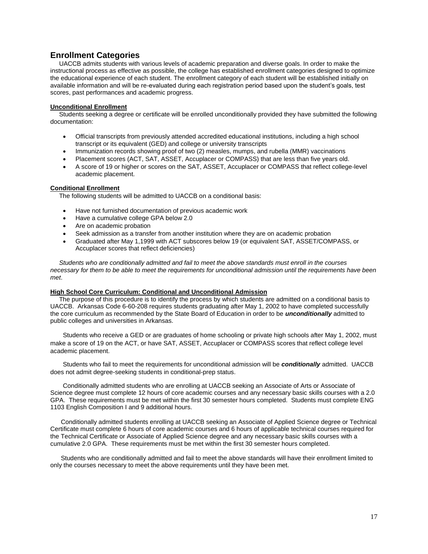# **Enrollment Categories**

UACCB admits students with various levels of academic preparation and diverse goals. In order to make the instructional process as effective as possible, the college has established enrollment categories designed to optimize the educational experience of each student. The enrollment category of each student will be established initially on available information and will be re-evaluated during each registration period based upon the student's goals, test scores, past performances and academic progress.

#### **Unconditional Enrollment**

 Students seeking a degree or certificate will be enrolled unconditionally provided they have submitted the following documentation:

- Official transcripts from previously attended accredited educational institutions, including a high school transcript or its equivalent (GED) and college or university transcripts
- Immunization records showing proof of two (2) measles, mumps, and rubella (MMR) vaccinations
- Placement scores (ACT, SAT, ASSET, Accuplacer or COMPASS) that are less than five years old.
- A score of 19 or higher or scores on the SAT, ASSET, Accuplacer or COMPASS that reflect college-level academic placement.

#### **Conditional Enrollment**

The following students will be admitted to UACCB on a conditional basis:

- Have not furnished documentation of previous academic work
- Have a cumulative college GPA below 2.0
- Are on academic probation
- Seek admission as a transfer from another institution where they are on academic probation
- Graduated after May 1,1999 with ACT subscores below 19 (or equivalent SAT, ASSET/COMPASS, or Accuplacer scores that reflect deficiencies)

 *Students who are conditionally admitted and fail to meet the above standards must enroll in the courses necessary for them to be able to meet the requirements for unconditional admission until the requirements have been met*.

#### **High School Core Curriculum: Conditional and Unconditional Admission**

The purpose of this procedure is to identify the process by which students are admitted on a conditional basis to UACCB. Arkansas Code 6-60-208 requires students graduating after May 1, 2002 to have completed successfully the core curriculum as recommended by the State Board of Education in order to be *unconditionally* admitted to public colleges and universities in Arkansas.

Students who receive a GED or are graduates of home schooling or private high schools after May 1, 2002, must make a score of 19 on the ACT, or have SAT, ASSET, Accuplacer or COMPASS scores that reflect college level academic placement.

Students who fail to meet the requirements for unconditional admission will be *conditionally* admitted. UACCB does not admit degree-seeking students in conditional-prep status.

Conditionally admitted students who are enrolling at UACCB seeking an Associate of Arts or Associate of Science degree must complete 12 hours of core academic courses and any necessary basic skills courses with a 2.0 GPA. These requirements must be met within the first 30 semester hours completed. Students must complete ENG 1103 English Composition I and 9 additional hours.

 Conditionally admitted students enrolling at UACCB seeking an Associate of Applied Science degree or Technical Certificate must complete 6 hours of core academic courses and 6 hours of applicable technical courses required for the Technical Certificate or Associate of Applied Science degree and any necessary basic skills courses with a cumulative 2.0 GPA. These requirements must be met within the first 30 semester hours completed.

 Students who are conditionally admitted and fail to meet the above standards will have their enrollment limited to only the courses necessary to meet the above requirements until they have been met.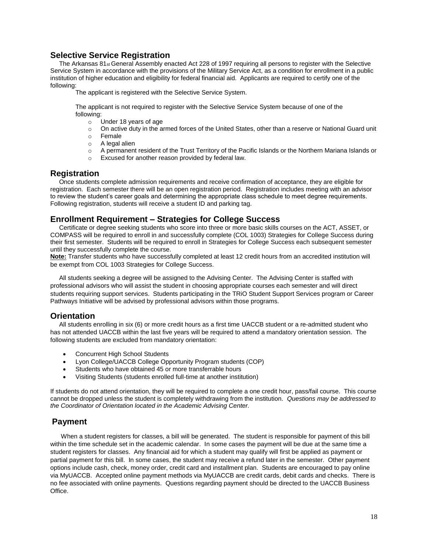# **Selective Service Registration**

The Arkansas 81<sub>st</sub> General Assembly enacted Act 228 of 1997 requiring all persons to register with the Selective Service System in accordance with the provisions of the Military Service Act, as a condition for enrollment in a public institution of higher education and eligibility for federal financial aid. Applicants are required to certify one of the following:

The applicant is registered with the Selective Service System.

The applicant is not required to register with the Selective Service System because of one of the following:

- o Under 18 years of age
- o On active duty in the armed forces of the United States, other than a reserve or National Guard unit
- o Female
- o A legal alien
- o A permanent resident of the Trust Territory of the Pacific Islands or the Northern Mariana Islands or
- o Excused for another reason provided by federal law.

#### **Registration**

 Once students complete admission requirements and receive confirmation of acceptance, they are eligible for registration. Each semester there will be an open registration period. Registration includes meeting with an advisor to review the student's career goals and determining the appropriate class schedule to meet degree requirements. Following registration, students will receive a student ID and parking tag.

#### **Enrollment Requirement – Strategies for College Success**

 Certificate or degree seeking students who score into three or more basic skills courses on the ACT, ASSET, or COMPASS will be required to enroll in and successfully complete (COL 1003) Strategies for College Success during their first semester. Students will be required to enroll in Strategies for College Success each subsequent semester until they successfully complete the course.

**Note:** Transfer students who have successfully completed at least 12 credit hours from an accredited institution will be exempt from COL 1003 Strategies for College Success.

 All students seeking a degree will be assigned to the Advising Center. The Advising Center is staffed with professional advisors who will assist the student in choosing appropriate courses each semester and will direct students requiring support services. Students participating in the TRiO Student Support Services program or Career Pathways Initiative will be advised by professional advisors within those programs.

# **Orientation**

 All students enrolling in six (6) or more credit hours as a first time UACCB student or a re-admitted student who has not attended UACCB within the last five years will be required to attend a mandatory orientation session. The following students are excluded from mandatory orientation:

- Concurrent High School Students
- Lyon College/UACCB College Opportunity Program students (COP)
- Students who have obtained 45 or more transferrable hours
- Visiting Students (students enrolled full-time at another institution)

If students do not attend orientation, they will be required to complete a one credit hour, pass/fail course. This course cannot be dropped unless the student is completely withdrawing from the institution. *Questions may be addressed to the Coordinator of Orientation located in the Academic Advising Center.*

# **Payment**

When a student registers for classes, a bill will be generated. The student is responsible for payment of this bill within the time schedule set in the academic calendar. In some cases the payment will be due at the same time a student registers for classes. Any financial aid for which a student may qualify will first be applied as payment or partial payment for this bill. In some cases, the student may receive a refund later in the semester. Other payment options include cash, check, money order, credit card and installment plan. Students are encouraged to pay online via MyUACCB. Accepted online payment methods via MyUACCB are credit cards, debit cards and checks. There is no fee associated with online payments. Questions regarding payment should be directed to the UACCB Business Office.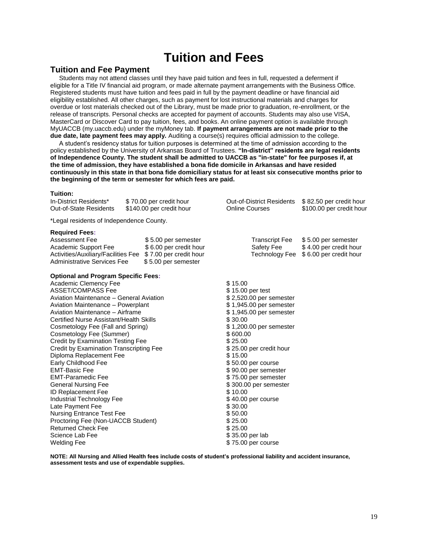# **Tuition and Fees**

#### **Tuition and Fee Payment**

 Students may not attend classes until they have paid tuition and fees in full, requested a deferment if eligible for a Title IV financial aid program, or made alternate payment arrangements with the Business Office. Registered students must have tuition and fees paid in full by the payment deadline or have financial aid eligibility established. All other charges, such as payment for lost instructional materials and charges for overdue or lost materials checked out of the Library, must be made prior to graduation, re-enrollment, or the release of transcripts. Personal checks are accepted for payment of accounts. Students may also use VISA, MasterCard or Discover Card to pay tuition, fees, and books. An online payment option is available through MyUACCB (my.uaccb.edu) under the myMoney tab. **If payment arrangements are not made prior to the due date, late payment fees may apply.** Auditing a course(s) requires official admission to the college.

 A student's residency status for tuition purposes is determined at the time of admission according to the policy established by the University of Arkansas Board of Trustees. **"In-district" residents are legal residents of Independence County. The student shall be admitted to UACCB as "in-state" for fee purposes if, at the time of admission, they have established a bona fide domicile in Arkansas and have resided continuously in this state in that bona fide domiciliary status for at least six consecutive months prior to the beginning of the term or semester for which fees are paid.**

#### **Tuition:**

| In-District Residents*<br>Out-of-State Residents                                                                                                                                                                                                                                                                                                                                                                                                                                                                                                                                                                                                                                                                                                                   | \$70.00 per credit hour<br>\$140.00 per credit hour                  | Out-of-District Residents<br><b>Online Courses</b>                                                                                                                                                                                                                                                                                                                                                                                   | \$82.50 per credit hour<br>\$100.00 per credit hour                     |
|--------------------------------------------------------------------------------------------------------------------------------------------------------------------------------------------------------------------------------------------------------------------------------------------------------------------------------------------------------------------------------------------------------------------------------------------------------------------------------------------------------------------------------------------------------------------------------------------------------------------------------------------------------------------------------------------------------------------------------------------------------------------|----------------------------------------------------------------------|--------------------------------------------------------------------------------------------------------------------------------------------------------------------------------------------------------------------------------------------------------------------------------------------------------------------------------------------------------------------------------------------------------------------------------------|-------------------------------------------------------------------------|
| *Legal residents of Independence County.                                                                                                                                                                                                                                                                                                                                                                                                                                                                                                                                                                                                                                                                                                                           |                                                                      |                                                                                                                                                                                                                                                                                                                                                                                                                                      |                                                                         |
| <b>Required Fees:</b><br>Assessment Fee<br>Academic Support Fee<br>Activities/Auxiliary/Facilities Fee \$7.00 per credit hour<br><b>Administrative Services Fee</b>                                                                                                                                                                                                                                                                                                                                                                                                                                                                                                                                                                                                | \$5.00 per semester<br>\$6.00 per credit hour<br>\$5.00 per semester | Transcript Fee<br>Safety Fee<br>Technology Fee                                                                                                                                                                                                                                                                                                                                                                                       | \$5.00 per semester<br>\$4.00 per credit hour<br>\$6.00 per credit hour |
| <b>Optional and Program Specific Fees:</b><br>Academic Clemency Fee<br><b>ASSET/COMPASS Fee</b><br>Aviation Maintenance - General Aviation<br>Aviation Maintenance - Powerplant<br>Aviation Maintenance - Airframe<br>Certified Nurse Assistant/Health Skills<br>Cosmetology Fee (Fall and Spring)<br>Cosmetology Fee (Summer)<br>Credit by Examination Testing Fee<br>Credit by Examination Transcripting Fee<br>Diploma Replacement Fee<br>Early Childhood Fee<br><b>EMT-Basic Fee</b><br><b>EMT-Paramedic Fee</b><br><b>General Nursing Fee</b><br>ID Replacement Fee<br>Industrial Technology Fee<br>Late Payment Fee<br><b>Nursing Entrance Test Fee</b><br>Proctoring Fee (Non-UACCB Student)<br><b>Returned Check Fee</b><br>Science Lab Fee<br>Welding Fee |                                                                      | \$15.00<br>\$15.00 per test<br>\$2,520.00 per semester<br>\$1,945.00 per semester<br>\$1,945.00 per semester<br>\$30.00<br>\$1,200.00 per semester<br>\$600.00<br>\$25.00<br>\$25.00 per credit hour<br>\$15.00<br>\$50.00 per course<br>\$90.00 per semester<br>\$75.00 per semester<br>\$300.00 per semester<br>\$10.00<br>\$40.00 per course<br>\$30.00<br>\$50.00<br>\$25.00<br>\$25.00<br>\$35.00 per lab<br>\$75.00 per course |                                                                         |

**NOTE: All Nursing and Allied Health fees include costs of student's professional liability and accident insurance, assessment tests and use of expendable supplies.**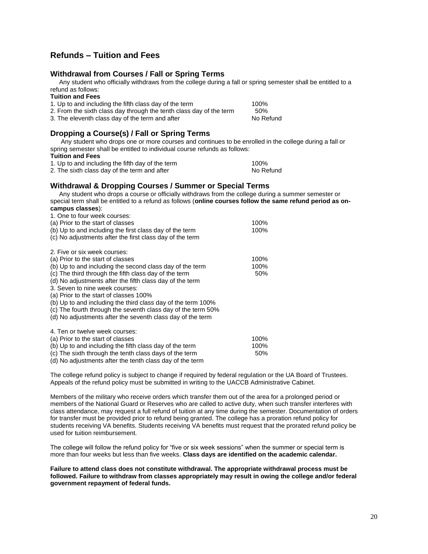# **Refunds – Tuition and Fees**

### **Withdrawal from Courses / Fall or Spring Terms**

 Any student who officially withdraws from the college during a fall or spring semester shall be entitled to a refund as follows:

#### **Tuition and Fees**

| 1. Up to and including the fifth class day of the term              | 100%      |
|---------------------------------------------------------------------|-----------|
| 2. From the sixth class day through the tenth class day of the term | .50%      |
| 3. The eleventh class day of the term and after                     | No Refund |
|                                                                     |           |

# **Dropping a Course(s) / Fall or Spring Terms**

 Any student who drops one or more courses and continues to be enrolled in the college during a fall or spring semester shall be entitled to individual course refunds as follows:

#### **Tuition and Fees**

1. Up to and including the fifth day of the term  $100\%$ <br>
100% 2. The sixth class day of the term and after  $\blacksquare$  No Refund

2. The sixth class day of the term and after

# **Withdrawal & Dropping Courses / Summer or Special Terms**

 Any student who drops a course or officially withdraws from the college during a summer semester or special term shall be entitled to a refund as follows (**online courses follow the same refund period as oncampus classes**):  $1.$  One to four week

| T. ONE to four week courses.                                 |      |
|--------------------------------------------------------------|------|
| (a) Prior to the start of classes                            | 100% |
| (b) Up to and including the first class day of the term      | 100% |
| (c) No adjustments after the first class day of the term     |      |
| 2. Five or six week courses:                                 |      |
| (a) Prior to the start of classes                            | 100% |
| (b) Up to and including the second class day of the term     | 100% |
| (c) The third through the fifth class day of the term        | 50%  |
| (d) No adjustments after the fifth class day of the term     |      |
| 3. Seven to nine week courses:                               |      |
| (a) Prior to the start of classes 100%                       |      |
| (b) Up to and including the third class day of the term 100% |      |
| (c) The fourth through the seventh class day of the term 50% |      |
| (d) No adjustments after the seventh class day of the term   |      |
| 4. Ten or twelve week courses:                               |      |
| (a) Prior to the start of classes                            | 100% |
| (b) Up to and including the fifth class day of the term      | 100% |
| (c) The sixth through the tenth class days of the term       | 50%  |
|                                                              |      |

(d) No adjustments after the tenth class day of the term

The college refund policy is subject to change if required by federal regulation or the UA Board of Trustees. Appeals of the refund policy must be submitted in writing to the UACCB Administrative Cabinet.

Members of the military who receive orders which transfer them out of the area for a prolonged period or members of the National Guard or Reserves who are called to active duty, when such transfer interferes with class attendance, may request a full refund of tuition at any time during the semester. Documentation of orders for transfer must be provided prior to refund being granted. The college has a proration refund policy for students receiving VA benefits. Students receiving VA benefits must request that the prorated refund policy be used for tuition reimbursement.

The college will follow the refund policy for "five or six week sessions" when the summer or special term is more than four weeks but less than five weeks. **Class days are identified on the academic calendar.**

**Failure to attend class does not constitute withdrawal. The appropriate withdrawal process must be followed. Failure to withdraw from classes appropriately may result in owing the college and/or federal government repayment of federal funds.**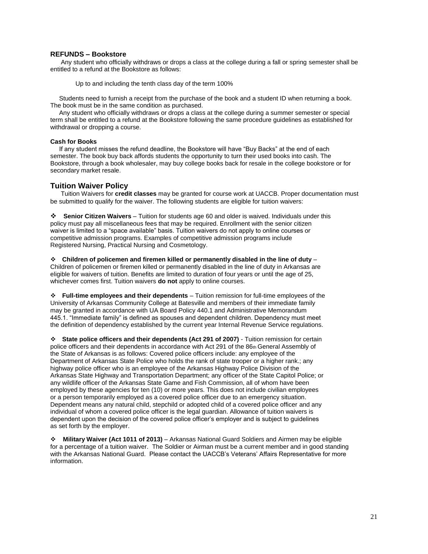#### **REFUNDS – Bookstore**

 Any student who officially withdraws or drops a class at the college during a fall or spring semester shall be entitled to a refund at the Bookstore as follows:

Up to and including the tenth class day of the term 100%

 Students need to furnish a receipt from the purchase of the book and a student ID when returning a book. The book must be in the same condition as purchased.

 Any student who officially withdraws or drops a class at the college during a summer semester or special term shall be entitled to a refund at the Bookstore following the same procedure guidelines as established for withdrawal or dropping a course.

#### **Cash for Books**

 If any student misses the refund deadline, the Bookstore will have "Buy Backs" at the end of each semester. The book buy back affords students the opportunity to turn their used books into cash. The Bookstore, through a book wholesaler, may buy college books back for resale in the college bookstore or for secondary market resale.

#### **Tuition Waiver Policy**

 Tuition Waivers for **credit classes** may be granted for course work at UACCB. Proper documentation must be submitted to qualify for the waiver. The following students are eligible for tuition waivers:

**Senior Citizen Waivers** – Tuition for students age 60 and older is waived. Individuals under this policy must pay all miscellaneous fees that may be required. Enrollment with the senior citizen waiver is limited to a "space available" basis. Tuition waivers do not apply to online courses or competitive admission programs. Examples of competitive admission programs include Registered Nursing, Practical Nursing and Cosmetology.

**Children of policemen and firemen killed or permanently disabled in the line of duty** – Children of policemen or firemen killed or permanently disabled in the line of duty in Arkansas are eligible for waivers of tuition. Benefits are limited to duration of four years or until the age of 25, whichever comes first. Tuition waivers **do not** apply to online courses.

**Full-time employees and their dependents** – Tuition remission for full-time employees of the University of Arkansas Community College at Batesville and members of their immediate family may be granted in accordance with UA Board Policy 440.1 and Administrative Memorandum 445.1. "Immediate family" is defined as spouses and dependent children. Dependency must meet the definition of dependency established by the current year Internal Revenue Service regulations.

**State police officers and their dependents (Act 291 of 2007)** - Tuition remission for certain police officers and their dependents in accordance with Act 291 of the 86th General Assembly of the State of Arkansas is as follows: Covered police officers include: any employee of the Department of Arkansas State Police who holds the rank of state trooper or a higher rank.; any highway police officer who is an employee of the Arkansas Highway Police Division of the Arkansas State Highway and Transportation Department; any officer of the State Capitol Police; or any wildlife officer of the Arkansas State Game and Fish Commission, all of whom have been employed by these agencies for ten (10) or more years. This does not include civilian employees or a person temporarily employed as a covered police officer due to an emergency situation. Dependent means any natural child, stepchild or adopted child of a covered police officer and any individual of whom a covered police officer is the legal guardian. Allowance of tuition waivers is dependent upon the decision of the covered police officer's employer and is subject to guidelines as set forth by the employer.

 **Military Waiver (Act 1011 of 2013)** – Arkansas National Guard Soldiers and Airmen may be eligible for a percentage of a tuition waiver. The Soldier or Airman must be a current member and in good standing with the Arkansas National Guard. Please contact the UACCB's Veterans' Affairs Representative for more information.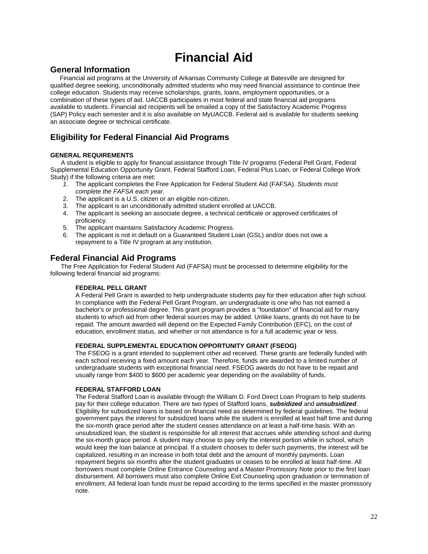# **Financial Aid**

# **General Information**

Financial aid programs at the University of Arkansas Community College at Batesville are designed for qualified degree seeking, unconditionally admitted students who may need financial assistance to continue their college education. Students may receive scholarships, grants, loans, employment opportunities, or a combination of these types of aid. UACCB participates in most federal and state financial aid programs available to students. Financial aid recipients will be emailed a copy of the Satisfactory Academic Progress (SAP) Policy each semester and it is also available on MyUACCB. Federal aid is available for students seeking an associate degree or technical certificate.

# **Eligibility for Federal Financial Aid Programs**

#### **GENERAL REQUIREMENTS**

 A student is eligible to apply for financial assistance through Title IV programs (Federal Pell Grant, Federal Supplemental Education Opportunity Grant, Federal Stafford Loan, Federal Plus Loan, or Federal College Work Study) if the following criteria are met:

- *1.* The applicant completes the Free Application for Federal Student Aid (FAFSA). *Students must complete the FAFSA each year.*
- 2. The applicant is a U.S. citizen or an eligible non-citizen.
- 3. The applicant is an unconditionally admitted student enrolled at UACCB.
- 4. The applicant is seeking an associate degree, a technical certificate or approved certificates of proficiency.
- 5. The applicant maintains Satisfactory Academic Progress.
- 6. The applicant is not in default on a Guaranteed Student Loan (GSL) and/or does not owe a repayment to a Title IV program at any institution.

# **Federal Financial Aid Programs**

 The Free Application for Federal Student Aid (FAFSA) must be processed to determine eligibility for the following federal financial aid programs:

#### **FEDERAL PELL GRANT**

A Federal Pell Grant is awarded to help undergraduate students pay for their education after high school. In compliance with the Federal Pell Grant Program, an undergraduate is one who has not earned a bachelor's or professional degree. This grant program provides a "foundation" of financial aid for many students to which aid from other federal sources may be added. Unlike loans, grants do not have to be repaid. The amount awarded will depend on the Expected Family Contribution (EFC), on the cost of education, enrollment status, and whether or not attendance is for a full academic year or less.

#### **FEDERAL SUPPLEMENTAL EDUCATION OPPORTUNITY GRANT (FSEOG)**

The FSEOG is a grant intended to supplement other aid received. These grants are federally funded with each school receiving a fixed amount each year. Therefore, funds are awarded to a limited number of undergraduate students with exceptional financial need. FSEOG awards do not have to be repaid and usually range from \$400 to \$600 per academic year depending on the availability of funds.

#### **FEDERAL STAFFORD LOAN**

The Federal Stafford Loan is available through the William D. Ford Direct Loan Program to help students pay for their college education. There are two types of Stafford loans, *subsidized* and *unsubsidized*. Eligibility for subsidized loans is based on financial need as determined by federal guidelines. The federal government pays the interest for subsidized loans while the student is enrolled at least half time and during the six-month grace period after the student ceases attendance on at least a half-time basis. With an unsubsidized loan, the student is responsible for all interest that accrues while attending school and during the six-month grace period. A student may choose to pay only the interest portion while in school, which would keep the loan balance at principal. If a student chooses to defer such payments, the interest will be capitalized, resulting in an increase in both total debt and the amount of monthly payments. Loan repayment begins six months after the student graduates or ceases to be enrolled at least half-time. All borrowers must complete Online Entrance Counseling and a Master Promissory Note prior to the first loan disbursement. All borrowers must also complete Online Exit Counseling upon graduation or termination of enrollment. All federal loan funds must be repaid according to the terms specified in the master promissory note.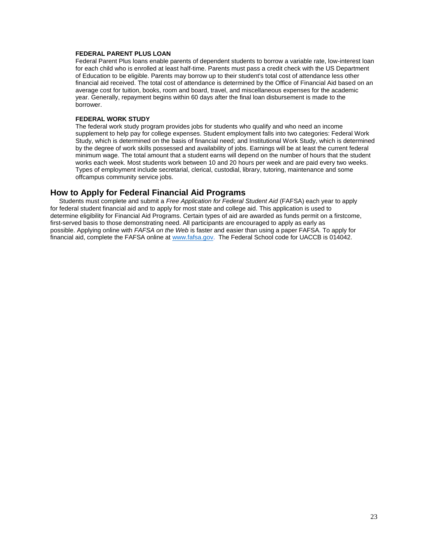#### **FEDERAL PARENT PLUS LOAN**

Federal Parent Plus loans enable parents of dependent students to borrow a variable rate, low-interest loan for each child who is enrolled at least half-time. Parents must pass a credit check with the US Department of Education to be eligible. Parents may borrow up to their student's total cost of attendance less other financial aid received. The total cost of attendance is determined by the Office of Financial Aid based on an average cost for tuition, books, room and board, travel, and miscellaneous expenses for the academic year. Generally, repayment begins within 60 days after the final loan disbursement is made to the borrower.

#### **FEDERAL WORK STUDY**

The federal work study program provides jobs for students who qualify and who need an income supplement to help pay for college expenses. Student employment falls into two categories: Federal Work Study, which is determined on the basis of financial need; and Institutional Work Study, which is determined by the degree of work skills possessed and availability of jobs. Earnings will be at least the current federal minimum wage. The total amount that a student earns will depend on the number of hours that the student works each week. Most students work between 10 and 20 hours per week and are paid every two weeks. Types of employment include secretarial, clerical, custodial, library, tutoring, maintenance and some offcampus community service jobs.

### **How to Apply for Federal Financial Aid Programs**

 Students must complete and submit a *Free Application for Federal Student Aid* (FAFSA) each year to apply for federal student financial aid and to apply for most state and college aid. This application is used to determine eligibility for Financial Aid Programs. Certain types of aid are awarded as funds permit on a firstcome, first-served basis to those demonstrating need. All participants are encouraged to apply as early as possible. Applying online with *FAFSA on the Web* is faster and easier than using a paper FAFSA. To apply for financial aid, complete the FAFSA online a[t www.fafsa.gov.](http://www.fafsa.gov/) The Federal School code for UACCB is 014042.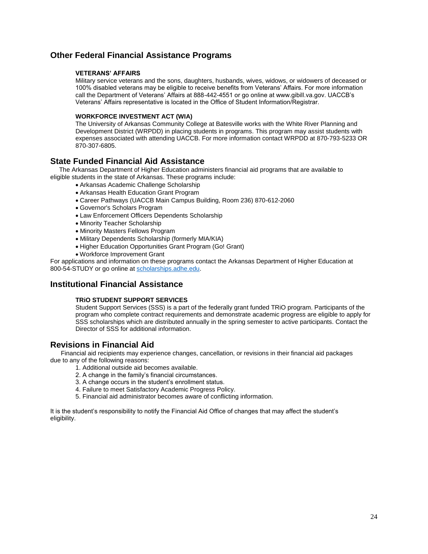# **Other Federal Financial Assistance Programs**

#### **VETERANS' AFFAIRS**

Military service veterans and the sons, daughters, husbands, wives, widows, or widowers of deceased or 100% disabled veterans may be eligible to receive benefits from Veterans' Affairs. For more information call the Department of Veterans' Affairs at 888-442-4551 or go online at www.gibill.va.gov. UACCB's Veterans' Affairs representative is located in the Office of Student Information/Registrar.

#### **WORKFORCE INVESTMENT ACT (WIA)**

The University of Arkansas Community College at Batesville works with the White River Planning and Development District (WRPDD) in placing students in programs. This program may assist students with expenses associated with attending UACCB. For more information contact WRPDD at 870-793-5233 OR 870-307-6805.

# **State Funded Financial Aid Assistance**

 The Arkansas Department of Higher Education administers financial aid programs that are available to eligible students in the state of Arkansas. These programs include:

- Arkansas Academic Challenge Scholarship
- Arkansas Health Education Grant Program
- Career Pathways (UACCB Main Campus Building, Room 236) 870-612-2060
- Governor's Scholars Program
- Law Enforcement Officers Dependents Scholarship
- Minority Teacher Scholarship
- Minority Masters Fellows Program
- Military Dependents Scholarship (formerly MIA/KIA)
- Higher Education Opportunities Grant Program (Go! Grant)
- Workforce Improvement Grant

For applications and information on these programs contact the Arkansas Department of Higher Education at 800-54-STUDY or go online a[t scholarships.adhe.edu.](http://www.adhe.edu/)

# **Institutional Financial Assistance**

#### **TRiO STUDENT SUPPORT SERVICES**

Student Support Services (SSS) is a part of the federally grant funded TRiO program. Participants of the program who complete contract requirements and demonstrate academic progress are eligible to apply for SSS scholarships which are distributed annually in the spring semester to active participants. Contact the Director of SSS for additional information.

# **Revisions in Financial Aid**

 Financial aid recipients may experience changes, cancellation, or revisions in their financial aid packages due to any of the following reasons:

- 1. Additional outside aid becomes available.
- 2. A change in the family's financial circumstances.
- 3. A change occurs in the student's enrollment status.
- 4. Failure to meet Satisfactory Academic Progress Policy.
- 5. Financial aid administrator becomes aware of conflicting information.

It is the student's responsibility to notify the Financial Aid Office of changes that may affect the student's eligibility.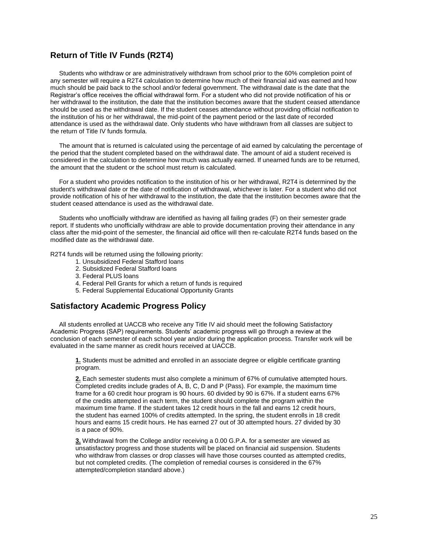# **Return of Title IV Funds (R2T4)**

 Students who withdraw or are administratively withdrawn from school prior to the 60% completion point of any semester will require a R2T4 calculation to determine how much of their financial aid was earned and how much should be paid back to the school and/or federal government. The withdrawal date is the date that the Registrar's office receives the official withdrawal form. For a student who did not provide notification of his or her withdrawal to the institution, the date that the institution becomes aware that the student ceased attendance should be used as the withdrawal date. If the student ceases attendance without providing official notification to the institution of his or her withdrawal, the mid-point of the payment period or the last date of recorded attendance is used as the withdrawal date. Only students who have withdrawn from all classes are subject to the return of Title IV funds formula.

 The amount that is returned is calculated using the percentage of aid earned by calculating the percentage of the period that the student completed based on the withdrawal date. The amount of aid a student received is considered in the calculation to determine how much was actually earned. If unearned funds are to be returned, the amount that the student or the school must return is calculated.

 For a student who provides notification to the institution of his or her withdrawal, R2T4 is determined by the student's withdrawal date or the date of notification of withdrawal, whichever is later. For a student who did not provide notification of his of her withdrawal to the institution, the date that the institution becomes aware that the student ceased attendance is used as the withdrawal date.

 Students who unofficially withdraw are identified as having all failing grades (F) on their semester grade report. If students who unofficially withdraw are able to provide documentation proving their attendance in any class after the mid-point of the semester, the financial aid office will then re-calculate R2T4 funds based on the modified date as the withdrawal date.

R2T4 funds will be returned using the following priority:

- 1. Unsubsidized Federal Stafford loans
- 2. Subsidized Federal Stafford loans
- 3. Federal PLUS loans
- 4. Federal Pell Grants for which a return of funds is required
- 5. Federal Supplemental Educational Opportunity Grants

### **Satisfactory Academic Progress Policy**

 All students enrolled at UACCB who receive any Title IV aid should meet the following Satisfactory Academic Progress (SAP) requirements. Students' academic progress will go through a review at the conclusion of each semester of each school year and/or during the application process. Transfer work will be evaluated in the same manner as credit hours received at UACCB.

**1.** Students must be admitted and enrolled in an associate degree or eligible certificate granting program.

**2.** Each semester students must also complete a minimum of 67% of cumulative attempted hours. Completed credits include grades of A, B, C, D and P (Pass). For example, the maximum time frame for a 60 credit hour program is 90 hours. 60 divided by 90 is 67%. If a student earns 67% of the credits attempted in each term, the student should complete the program within the maximum time frame. If the student takes 12 credit hours in the fall and earns 12 credit hours, the student has earned 100% of credits attempted. In the spring, the student enrolls in 18 credit hours and earns 15 credit hours. He has earned 27 out of 30 attempted hours. 27 divided by 30 is a pace of 90%.

**3.** Withdrawal from the College and/or receiving a 0.00 G.P.A. for a semester are viewed as unsatisfactory progress and those students will be placed on financial aid suspension. Students who withdraw from classes or drop classes will have those courses counted as attempted credits, but not completed credits. (The completion of remedial courses is considered in the 67% attempted/completion standard above.)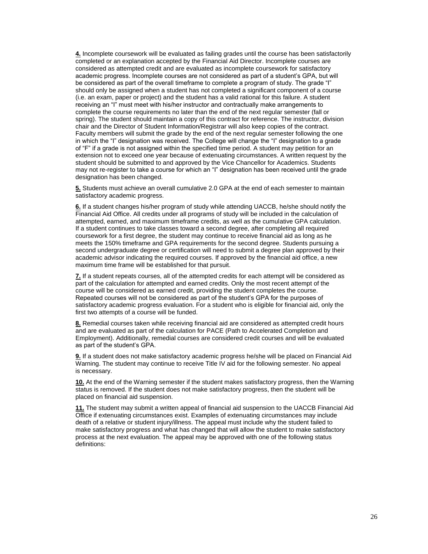**4.** Incomplete coursework will be evaluated as failing grades until the course has been satisfactorily completed or an explanation accepted by the Financial Aid Director. Incomplete courses are considered as attempted credit and are evaluated as incomplete coursework for satisfactory academic progress. Incomplete courses are not considered as part of a student's GPA, but will be considered as part of the overall timeframe to complete a program of study. The grade "I" should only be assigned when a student has not completed a significant component of a course (i.e. an exam, paper or project) and the student has a valid rational for this failure. A student receiving an "I" must meet with his/her instructor and contractually make arrangements to complete the course requirements no later than the end of the next regular semester (fall or spring). The student should maintain a copy of this contract for reference. The instructor, division chair and the Director of Student Information/Registrar will also keep copies of the contract. Faculty members will submit the grade by the end of the next regular semester following the one in which the "I" designation was received. The College will change the "I" designation to a grade of "F" if a grade is not assigned within the specified time period. A student may petition for an extension not to exceed one year because of extenuating circumstances. A written request by the student should be submitted to and approved by the Vice Chancellor for Academics. Students may not re-register to take a course for which an "I" designation has been received until the grade designation has been changed.

**5.** Students must achieve an overall cumulative 2.0 GPA at the end of each semester to maintain satisfactory academic progress.

**6.** If a student changes his/her program of study while attending UACCB, he/she should notify the Financial Aid Office. All credits under all programs of study will be included in the calculation of attempted, earned, and maximum timeframe credits, as well as the cumulative GPA calculation. If a student continues to take classes toward a second degree, after completing all required coursework for a first degree, the student may continue to receive financial aid as long as he meets the 150% timeframe and GPA requirements for the second degree. Students pursuing a second undergraduate degree or certification will need to submit a degree plan approved by their academic advisor indicating the required courses. If approved by the financial aid office, a new maximum time frame will be established for that pursuit.

**7.** If a student repeats courses, all of the attempted credits for each attempt will be considered as part of the calculation for attempted and earned credits. Only the most recent attempt of the course will be considered as earned credit, providing the student completes the course. Repeated courses will not be considered as part of the student's GPA for the purposes of satisfactory academic progress evaluation. For a student who is eligible for financial aid, only the first two attempts of a course will be funded.

**8.** Remedial courses taken while receiving financial aid are considered as attempted credit hours and are evaluated as part of the calculation for PACE (Path to Accelerated Completion and Employment). Additionally, remedial courses are considered credit courses and will be evaluated as part of the student's GPA.

**9.** If a student does not make satisfactory academic progress he/she will be placed on Financial Aid Warning. The student may continue to receive Title IV aid for the following semester. No appeal is necessary.

**10.** At the end of the Warning semester if the student makes satisfactory progress, then the Warning status is removed. If the student does not make satisfactory progress, then the student will be placed on financial aid suspension.

**11.** The student may submit a written appeal of financial aid suspension to the UACCB Financial Aid Office if extenuating circumstances exist. Examples of extenuating circumstances may include death of a relative or student injury/illness. The appeal must include why the student failed to make satisfactory progress and what has changed that will allow the student to make satisfactory process at the next evaluation. The appeal may be approved with one of the following status definitions: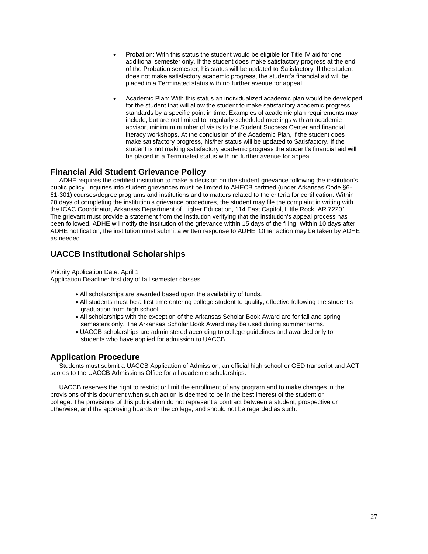- Probation: With this status the student would be eligible for Title IV aid for one additional semester only. If the student does make satisfactory progress at the end of the Probation semester, his status will be updated to Satisfactory. If the student does not make satisfactory academic progress, the student's financial aid will be placed in a Terminated status with no further avenue for appeal.
- Academic Plan: With this status an individualized academic plan would be developed for the student that will allow the student to make satisfactory academic progress standards by a specific point in time. Examples of academic plan requirements may include, but are not limited to, regularly scheduled meetings with an academic advisor, minimum number of visits to the Student Success Center and financial literacy workshops. At the conclusion of the Academic Plan, if the student does make satisfactory progress, his/her status will be updated to Satisfactory. If the student is not making satisfactory academic progress the student's financial aid will be placed in a Terminated status with no further avenue for appeal.

# **Financial Aid Student Grievance Policy**

 ADHE requires the certified institution to make a decision on the student grievance following the institution's public policy. Inquiries into student grievances must be limited to AHECB certified (under Arkansas Code §6- 61-301) courses/degree programs and institutions and to matters related to the criteria for certification. Within 20 days of completing the institution's grievance procedures, the student may file the complaint in writing with the ICAC Coordinator, Arkansas Department of Higher Education, 114 East Capitol, Little Rock, AR 72201. The grievant must provide a statement from the institution verifying that the institution's appeal process has been followed. ADHE will notify the institution of the grievance within 15 days of the filing. Within 10 days after ADHE notification, the institution must submit a written response to ADHE. Other action may be taken by ADHE as needed.

# **UACCB Institutional Scholarships**

Priority Application Date: April 1 Application Deadline: first day of fall semester classes

- All scholarships are awarded based upon the availability of funds.
- All students must be a first time entering college student to qualify, effective following the student's graduation from high school.
- All scholarships with the exception of the Arkansas Scholar Book Award are for fall and spring semesters only. The Arkansas Scholar Book Award may be used during summer terms.
- UACCB scholarships are administered according to college guidelines and awarded only to students who have applied for admission to UACCB.

# **Application Procedure**

 Students must submit a UACCB Application of Admission, an official high school or GED transcript and ACT scores to the UACCB Admissions Office for all academic scholarships.

 UACCB reserves the right to restrict or limit the enrollment of any program and to make changes in the provisions of this document when such action is deemed to be in the best interest of the student or college. The provisions of this publication do not represent a contract between a student, prospective or otherwise, and the approving boards or the college, and should not be regarded as such.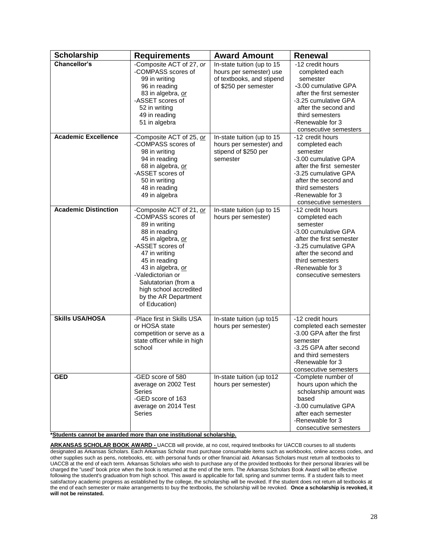| <b>Scholarship</b>          | <b>Requirements</b>                                                                                                                                                                                                                                                                              | <b>Award Amount</b>                                                                                         | <b>Renewal</b>                                                                                                                                                                                                     |
|-----------------------------|--------------------------------------------------------------------------------------------------------------------------------------------------------------------------------------------------------------------------------------------------------------------------------------------------|-------------------------------------------------------------------------------------------------------------|--------------------------------------------------------------------------------------------------------------------------------------------------------------------------------------------------------------------|
| Chancellor's                | -Composite ACT of 27, or<br>-COMPASS scores of<br>99 in writing<br>96 in reading<br>83 in algebra, or<br>-ASSET scores of<br>52 in writing<br>49 in reading<br>51 in algebra                                                                                                                     | In-state tuition (up to 15<br>hours per semester) use<br>of textbooks, and stipend<br>of \$250 per semester | -12 credit hours<br>completed each<br>semester<br>-3.00 cumulative GPA<br>after the first semester<br>-3.25 cumulative GPA<br>after the second and<br>third semesters<br>-Renewable for 3<br>consecutive semesters |
| <b>Academic Excellence</b>  | -Composite ACT of 25, or<br>-COMPASS scores of<br>98 in writing<br>94 in reading<br>68 in algebra, or<br>-ASSET scores of<br>50 in writing<br>48 in reading<br>49 in algebra                                                                                                                     | In-state tuition (up to 15<br>hours per semester) and<br>stipend of \$250 per<br>semester                   | -12 credit hours<br>completed each<br>semester<br>-3.00 cumulative GPA<br>after the first semester<br>-3.25 cumulative GPA<br>after the second and<br>third semesters<br>-Renewable for 3<br>consecutive semesters |
| <b>Academic Distinction</b> | -Composite ACT of 21, or<br>-COMPASS scores of<br>89 in writing<br>88 in reading<br>45 in algebra, or<br>-ASSET scores of<br>47 in writing<br>45 in reading<br>43 in algebra, or<br>-Valedictorian or<br>Salutatorian (from a<br>high school accredited<br>by the AR Department<br>of Education) | In-state tuition (up to 15<br>hours per semester)                                                           | -12 credit hours<br>completed each<br>semester<br>-3.00 cumulative GPA<br>after the first semester<br>-3.25 cumulative GPA<br>after the second and<br>third semesters<br>-Renewable for 3<br>consecutive semesters |
| <b>Skills USA/HOSA</b>      | -Place first in Skills USA<br>or HOSA state<br>competition or serve as a<br>state officer while in high<br>school                                                                                                                                                                                | In-state tuition (up to15<br>hours per semester)                                                            | -12 credit hours<br>completed each semester<br>-3.00 GPA after the first<br>semester<br>-3.25 GPA after second<br>and third semesters<br>-Renewable for 3<br>consecutive semesters                                 |
| <b>GED</b>                  | -GED score of 580<br>average on 2002 Test<br>Series<br>-GED score of 163<br>average on 2014 Test<br><b>Series</b>                                                                                                                                                                                | In-state tuition (up to12<br>hours per semester)                                                            | -Complete number of<br>hours upon which the<br>scholarship amount was<br>based<br>-3.00 cumulative GPA<br>after each semester<br>-Renewable for 3<br>consecutive semesters                                         |

**\*Students cannot be awarded more than one institutional scholarship.**

**ARKANSAS SCHOLAR BOOK AWARD -** UACCB will provide, at no cost, required textbooks for UACCB courses to all students designated as Arkansas Scholars. Each Arkansas Scholar must purchase consumable items such as workbooks, online access codes, and other supplies such as pens, notebooks, etc. with personal funds or other financial aid. Arkansas Scholars must return all textbooks to UACCB at the end of each term. Arkansas Scholars who wish to purchase any of the provided textbooks for their personal libraries will be charged the "used" book price when the book is returned at the end of the term. The Arkansas Scholars Book Award will be effective following the student's graduation from high school. This award is applicable for fall, spring and summer terms. If a student fails to meet satisfactory academic progress as established by the college, the scholarship will be revoked. If the student does not return all textbooks at the end of each semester or make arrangements to buy the textbooks, the scholarship will be revoked. **Once a scholarship is revoked, it will not be reinstated.**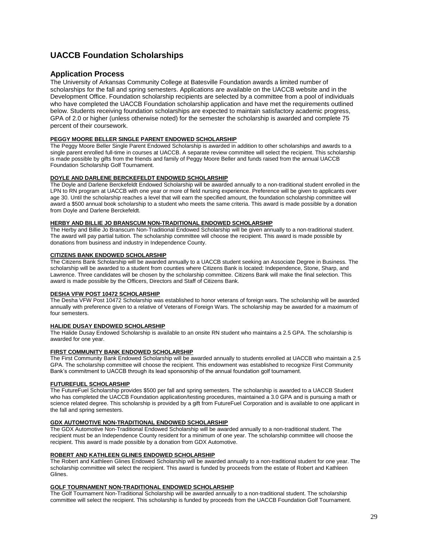# **UACCB Foundation Scholarships**

#### **Application Process**

The University of Arkansas Community College at Batesville Foundation awards a limited number of scholarships for the fall and spring semesters. Applications are available on the UACCB website and in the Development Office. Foundation scholarship recipients are selected by a committee from a pool of individuals who have completed the UACCB Foundation scholarship application and have met the requirements outlined below. Students receiving foundation scholarships are expected to maintain satisfactory academic progress, GPA of 2.0 or higher (unless otherwise noted) for the semester the scholarship is awarded and complete 75 percent of their coursework.

#### **PEGGY MOORE BELLER SINGLE PARENT ENDOWED SCHOLARSHIP**

The Peggy Moore Beller Single Parent Endowed Scholarship is awarded in addition to other scholarships and awards to a single parent enrolled full-time in courses at UACCB. A separate review committee will select the recipient. This scholarship is made possible by gifts from the friends and family of Peggy Moore Beller and funds raised from the annual UACCB Foundation Scholarship Golf Tournament.

#### **DOYLE AND DARLENE BERCKEFELDT ENDOWED SCHOLARSHIP**

The Doyle and Darlene Berckefeldt Endowed Scholarship will be awarded annually to a non-traditional student enrolled in the LPN to RN program at UACCB with one year or more of field nursing experience. Preference will be given to applicants over age 30. Until the scholarship reaches a level that will earn the specified amount, the foundation scholarship committee will award a \$500 annual book scholarship to a student who meets the same criteria. This award is made possible by a donation from Doyle and Darlene Berckefeldt.

#### **HERBY AND BILLIE JO BRANSCUM NON-TRADITIONAL ENDOWED SCHOLARSHIP**

The Herby and Billie Jo Branscum Non-Traditional Endowed Scholarship will be given annually to a non-traditional student. The award will pay partial tuition. The scholarship committee will choose the recipient. This award is made possible by donations from business and industry in Independence County.

# **CITIZENS BANK ENDOWED SCHOLARSHIP**

The Citizens Bank Scholarship will be awarded annually to a UACCB student seeking an Associate Degree in Business. The scholarship will be awarded to a student from counties where Citizens Bank is located: Independence, Stone, Sharp, and Lawrence. Three candidates will be chosen by the scholarship committee. Citizens Bank will make the final selection. This award is made possible by the Officers, Directors and Staff of Citizens Bank.

#### **DESHA VFW POST 10472 SCHOLARSHIP**

The Desha VFW Post 10472 Scholarship was established to honor veterans of foreign wars. The scholarship will be awarded annually with preference given to a relative of Veterans of Foreign Wars. The scholarship may be awarded for a maximum of four semesters.

#### **HALIDE DUSAY ENDOWED SCHOLARSHIP**

The Halide Dusay Endowed Scholarship is available to an onsite RN student who maintains a 2.5 GPA. The scholarship is awarded for one year.

#### **FIRST COMMUNITY BANK ENDOWED SCHOLARSHIP**

The First Community Bank Endowed Scholarship will be awarded annually to students enrolled at UACCB who maintain a 2.5 GPA. The scholarship committee will choose the recipient. This endowment was established to recognize First Community Bank's commitment to UACCB through its lead sponsorship of the annual foundation golf tournament.

#### **FUTUREFUEL SCHOLARSHIP**

The FutureFuel Scholarship provides \$500 per fall and spring semesters. The scholarship is awarded to a UACCB Student who has completed the UACCB Foundation application/testing procedures, maintained a 3.0 GPA and is pursuing a math or science related degree. This scholarship is provided by a gift from FutureFuel Corporation and is available to one applicant in the fall and spring semesters.

#### **GDX AUTOMOTIVE NON-TRADITIONAL ENDOWED SCHOLARSHIP**

The GDX Automotive Non-Traditional Endowed Scholarship will be awarded annually to a non-traditional student. The recipient must be an Independence County resident for a minimum of one year. The scholarship committee will choose the recipient. This award is made possible by a donation from GDX Automotive.

#### **ROBERT AND KATHLEEN GLINES ENDOWED SCHOLARSHIP**

The Robert and Kathleen Glines Endowed Scholarship will be awarded annually to a non-traditional student for one year. The scholarship committee will select the recipient. This award is funded by proceeds from the estate of Robert and Kathleen Glines.

#### **GOLF TOURNAMENT NON-TRADITIONAL ENDOWED SCHOLARSHIP**

The Golf Tournament Non-Traditional Scholarship will be awarded annually to a non-traditional student. The scholarship committee will select the recipient. This scholarship is funded by proceeds from the UACCB Foundation Golf Tournament.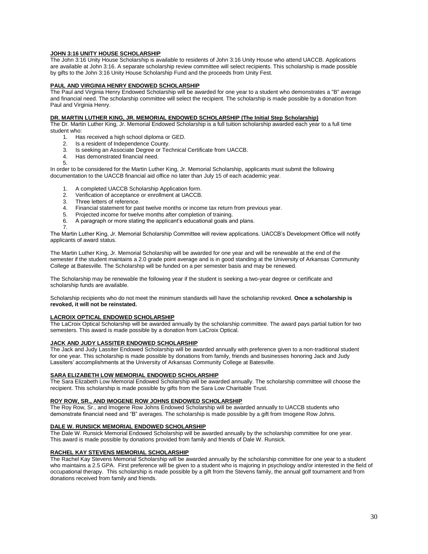#### **JOHN 3:16 UNITY HOUSE SCHOLARSHIP**

The John 3:16 Unity House Scholarship is available to residents of John 3:16 Unity House who attend UACCB. Applications are available at John 3:16. A separate scholarship review committee will select recipients. This scholarship is made possible by gifts to the John 3:16 Unity House Scholarship Fund and the proceeds from Unity Fest.

#### **PAUL AND VIRGINIA HENRY ENDOWED SCHOLARSHIP**

The Paul and Virginia Henry Endowed Scholarship will be awarded for one year to a student who demonstrates a "B" average and financial need. The scholarship committee will select the recipient. The scholarship is made possible by a donation from Paul and Virginia Henry.

#### **DR. MARTIN LUTHER KING, JR. MEMORIAL ENDOWED SCHOLARSHIP (The Initial Step Scholarship)**

The Dr. Martin Luther King, Jr. Memorial Endowed Scholarship is a full tuition scholarship awarded each year to a full time student who:<br>1 Ha

- Has received a high school diploma or GED.
- 2. Is a resident of Independence County.
- 3. Is seeking an Associate Degree or Technical Certificate from UACCB.
- 4. Has demonstrated financial need. 5.

In order to be considered for the Martin Luther King, Jr. Memorial Scholarship, applicants must submit the following documentation to the UACCB financial aid office no later than July 15 of each academic year.

- 1. A completed UACCB Scholarship Application form.
- 2. Verification of acceptance or enrollment at UACCB.
- 3. Three letters of reference.
- 4. Financial statement for past twelve months or income tax return from previous year.<br>5. Projected income for twelve months after completion of training.
- 5. Projected income for twelve months after completion of training.
- 6. A paragraph or more stating the applicant's educational goals and plans.

7.

The Martin Luther King, Jr. Memorial Scholarship Committee will review applications. UACCB's Development Office will notify applicants of award status.

The Martin Luther King, Jr. Memorial Scholarship will be awarded for one year and will be renewable at the end of the semester if the student maintains a 2.0 grade point average and is in good standing at the University of Arkansas Community College at Batesville. The Scholarship will be funded on a per semester basis and may be renewed.

The Scholarship may be renewable the following year if the student is seeking a two-year degree or certificate and scholarship funds are available.

Scholarship recipients who do not meet the minimum standards will have the scholarship revoked. **Once a scholarship is revoked, it will not be reinstated.**

#### **LACROIX OPTICAL ENDOWED SCHOLARSHIP**

The LaCroix Optical Scholarship will be awarded annually by the scholarship committee. The award pays partial tuition for two semesters. This award is made possible by a donation from LaCroix Optical.

#### **JACK AND JUDY LASSITER ENDOWED SCHOLARSHIP**

The Jack and Judy Lassiter Endowed Scholarship will be awarded annually with preference given to a non-traditional student for one year. This scholarship is made possible by donations from family, friends and businesses honoring Jack and Judy Lassiters' accomplishments at the University of Arkansas Community College at Batesville.

#### **SARA ELIZABETH LOW MEMORIAL ENDOWED SCHOLARSHIP**

The Sara Elizabeth Low Memorial Endowed Scholarship will be awarded annually. The scholarship committee will choose the recipient. This scholarship is made possible by gifts from the Sara Low Charitable Trust.

#### **ROY ROW, SR., AND IMOGENE ROW JOHNS ENDOWED SCHOLARSHIP**

The Roy Row, Sr., and Imogene Row Johns Endowed Scholarship will be awarded annually to UACCB students who demonstrate financial need and "B" averages. The scholarship is made possible by a gift from Imogene Row Johns.

#### **DALE W. RUNSICK MEMORIAL ENDOWED SCHOLARSHIP**

The Dale W. Runsick Memorial Endowed Scholarship will be awarded annually by the scholarship committee for one year. This award is made possible by donations provided from family and friends of Dale W. Runsick.

#### **RACHEL KAY STEVENS MEMORIAL SCHOLARSHIP**

The Rachel Kay Stevens Memorial Scholarship will be awarded annually by the scholarship committee for one year to a student who maintains a 2.5 GPA. First preference will be given to a student who is majoring in psychology and/or interested in the field of occupational therapy. This scholarship is made possible by a gift from the Stevens family, the annual golf tournament and from donations received from family and friends.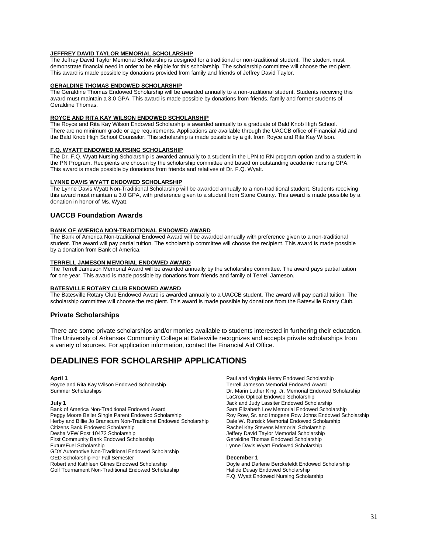# **JEFFREY DAVID TAYLOR MEMORIAL SCHOLARSHIP**

The Jeffrey David Taylor Memorial Scholarship is designed for a traditional or non-traditional student. The student must demonstrate financial need in order to be eligible for this scholarship. The scholarship committee will choose the recipient. This award is made possible by donations provided from family and friends of Jeffrey David Taylor.

#### **GERALDINE THOMAS ENDOWED SCHOLARSHIP**

The Geraldine Thomas Endowed Scholarship will be awarded annually to a non-traditional student. Students receiving this award must maintain a 3.0 GPA. This award is made possible by donations from friends, family and former students of Geraldine Thomas.

#### **ROYCE AND RITA KAY WILSON ENDOWED SCHOLARSHIP**

The Royce and Rita Kay Wilson Endowed Scholarship is awarded annually to a graduate of Bald Knob High School. There are no minimum grade or age requirements. Applications are available through the UACCB office of Financial Aid and the Bald Knob High School Counselor. This scholarship is made possible by a gift from Royce and Rita Kay Wilson.

#### **F.Q. WYATT ENDOWED NURSING SCHOLARSHIP**

The Dr. F.Q. Wyatt Nursing Scholarship is awarded annually to a student in the LPN to RN program option and to a student in the PN Program. Recipients are chosen by the scholarship committee and based on outstanding academic nursing GPA. This award is made possible by donations from friends and relatives of Dr. F.Q. Wyatt.

#### **LYNNE DAVIS WYATT ENDOWED SCHOLARSHIP**

The Lynne Davis Wyatt Non-Traditional Scholarship will be awarded annually to a non-traditional student. Students receiving this award must maintain a 3.0 GPA, with preference given to a student from Stone County. This award is made possible by a donation in honor of Ms. Wyatt.

#### **UACCB Foundation Awards**

#### **BANK OF AMERICA NON-TRADITIONAL ENDOWED AWARD**

The Bank of America Non-traditional Endowed Award will be awarded annually with preference given to a non-traditional student. The award will pay partial tuition. The scholarship committee will choose the recipient. This award is made possible by a donation from Bank of America.

#### **TERRELL JAMESON MEMORIAL ENDOWED AWARD**

The Terrell Jameson Memorial Award will be awarded annually by the scholarship committee. The award pays partial tuition for one year. This award is made possible by donations from friends and family of Terrell Jameson.

#### **BATESVILLE ROTARY CLUB ENDOWED AWARD**

The Batesville Rotary Club Endowed Award is awarded annually to a UACCB student. The award will pay partial tuition. The scholarship committee will choose the recipient. This award is made possible by donations from the Batesville Rotary Club.

#### **Private Scholarships**

There are some private scholarships and/or monies available to students interested in furthering their education. The University of Arkansas Community College at Batesville recognizes and accepts private scholarships from a variety of sources. For application information, contact the Financial Aid Office.

# **DEADLINES FOR SCHOLARSHIP APPLICATIONS**

Royce and Rita Kay Wilson Endowed Scholarship

Bank of America Non-Traditional Endowed Award<br>Peggy Moore Beller Single Parent Endowed Scholarship Sara Elizabeth Low Memorial Endowed Scholarship<br>Roy Row, Sr. and Imogene Row Johns Endowed Sc Herby and Billie Jo Branscum Non-Traditional Endowed Scholarship<br>Citizens Bank Endowed Scholarship Citizens Bank Endowed Scholarship **Rachel Kay Stevens Memorial Scholarship** Rachel Kay Stevens Memorial Scholarship<br>
Desha VFW Post 10472 Scholarship **Rachel Kay Stevens Memorial Scholarship** First Community Bank Endowed Scholarship **Geraldine Thomas Endowed Scholarship** Geraldine Thomas Endowed Scholarship **FutureFuel Scholarship** FutureFuel Scholarship Lynne Davis Wyatt Endowed Scholarship GDX Automotive Non-Traditional Endowed Scholarship GED Scholarship-For Fall Semester **Community Community December 1**<br>
Robert and Kathleen Glines Endowed Scholarship<br>
Dovle and Da Golf Tournament Non-Traditional Endowed Scholarship

**April 1** Paul and Virginia Henry Endowed Scholarship Summer Scholarships Dr. Marin Luther King, Jr. Memorial Endowed Scholarship LaCroix Optical Endowed Scholarship **July 1** Jack and Judy Lassiter Endowed Scholarship Roy Row, Sr. and Imogene Row Johns Endowed Scholarship<br>Dale W. Runsick Memorial Endowed Scholarship Jeffery David Taylor Memorial Scholarship<br>Geraldine Thomas Endowed Scholarship

Doyle and Darlene Berckefeldt Endowed Scholarship<br>Halide Dusay Endowed Scholarship F.Q. Wyatt Endowed Nursing Scholarship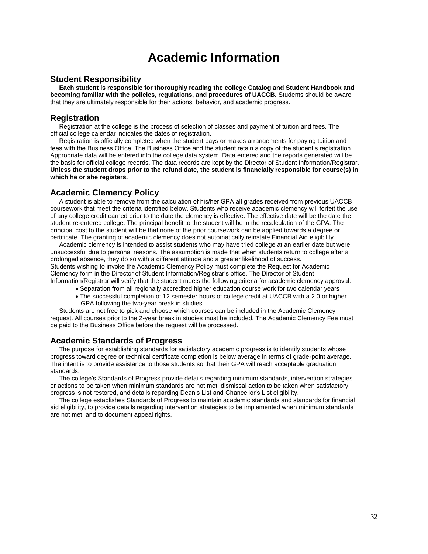# **Academic Information**

#### **Student Responsibility**

 **Each student is responsible for thoroughly reading the college Catalog and Student Handbook and becoming familiar with the policies, regulations, and procedures of UACCB.** Students should be aware that they are ultimately responsible for their actions, behavior, and academic progress.

#### **Registration**

 Registration at the college is the process of selection of classes and payment of tuition and fees. The official college calendar indicates the dates of registration.

 Registration is officially completed when the student pays or makes arrangements for paying tuition and fees with the Business Office. The Business Office and the student retain a copy of the student's registration. Appropriate data will be entered into the college data system. Data entered and the reports generated will be the basis for official college records. The data records are kept by the Director of Student Information/Registrar. **Unless the student drops prior to the refund date, the student is financially responsible for course(s) in which he or she registers.**

#### **Academic Clemency Policy**

 A student is able to remove from the calculation of his/her GPA all grades received from previous UACCB coursework that meet the criteria identified below. Students who receive academic clemency will forfeit the use of any college credit earned prior to the date the clemency is effective. The effective date will be the date the student re-entered college. The principal benefit to the student will be in the recalculation of the GPA. The principal cost to the student will be that none of the prior coursework can be applied towards a degree or certificate. The granting of academic clemency does not automatically reinstate Financial Aid eligibility.

 Academic clemency is intended to assist students who may have tried college at an earlier date but were unsuccessful due to personal reasons. The assumption is made that when students return to college after a prolonged absence, they do so with a different attitude and a greater likelihood of success. Students wishing to invoke the Academic Clemency Policy must complete the Request for Academic Clemency form in the Director of Student Information/Registrar's office. The Director of Student

Information/Registrar will verify that the student meets the following criteria for academic clemency approval:

- Separation from all regionally accredited higher education course work for two calendar years
- The successful completion of 12 semester hours of college credit at UACCB with a 2.0 or higher GPA following the two-year break in studies.

 Students are not free to pick and choose which courses can be included in the Academic Clemency request. All courses prior to the 2-year break in studies must be included. The Academic Clemency Fee must be paid to the Business Office before the request will be processed.

#### **Academic Standards of Progress**

 The purpose for establishing standards for satisfactory academic progress is to identify students whose progress toward degree or technical certificate completion is below average in terms of grade-point average. The intent is to provide assistance to those students so that their GPA will reach acceptable graduation standards.

 The college's Standards of Progress provide details regarding minimum standards, intervention strategies or actions to be taken when minimum standards are not met, dismissal action to be taken when satisfactory progress is not restored, and details regarding Dean's List and Chancellor's List eligibility.

 The college establishes Standards of Progress to maintain academic standards and standards for financial aid eligibility, to provide details regarding intervention strategies to be implemented when minimum standards are not met, and to document appeal rights.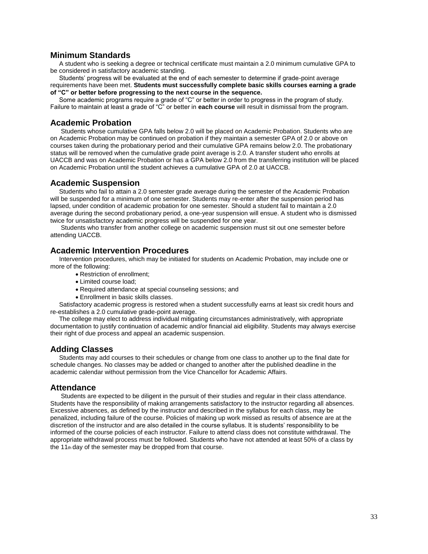### **Minimum Standards**

 A student who is seeking a degree or technical certificate must maintain a 2.0 minimum cumulative GPA to be considered in satisfactory academic standing.

 Students' progress will be evaluated at the end of each semester to determine if grade-point average requirements have been met. **Students must successfully complete basic skills courses earning a grade of "C" or better before progressing to the next course in the sequence.**

 Some academic programs require a grade of "C" or better in order to progress in the program of study. Failure to maintain at least a grade of "C" or better in **each course** will result in dismissal from the program.

### **Academic Probation**

 Students whose cumulative GPA falls below 2.0 will be placed on Academic Probation. Students who are on Academic Probation may be continued on probation if they maintain a semester GPA of 2.0 or above on courses taken during the probationary period and their cumulative GPA remains below 2.0. The probationary status will be removed when the cumulative grade point average is 2.0. A transfer student who enrolls at UACCB and was on Academic Probation or has a GPA below 2.0 from the transferring institution will be placed on Academic Probation until the student achieves a cumulative GPA of 2.0 at UACCB.

# **Academic Suspension**

 Students who fail to attain a 2.0 semester grade average during the semester of the Academic Probation will be suspended for a minimum of one semester. Students may re-enter after the suspension period has lapsed, under condition of academic probation for one semester. Should a student fail to maintain a 2.0 average during the second probationary period, a one-year suspension will ensue. A student who is dismissed twice for unsatisfactory academic progress will be suspended for one year.

 Students who transfer from another college on academic suspension must sit out one semester before attending UACCB.

# **Academic Intervention Procedures**

 Intervention procedures, which may be initiated for students on Academic Probation, may include one or more of the following:

- Restriction of enrollment;
	- Limited course load:
	- Required attendance at special counseling sessions; and
	- Enrollment in basic skills classes.

 Satisfactory academic progress is restored when a student successfully earns at least six credit hours and re-establishes a 2.0 cumulative grade-point average.

 The college may elect to address individual mitigating circumstances administratively, with appropriate documentation to justify continuation of academic and/or financial aid eligibility. Students may always exercise their right of due process and appeal an academic suspension.

### **Adding Classes**

 Students may add courses to their schedules or change from one class to another up to the final date for schedule changes. No classes may be added or changed to another after the published deadline in the academic calendar without permission from the Vice Chancellor for Academic Affairs.

### **Attendance**

 Students are expected to be diligent in the pursuit of their studies and regular in their class attendance. Students have the responsibility of making arrangements satisfactory to the instructor regarding all absences. Excessive absences, as defined by the instructor and described in the syllabus for each class, may be penalized, including failure of the course. Policies of making up work missed as results of absence are at the discretion of the instructor and are also detailed in the course syllabus. It is students' responsibility to be informed of the course policies of each instructor. Failure to attend class does not constitute withdrawal. The appropriate withdrawal process must be followed. Students who have not attended at least 50% of a class by the 11th day of the semester may be dropped from that course.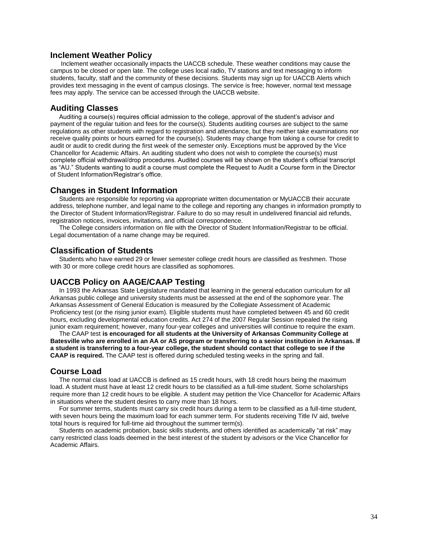#### **Inclement Weather Policy**

 Inclement weather occasionally impacts the UACCB schedule. These weather conditions may cause the campus to be closed or open late. The college uses local radio, TV stations and text messaging to inform students, faculty, staff and the community of these decisions. Students may sign up for UACCB Alerts which provides text messaging in the event of campus closings. The service is free; however, normal text message fees may apply. The service can be accessed through the UACCB website.

#### **Auditing Classes**

 Auditing a course(s) requires official admission to the college, approval of the student's advisor and payment of the regular tuition and fees for the course(s). Students auditing courses are subject to the same regulations as other students with regard to registration and attendance, but they neither take examinations nor receive quality points or hours earned for the course(s). Students may change from taking a course for credit to audit or audit to credit during the first week of the semester only. Exceptions must be approved by the Vice Chancellor for Academic Affairs. An auditing student who does not wish to complete the course(s) must complete official withdrawal/drop procedures. Audited courses will be shown on the student's official transcript as "AU." Students wanting to audit a course must complete the Request to Audit a Course form in the Director of Student Information/Registrar's office.

#### **Changes in Student Information**

 Students are responsible for reporting via appropriate written documentation or MyUACCB their accurate address, telephone number, and legal name to the college and reporting any changes in information promptly to the Director of Student Information/Registrar. Failure to do so may result in undelivered financial aid refunds, registration notices, invoices, invitations, and official correspondence.

 The College considers information on file with the Director of Student Information/Registrar to be official. Legal documentation of a name change may be required.

#### **Classification of Students**

 Students who have earned 29 or fewer semester college credit hours are classified as freshmen. Those with 30 or more college credit hours are classified as sophomores.

#### **UACCB Policy on AAGE/CAAP Testing**

 In 1993 the Arkansas State Legislature mandated that learning in the general education curriculum for all Arkansas public college and university students must be assessed at the end of the sophomore year. The Arkansas Assessment of General Education is measured by the Collegiate Assessment of Academic Proficiency test (or the rising junior exam). Eligible students must have completed between 45 and 60 credit hours, excluding developmental education credits. Act 274 of the 2007 Regular Session repealed the rising junior exam requirement; however, many four-year colleges and universities will continue to require the exam.

 The CAAP test **is encouraged for all students at the University of Arkansas Community College at Batesville who are enrolled in an AA or AS program or transferring to a senior institution in Arkansas. If a student is transferring to a four-year college, the student should contact that college to see if the CAAP is required.** The CAAP test is offered during scheduled testing weeks in the spring and fall.

#### **Course Load**

 The normal class load at UACCB is defined as 15 credit hours, with 18 credit hours being the maximum load. A student must have at least 12 credit hours to be classified as a full-time student. Some scholarships require more than 12 credit hours to be eligible. A student may petition the Vice Chancellor for Academic Affairs in situations where the student desires to carry more than 18 hours.

 For summer terms, students must carry six credit hours during a term to be classified as a full-time student, with seven hours being the maximum load for each summer term. For students receiving Title IV aid, twelve total hours is required for full-time aid throughout the summer term(s).

 Students on academic probation, basic skills students, and others identified as academically "at risk" may carry restricted class loads deemed in the best interest of the student by advisors or the Vice Chancellor for Academic Affairs.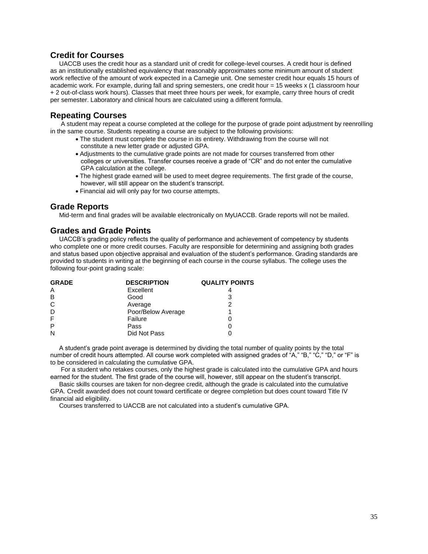# **Credit for Courses**

 UACCB uses the credit hour as a standard unit of credit for college-level courses. A credit hour is defined as an institutionally established equivalency that reasonably approximates some minimum amount of student work reflective of the amount of work expected in a Carnegie unit. One semester credit hour equals 15 hours of academic work. For example, during fall and spring semesters, one credit hour = 15 weeks x (1 classroom hour + 2 out-of-class work hours). Classes that meet three hours per week, for example, carry three hours of credit per semester. Laboratory and clinical hours are calculated using a different formula.

# **Repeating Courses**

 A student may repeat a course completed at the college for the purpose of grade point adjustment by reenrolling in the same course. Students repeating a course are subject to the following provisions:

- The student must complete the course in its entirety. Withdrawing from the course will not constitute a new letter grade or adjusted GPA.
- Adjustments to the cumulative grade points are not made for courses transferred from other colleges or universities. Transfer courses receive a grade of "CR" and do not enter the cumulative GPA calculation at the college.
- The highest grade earned will be used to meet degree requirements. The first grade of the course, however, will still appear on the student's transcript.
- Financial aid will only pay for two course attempts.

# **Grade Reports**

Mid-term and final grades will be available electronically on MyUACCB. Grade reports will not be mailed.

### **Grades and Grade Points**

 UACCB's grading policy reflects the quality of performance and achievement of competency by students who complete one or more credit courses. Faculty are responsible for determining and assigning both grades and status based upon objective appraisal and evaluation of the student's performance. Grading standards are provided to students in writing at the beginning of each course in the course syllabus. The college uses the following four-point grading scale:

| <b>GRADE</b> | <b>DESCRIPTION</b> | <b>QUALITY POINTS</b> |
|--------------|--------------------|-----------------------|
| Α            | Excellent          |                       |
| B            | Good               | 3                     |
| C            | Average            | າ                     |
| D            | Poor/Below Average |                       |
| F            | Failure            |                       |
| P            | Pass               |                       |
| N            | Did Not Pass       |                       |

 A student's grade point average is determined by dividing the total number of quality points by the total number of credit hours attempted. All course work completed with assigned grades of "A," "B," "C," "D," or "F" is to be considered in calculating the cumulative GPA.

 For a student who retakes courses, only the highest grade is calculated into the cumulative GPA and hours earned for the student. The first grade of the course will, however, still appear on the student's transcript.

 Basic skills courses are taken for non-degree credit, although the grade is calculated into the cumulative GPA. Credit awarded does not count toward certificate or degree completion but does count toward Title IV financial aid eligibility.

Courses transferred to UACCB are not calculated into a student's cumulative GPA.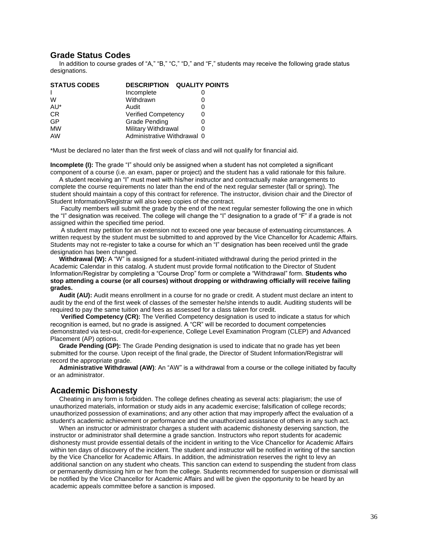#### **Grade Status Codes**

 In addition to course grades of "A," "B," "C," "D," and "F," students may receive the following grade status designations.

| <b>DESCRIPTION</b> | <b>QUALITY POINTS</b>                                                                   |
|--------------------|-----------------------------------------------------------------------------------------|
| Incomplete         |                                                                                         |
| Withdrawn          | 0                                                                                       |
| Audit              | 0                                                                                       |
|                    | 0                                                                                       |
| Grade Pending      |                                                                                         |
|                    |                                                                                         |
|                    |                                                                                         |
|                    | <b>Verified Competency</b><br><b>Military Withdrawal</b><br>Administrative Withdrawal 0 |

\*Must be declared no later than the first week of class and will not qualify for financial aid.

**Incomplete (I):** The grade "I" should only be assigned when a student has not completed a significant component of a course (i.e. an exam, paper or project) and the student has a valid rationale for this failure.

 A student receiving an "I" must meet with his/her instructor and contractually make arrangements to complete the course requirements no later than the end of the next regular semester (fall or spring). The student should maintain a copy of this contract for reference. The instructor, division chair and the Director of Student Information/Registrar will also keep copies of the contract.

 Faculty members will submit the grade by the end of the next regular semester following the one in which the "I" designation was received. The college will change the "I" designation to a grade of "F" if a grade is not assigned within the specified time period.

 A student may petition for an extension not to exceed one year because of extenuating circumstances. A written request by the student must be submitted to and approved by the Vice Chancellor for Academic Affairs. Students may not re-register to take a course for which an "I" designation has been received until the grade designation has been changed.

**Withdrawal (W):** A "W" is assigned for a student-initiated withdrawal during the period printed in the Academic Calendar in this catalog. A student must provide formal notification to the Director of Student Information/Registrar by completing a "Course Drop" form or complete a "Withdrawal" form. **Students who stop attending a course (or all courses) without dropping or withdrawing officially will receive failing grades.**

 **Audit (AU):** Audit means enrollment in a course for no grade or credit. A student must declare an intent to audit by the end of the first week of classes of the semester he/she intends to audit. Auditing students will be required to pay the same tuition and fees as assessed for a class taken for credit.

 **Verified Competency (CR):** The Verified Competency designation is used to indicate a status for which recognition is earned, but no grade is assigned. A "CR" will be recorded to document competencies demonstrated via test-out, credit-for-experience, College Level Examination Program (CLEP) and Advanced Placement (AP) options.

 **Grade Pending (GP):** The Grade Pending designation is used to indicate that no grade has yet been submitted for the course. Upon receipt of the final grade, the Director of Student Information/Registrar will record the appropriate grade.

 **Administrative Withdrawal (AW)**: An "AW" is a withdrawal from a course or the college initiated by faculty or an administrator.

#### **Academic Dishonesty**

 Cheating in any form is forbidden. The college defines cheating as several acts: plagiarism; the use of unauthorized materials, information or study aids in any academic exercise; falsification of college records; unauthorized possession of examinations; and any other action that may improperly affect the evaluation of a student's academic achievement or performance and the unauthorized assistance of others in any such act.

 When an instructor or administrator charges a student with academic dishonesty deserving sanction, the instructor or administrator shall determine a grade sanction. Instructors who report students for academic dishonesty must provide essential details of the incident in writing to the Vice Chancellor for Academic Affairs within ten days of discovery of the incident. The student and instructor will be notified in writing of the sanction by the Vice Chancellor for Academic Affairs. In addition, the administration reserves the right to levy an additional sanction on any student who cheats. This sanction can extend to suspending the student from class or permanently dismissing him or her from the college. Students recommended for suspension or dismissal will be notified by the Vice Chancellor for Academic Affairs and will be given the opportunity to be heard by an academic appeals committee before a sanction is imposed.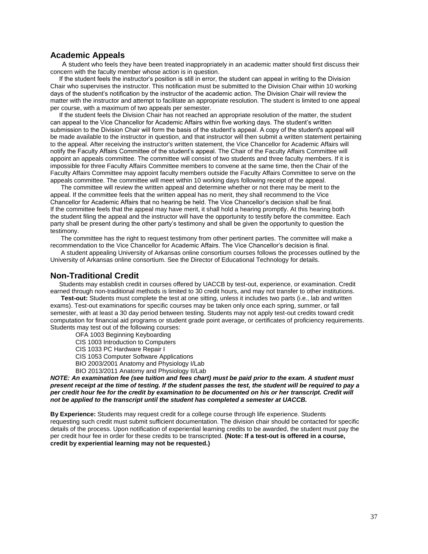# **Academic Appeals**

 A student who feels they have been treated inappropriately in an academic matter should first discuss their concern with the faculty member whose action is in question.

 If the student feels the instructor's position is still in error, the student can appeal in writing to the Division Chair who supervises the instructor. This notification must be submitted to the Division Chair within 10 working days of the student's notification by the instructor of the academic action. The Division Chair will review the matter with the instructor and attempt to facilitate an appropriate resolution. The student is limited to one appeal per course, with a maximum of two appeals per semester.

 If the student feels the Division Chair has not reached an appropriate resolution of the matter, the student can appeal to the Vice Chancellor for Academic Affairs within five working days. The student's written submission to the Division Chair will form the basis of the student's appeal. A copy of the student's appeal will be made available to the instructor in question, and that instructor will then submit a written statement pertaining to the appeal. After receiving the instructor's written statement, the Vice Chancellor for Academic Affairs will notify the Faculty Affairs Committee of the student's appeal. The Chair of the Faculty Affairs Committee will appoint an appeals committee. The committee will consist of two students and three faculty members. If it is impossible for three Faculty Affairs Committee members to convene at the same time, then the Chair of the Faculty Affairs Committee may appoint faculty members outside the Faculty Affairs Committee to serve on the appeals committee. The committee will meet within 10 working days following receipt of the appeal.

The committee will review the written appeal and determine whether or not there may be merit to the appeal. If the committee feels that the written appeal has no merit, they shall recommend to the Vice Chancellor for Academic Affairs that no hearing be held. The Vice Chancellor's decision shall be final. If the committee feels that the appeal may have merit, it shall hold a hearing promptly. At this hearing both the student filing the appeal and the instructor will have the opportunity to testify before the committee. Each party shall be present during the other party's testimony and shall be given the opportunity to question the testimony.

 The committee has the right to request testimony from other pertinent parties. The committee will make a recommendation to the Vice Chancellor for Academic Affairs. The Vice Chancellor's decision is final.

 A student appealing University of Arkansas online consortium courses follows the processes outlined by the University of Arkansas online consortium. See the Director of Educational Technology for details.

## **Non-Traditional Credit**

 Students may establish credit in courses offered by UACCB by test-out, experience, or examination. Credit earned through non-traditional methods is limited to 30 credit hours, and may not transfer to other institutions.

 **Test-out:** Students must complete the test at one sitting, unless it includes two parts (i.e., lab and written exams). Test-out examinations for specific courses may be taken only once each spring, summer, or fall semester, with at least a 30 day period between testing. Students may not apply test-out credits toward credit computation for financial aid programs or student grade point average, or certificates of proficiency requirements. Students may test out of the following courses:

OFA 1003 Beginning Keyboarding

- CIS 1003 Introduction to Computers
- CIS 1033 PC Hardware Repair I
- CIS 1053 Computer Software Applications
- BIO 2003/2001 Anatomy and Physiology I/Lab
- BIO 2013/2011 Anatomy and Physiology II/Lab

*NOTE: An examination fee (see tuition and fees chart) must be paid prior to the exam. A student must present receipt at the time of testing. If the student passes the test, the student will be required to pay a per credit hour fee for the credit by examination to be documented on his or her transcript. Credit will not be applied to the transcript until the student has completed a semester at UACCB.*

**By Experience:** Students may request credit for a college course through life experience. Students requesting such credit must submit sufficient documentation. The division chair should be contacted for specific details of the process. Upon notification of experiential learning credits to be awarded, the student must pay the per credit hour fee in order for these credits to be transcripted. **(Note: If a test-out is offered in a course, credit by experiential learning may not be requested.)**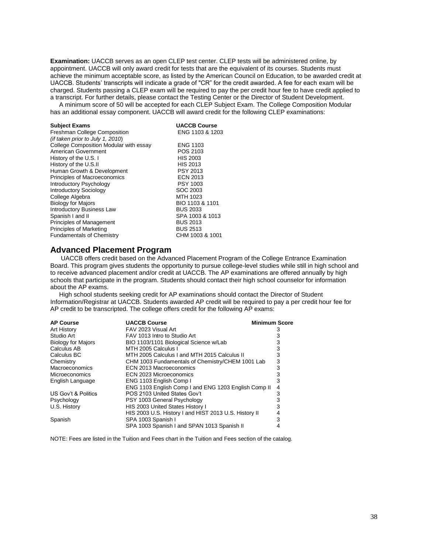**Examination:** UACCB serves as an open CLEP test center. CLEP tests will be administered online, by appointment. UACCB will only award credit for tests that are the equivalent of its courses. Students must achieve the minimum acceptable score, as listed by the American Council on Education, to be awarded credit at UACCB. Students' transcripts will indicate a grade of "CR" for the credit awarded. A fee for each exam will be charged. Students passing a CLEP exam will be required to pay the per credit hour fee to have credit applied to a transcript. For further details, please contact the Testing Center or the Director of Student Development.

 A minimum score of 50 will be accepted for each CLEP Subject Exam. The College Composition Modular has an additional essay component. UACCB will award credit for the following CLEP examinations:

| <b>Subject Exams</b>                   | <b>UACCB Course</b> |
|----------------------------------------|---------------------|
| Freshman College Composition           | ENG 1103 & 1203     |
| (if taken prior to July 1, 2010)       |                     |
| College Composition Modular with essay | <b>ENG 1103</b>     |
| American Government                    | POS 2103            |
| History of the U.S. I                  | <b>HIS 2003</b>     |
| History of the U.S.II                  | HIS 2013            |
| Human Growth & Development             | <b>PSY 2013</b>     |
| Principles of Macroeconomics           | <b>ECN 2013</b>     |
| Introductory Psychology                | <b>PSY 1003</b>     |
| <b>Introductory Sociology</b>          | SOC 2003            |
| College Algebra                        | MTH 1023            |
| <b>Biology for Majors</b>              | BIO 1103 & 1101     |
| <b>Introductory Business Law</b>       | <b>BUS 2033</b>     |
| Spanish I and II                       | SPA 1003 & 1013     |
| Principles of Management               | <b>BUS 2013</b>     |
| Principles of Marketing                | <b>BUS 2513</b>     |
| <b>Fundamentals of Chemistry</b>       | CHM 1003 & 1001     |

# **Advanced Placement Program**

 UACCB offers credit based on the Advanced Placement Program of the College Entrance Examination Board. This program gives students the opportunity to pursue college-level studies while still in high school and to receive advanced placement and/or credit at UACCB. The AP examinations are offered annually by high schools that participate in the program. Students should contact their high school counselor for information about the AP exams.

 High school students seeking credit for AP examinations should contact the Director of Student Information/Registrar at UACCB. Students awarded AP credit will be required to pay a per credit hour fee for AP credit to be transcripted. The college offers credit for the following AP exams:

| <b>AP Course</b>          | <b>UACCB Course</b>                                   | <b>Minimum Score</b> |  |
|---------------------------|-------------------------------------------------------|----------------------|--|
| <b>Art History</b>        | FAV 2023 Visual Art                                   |                      |  |
| Studio Art                | FAV 1013 Intro to Studio Art                          |                      |  |
| <b>Biology for Majors</b> | BIO 1103/1101 Biological Science w/Lab                | 3                    |  |
| Calculus AB               | MTH 2005 Calculus I                                   | 3                    |  |
| Calculus BC               | MTH 2005 Calculus I and MTH 2015 Calculus II          | 3                    |  |
| Chemistry                 | CHM 1003 Fundamentals of Chemistry/CHEM 1001 Lab      | 3                    |  |
| Macroeconomics            | ECN 2013 Macroeconomics                               | 3                    |  |
| <b>Microeconomics</b>     | ECN 2023 Microeconomics                               |                      |  |
| English Language          | ENG 1103 English Comp I                               | 3                    |  |
|                           | ENG 1103 English Comp I and ENG 1203 English Comp II  | 4                    |  |
| US Gov't & Politics       | POS 2103 United States Gov't                          | 3                    |  |
| Psychology                | PSY 1003 General Psychology                           |                      |  |
| U.S. History              | HIS 2003 United States History I                      | 3                    |  |
|                           | HIS 2003 U.S. History I and HIST 2013 U.S. History II | 4                    |  |
| Spanish                   | SPA 1003 Spanish I                                    | 3                    |  |
|                           | SPA 1003 Spanish I and SPAN 1013 Spanish II           |                      |  |

NOTE: Fees are listed in the Tuition and Fees chart in the Tuition and Fees section of the catalog.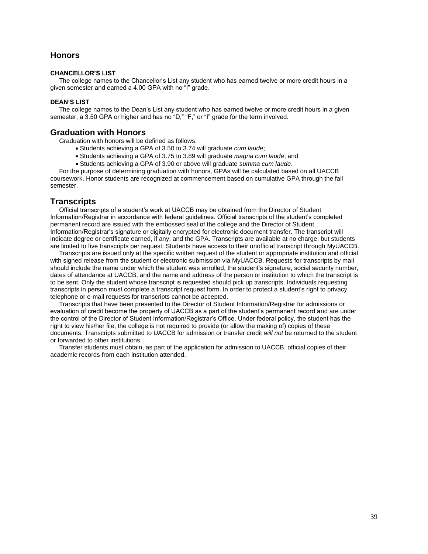# **Honors**

### **CHANCELLOR'S LIST**

 The college names to the Chancellor's List any student who has earned twelve or more credit hours in a given semester and earned a 4.00 GPA with no "I" grade.

### **DEAN'S LIST**

 The college names to the Dean's List any student who has earned twelve or more credit hours in a given semester, a 3.50 GPA or higher and has no "D," "F," or "I" grade for the term involved.

# **Graduation with Honors**

Graduation with honors will be defined as follows:

- Students achieving a GPA of 3.50 to 3.74 will graduate *cum laude*;
- Students achieving a GPA of 3.75 to 3.89 will graduate *magna cum laude*; and
- Students achieving a GPA of 3.90 or above will graduate *summa cum laude*.

 For the purpose of determining graduation with honors, GPAs will be calculated based on all UACCB coursework. Honor students are recognized at commencement based on cumulative GPA through the fall semester.

# **Transcripts**

 Official transcripts of a student's work at UACCB may be obtained from the Director of Student Information/Registrar in accordance with federal guidelines. Official transcripts of the student's completed permanent record are issued with the embossed seal of the college and the Director of Student Information/Registrar's signature or digitally encrypted for electronic document transfer. The transcript will indicate degree or certificate earned, if any, and the GPA. Transcripts are available at no charge, but students are limited to five transcripts per request. Students have access to their unofficial transcript through MyUACCB.

 Transcripts are issued only at the specific written request of the student or appropriate institution and official with signed release from the student or electronic submission via MyUACCB. Requests for transcripts by mail should include the name under which the student was enrolled, the student's signature, social security number, dates of attendance at UACCB, and the name and address of the person or institution to which the transcript is to be sent. Only the student whose transcript is requested should pick up transcripts. Individuals requesting transcripts in person must complete a transcript request form. In order to protect a student's right to privacy, telephone or e-mail requests for transcripts cannot be accepted.

 Transcripts that have been presented to the Director of Student Information/Registrar for admissions or evaluation of credit become the property of UACCB as a part of the student's permanent record and are under the control of the Director of Student Information/Registrar's Office. Under federal policy, the student has the right to view his/her file; the college is not required to provide (or allow the making of) copies of these documents. Transcripts submitted to UACCB for admission or transfer credit *will not* be returned to the student or forwarded to other institutions.

 Transfer students must obtain, as part of the application for admission to UACCB, official copies of their academic records from each institution attended.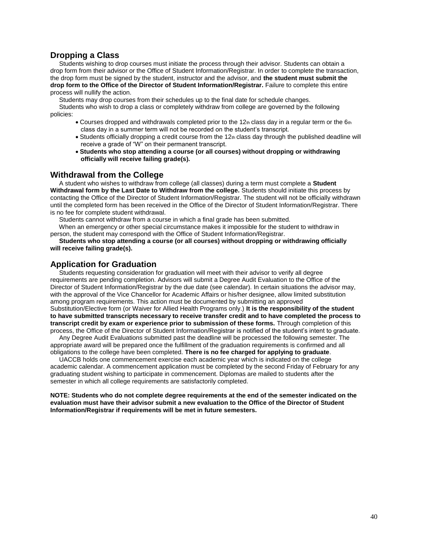# **Dropping a Class**

 Students wishing to drop courses must initiate the process through their advisor. Students can obtain a drop form from their advisor or the Office of Student Information/Registrar. In order to complete the transaction, the drop form must be signed by the student, instructor and the advisor, and **the student must submit the drop form to the Office of the Director of Student Information/Registrar.** Failure to complete this entire process will nullify the action.

Students may drop courses from their schedules up to the final date for schedule changes.

 Students who wish to drop a class or completely withdraw from college are governed by the following policies:

- Courses dropped and withdrawals completed prior to the 12th class day in a regular term or the  $6th$ class day in a summer term will not be recorded on the student's transcript.
- Students officially dropping a credit course from the 12th class day through the published deadline will receive a grade of "W" on their permanent transcript.
- **Students who stop attending a course (or all courses) without dropping or withdrawing officially will receive failing grade(s).**

# **Withdrawal from the College**

 A student who wishes to withdraw from college (all classes) during a term must complete a **Student Withdrawal form by the Last Date to Withdraw from the college.** Students should initiate this process by contacting the Office of the Director of Student Information/Registrar. The student will not be officially withdrawn until the completed form has been received in the Office of the Director of Student Information/Registrar. There is no fee for complete student withdrawal.

Students cannot withdraw from a course in which a final grade has been submitted.

 When an emergency or other special circumstance makes it impossible for the student to withdraw in person, the student may correspond with the Office of Student Information/Registrar.

#### **Students who stop attending a course (or all courses) without dropping or withdrawing officially will receive failing grade(s).**

# **Application for Graduation**

 Students requesting consideration for graduation will meet with their advisor to verify all degree requirements are pending completion. Advisors will submit a Degree Audit Evaluation to the Office of the Director of Student Information/Registrar by the due date (see calendar). In certain situations the advisor may, with the approval of the Vice Chancellor for Academic Affairs or his/her designee, allow limited substitution among program requirements. This action must be documented by submitting an approved Substitution/Elective form (or Waiver for Allied Health Programs only.) **It is the responsibility of the student to have submitted transcripts necessary to receive transfer credit and to have completed the process to transcript credit by exam or experience prior to submission of these forms.** Through completion of this process, the Office of the Director of Student Information/Registrar is notified of the student's intent to graduate.

 Any Degree Audit Evaluations submitted past the deadline will be processed the following semester. The appropriate award will be prepared once the fulfillment of the graduation requirements is confirmed and all obligations to the college have been completed. **There is no fee charged for applying to graduate**.

 UACCB holds one commencement exercise each academic year which is indicated on the college academic calendar. A commencement application must be completed by the second Friday of February for any graduating student wishing to participate in commencement. Diplomas are mailed to students after the semester in which all college requirements are satisfactorily completed.

**NOTE: Students who do not complete degree requirements at the end of the semester indicated on the evaluation must have their advisor submit a new evaluation to the Office of the Director of Student Information/Registrar if requirements will be met in future semesters.**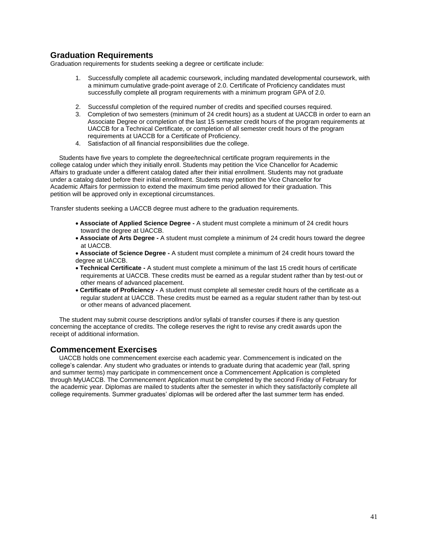# **Graduation Requirements**

Graduation requirements for students seeking a degree or certificate include:

- 1. Successfully complete all academic coursework, including mandated developmental coursework, with a minimum cumulative grade-point average of 2.0. Certificate of Proficiency candidates must successfully complete all program requirements with a minimum program GPA of 2.0.
- 2. Successful completion of the required number of credits and specified courses required.
- 3. Completion of two semesters (minimum of 24 credit hours) as a student at UACCB in order to earn an Associate Degree or completion of the last 15 semester credit hours of the program requirements at UACCB for a Technical Certificate, or completion of all semester credit hours of the program requirements at UACCB for a Certificate of Proficiency.
- 4. Satisfaction of all financial responsibilities due the college.

 Students have five years to complete the degree/technical certificate program requirements in the college catalog under which they initially enroll. Students may petition the Vice Chancellor for Academic Affairs to graduate under a different catalog dated after their initial enrollment. Students may not graduate under a catalog dated before their initial enrollment. Students may petition the Vice Chancellor for Academic Affairs for permission to extend the maximum time period allowed for their graduation. This petition will be approved only in exceptional circumstances.

Transfer students seeking a UACCB degree must adhere to the graduation requirements.

- **Associate of Applied Science Degree -** A student must complete a minimum of 24 credit hours toward the degree at UACCB.
- **Associate of Arts Degree -** A student must complete a minimum of 24 credit hours toward the degree at UACCB.
- **Associate of Science Degree -** A student must complete a minimum of 24 credit hours toward the degree at UACCB.
- **Technical Certificate -** A student must complete a minimum of the last 15 credit hours of certificate requirements at UACCB. These credits must be earned as a regular student rather than by test-out or other means of advanced placement.
- **Certificate of Proficiency -** A student must complete all semester credit hours of the certificate as a regular student at UACCB. These credits must be earned as a regular student rather than by test-out or other means of advanced placement.

 The student may submit course descriptions and/or syllabi of transfer courses if there is any question concerning the acceptance of credits. The college reserves the right to revise any credit awards upon the receipt of additional information.

# **Commencement Exercises**

 UACCB holds one commencement exercise each academic year. Commencement is indicated on the college's calendar. Any student who graduates or intends to graduate during that academic year (fall, spring and summer terms) may participate in commencement once a Commencement Application is completed through MyUACCB. The Commencement Application must be completed by the second Friday of February for the academic year. Diplomas are mailed to students after the semester in which they satisfactorily complete all college requirements. Summer graduates' diplomas will be ordered after the last summer term has ended.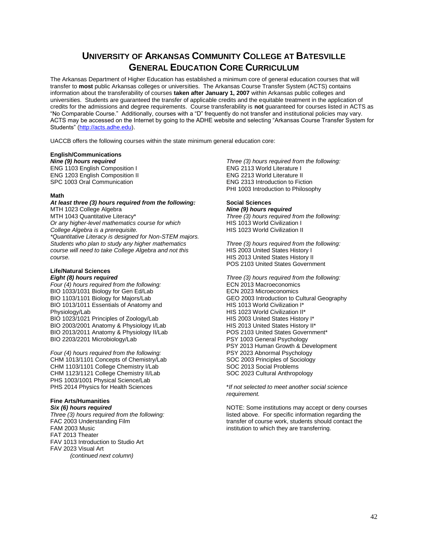# **UNIVERSITY OF ARKANSAS COMMUNITY COLLEGE AT BATESVILLE GENERAL EDUCATION CORE CURRICULUM**

The Arkansas Department of Higher Education has established a minimum core of general education courses that will transfer to **most** public Arkansas colleges or universities. The Arkansas Course Transfer System (ACTS) contains information about the transferability of courses **taken after January 1, 2007** within Arkansas public colleges and universities. Students are guaranteed the transfer of applicable credits and the equitable treatment in the application of credits for the admissions and degree requirements. Course transferability is **not** guaranteed for courses listed in ACTS as "No Comparable Course." Additionally, courses with a "D" frequently do not transfer and institutional policies may vary. ACTS may be accessed on the Internet by going to the ADHE website and selecting "Arkansas Course Transfer System for Students" [\(http://acts.adhe.edu\)](http://acts.adhe.edu/).

UACCB offers the following courses within the state minimum general education core:

### **English/Communications**

*Nine (9) hours required* ENG 1103 English Composition I ENG 1203 English Composition II SPC 1003 Oral Communication

#### **Math**

#### *At least three (3) hours required from the following:* MTH 1023 College Algebra MTH 1043 Quantitative Literacy\* *Or any higher-level mathematics course for which College Algebra is a prerequisite. \*Quantitative Literacy is designed for Non-STEM majors. Students who plan to study any higher mathematics course will need to take College Algebra and not this course.*

# **Life/Natural Sciences**

# *Eight (8) hours required*

*Four (4) hours required from the following:* BIO 1033/1031 Biology for Gen Ed/Lab BIO 1103/1101 Biology for Majors/Lab BIO 1013/1011 Essentials of Anatomy and Physiology/Lab BIO 1023/1021 Principles of Zoology/Lab BIO 2003/2001 Anatomy & Physiology I/Lab BIO 2013/2011 Anatomy & Physiology II/Lab BIO 2203/2201 Microbiology/Lab

*Four (4) hours required from the following:* CHM 1013/1101 Concepts of Chemistry/Lab CHM 1103/1101 College Chemistry I/Lab CHM 1123/1121 College Chemistry II/Lab PHS 1003/1001 Physical Science/Lab PHS 2014 Physics for Health Sciences

# **Fine Arts/Humanities**

*Six (6) hours required Three (3) hours required from the following:* FAC 2003 Understanding Film FAM 2003 Music FAT 2013 Theater FAV 1013 Introduction to Studio Art FAV 2023 Visual Art  *(continued next column)*

*Three (3) hours required from the following:* ENG 2113 World Literature I ENG 2213 World Literature II ENG 2313 Introduction to Fiction PHI 1003 Introduction to Philosophy

#### **Social Sciences** *Nine (9) hours required*

*Three (3) hours required from the following:* HIS 1013 World Civilization I HIS 1023 World Civilization II

*Three (3) hours required from the following:* HIS 2003 United States History I HIS 2013 United States History II POS 2103 United States Government

*Three (3) hours required from the following:* ECN 2013 Macroeconomics ECN 2023 Microeconomics GEO 2003 Introduction to Cultural Geography HIS 1013 World Civilization I\* HIS 1023 World Civilization II\* HIS 2003 United States History I\* HIS 2013 United States History II\* POS 2103 United States Government\* PSY 1003 General Psychology PSY 2013 Human Growth & Development PSY 2023 Abnormal Psychology SOC 2003 Principles of Sociology SOC 2013 Social Problems SOC 2023 Cultural Anthropology

\**If not selected to meet another social science requirement.*

NOTE: Some institutions may accept or deny courses listed above. For specific information regarding the transfer of course work, students should contact the institution to which they are transferring.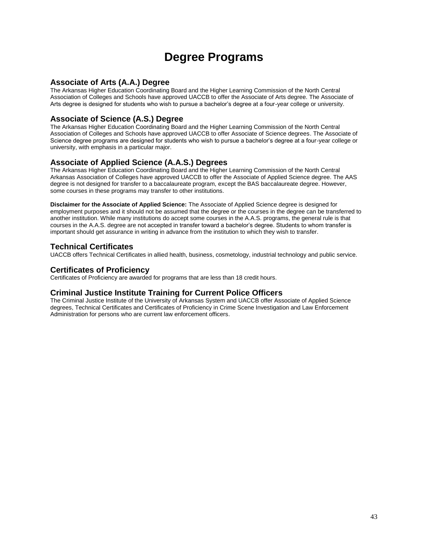# **Degree Programs**

# **Associate of Arts (A.A.) Degree**

The Arkansas Higher Education Coordinating Board and the Higher Learning Commission of the North Central Association of Colleges and Schools have approved UACCB to offer the Associate of Arts degree. The Associate of Arts degree is designed for students who wish to pursue a bachelor's degree at a four-year college or university.

# **Associate of Science (A.S.) Degree**

The Arkansas Higher Education Coordinating Board and the Higher Learning Commission of the North Central Association of Colleges and Schools have approved UACCB to offer Associate of Science degrees. The Associate of Science degree programs are designed for students who wish to pursue a bachelor's degree at a four-year college or university, with emphasis in a particular major.

# **Associate of Applied Science (A.A.S.) Degrees**

The Arkansas Higher Education Coordinating Board and the Higher Learning Commission of the North Central Arkansas Association of Colleges have approved UACCB to offer the Associate of Applied Science degree. The AAS degree is not designed for transfer to a baccalaureate program, except the BAS baccalaureate degree. However, some courses in these programs may transfer to other institutions.

**Disclaimer for the Associate of Applied Science:** The Associate of Applied Science degree is designed for employment purposes and it should not be assumed that the degree or the courses in the degree can be transferred to another institution. While many institutions do accept some courses in the A.A.S. programs, the general rule is that courses in the A.A.S. degree are not accepted in transfer toward a bachelor's degree. Students to whom transfer is important should get assurance in writing in advance from the institution to which they wish to transfer.

# **Technical Certificates**

UACCB offers Technical Certificates in allied health, business, cosmetology, industrial technology and public service.

# **Certificates of Proficiency**

Certificates of Proficiency are awarded for programs that are less than 18 credit hours.

# **Criminal Justice Institute Training for Current Police Officers**

The Criminal Justice Institute of the University of Arkansas System and UACCB offer Associate of Applied Science degrees, Technical Certificates and Certificates of Proficiency in Crime Scene Investigation and Law Enforcement Administration for persons who are current law enforcement officers.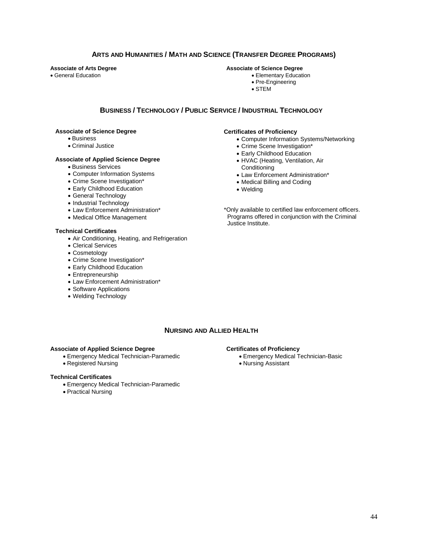# **ARTS AND HUMANITIES / MATH AND SCIENCE (TRANSFER DEGREE PROGRAMS)**

**Associate of Arts Degree**

General Education

#### **Associate of Science Degree**

Elementary Education

- Pre-Engineering
- STEM

# **BUSINESS / TECHNOLOGY / PUBLIC SERVICE / INDUSTRIAL TECHNOLOGY**

### **Associate of Science Degree**

- Business
- Criminal Justice

#### **Associate of Applied Science Degree**

- Business Services
- Computer Information Systems
- Crime Scene Investigation\*
- Early Childhood Education
- General Technology
- Industrial Technology
- Law Enforcement Administration\*
- Medical Office Management

### **Technical Certificates**

- Air Conditioning, Heating, and Refrigeration
- Clerical Services
- Cosmetology
- Crime Scene Investigation\*
- Early Childhood Education
- Entrepreneurship
- Law Enforcement Administration\*
- Software Applications
- Welding Technology

# **Certificates of Proficiency**

- Computer Information Systems/Networking
- Crime Scene Investigation\*
- Early Childhood Education
- HVAC (Heating, Ventilation, Air **Conditioning**
- Law Enforcement Administration\*
- Medical Billing and Coding
- 
- Welding

\*Only available to certified law enforcement officers. Programs offered in conjunction with the Criminal Justice Institute.

# **NURSING AND ALLIED HEALTH**

## **Associate of Applied Science Degree**

- Emergency Medical Technician-Paramedic
- Registered Nursing

### **Technical Certificates**

- Emergency Medical Technician-Paramedic
- Practical Nursing

#### **Certificates of Proficiency**

- Emergency Medical Technician-Basic
- Nursing Assistant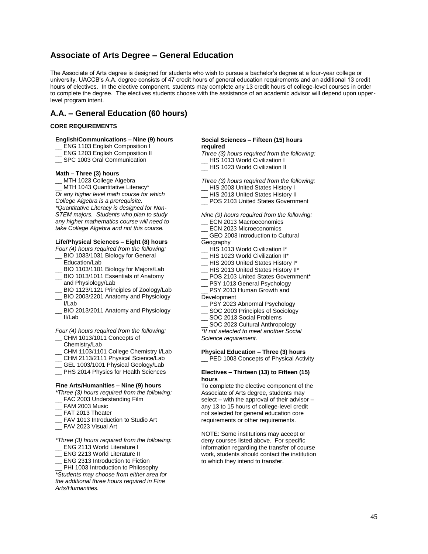# **Associate of Arts Degree – General Education**

The Associate of Arts degree is designed for students who wish to pursue a bachelor's degree at a four-year college or university. UACCB's A.A. degree consists of 47 credit hours of general education requirements and an additional 13 credit hours of electives. In the elective component, students may complete any 13 credit hours of college-level courses in order to complete the degree. The electives students choose with the assistance of an academic advisor will depend upon upperlevel program intent.

# **A.A. – General Education (60 hours)**

#### **CORE REQUIREMENTS**

#### **English/Communications – Nine (9) hours**

- ENG 1103 English Composition I
- ENG 1203 English Composition II
- SPC 1003 Oral Communication

#### **Math – Three (3) hours**

MTH 1023 College Algebra MTH 1043 Quantitative Literacy\* *Or any higher level math course for which College Algebra is a prerequisite. \*Quantitative Literacy is designed for Non-STEM majors. Students who plan to study any higher mathematics course will need to take College Algebra and not this course.*

### **Life/Physical Sciences – Eight (8) hours**

- *Four (4) hours required from the following:* BIO 1033/1031 Biology for General Education/Lab
- BIO 1103/1101 Biology for Majors/Lab
- BIO 1013/1011 Essentials of Anatomy and Physiology/Lab
- BIO 1123/1121 Principles of Zoology/Lab
- BIO 2003/2201 Anatomy and Physiology I/Lab
- BIO 2013/2011 Anatomy and Physiology II/Lab

#### *Four (4) hours required from the following:*

- CHM 1013/1011 Concepts of Chemistry/Lab
- 
- \_\_ CHM 1103/1101 College Chemistry I/Lab
- \_\_ CHM 2113/2111 Physical Science/Lab
- GEL 1003/1001 Physical Geology/Lab
- \_\_ PHS 2014 Physics for Health Sciences

#### **Fine Arts/Humanities – Nine (9) hours**

*\*Three (3) hours required from the following:* \_\_ FAC 2003 Understanding Film

- 
- FAM 2003 Music
- FAT 2013 Theater
- \_\_ FAV 1013 Introduction to Studio Art
- \_\_ FAV 2023 Visual Art
- *\*Three (3) hours required from the following:*
- ENG 2113 World Literature I
- ENG 2213 World Literature II
- ENG 2313 Introduction to Fiction

PHI 1003 Introduction to Philosophy *\*Students may choose from either area for the additional three hours required in Fine Arts/Humanities.* 

#### **Social Sciences – Fifteen (15) hours required**

- *Three (3) hours required from the following:* HIS 1013 World Civilization I
- \_\_ HIS 1023 World Civilization II

*Three (3) hours required from the following:*

- HIS 2003 United States History I
- \_\_ HIS 2013 United States History II
- \_\_ POS 2103 United States Government

*Nine (9) hours required from the following:*

- \_\_ ECN 2013 Macroeconomics
- ECN 2023 Microeconomics
- GEO 2003 Introduction to Cultural **Geography**
- \_\_ HIS 1013 World Civilization I\*
- \_\_ HIS 1023 World Civilization II\*
- \_\_ HIS 2003 United States History I\*
- HIS 2013 United States History II\*
- \_\_ POS 2103 United States Government\*
- \_\_ PSY 1013 General Psychology
- PSY 2013 Human Growth and
- Development
- PSY 2023 Abnormal Psychology
- \_\_ SOC 2003 Principles of Sociology
- SOC 2013 Social Problems
- SOC 2023 Cultural Anthropology

*\*If not selected to meet another Social Science requirement.*

#### **Physical Education – Three (3) hours**

\_\_ PED 1003 Concepts of Physical Activity

#### **Electives – Thirteen (13) to Fifteen (15) hours**

To complete the elective component of the Associate of Arts degree, students may select – with the approval of their advisor – any 13 to 15 hours of college-level credit not selected for general education core requirements or other requirements.

NOTE: Some institutions may accept or deny courses listed above. For specific information regarding the transfer of course work, students should contact the institution to which they intend to transfer.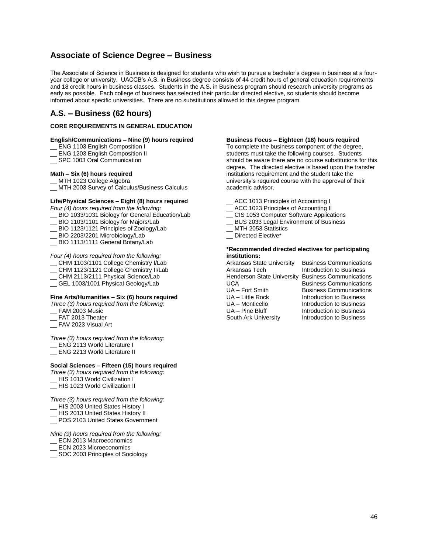# **Associate of Science Degree – Business**

The Associate of Science in Business is designed for students who wish to pursue a bachelor's degree in business at a fouryear college or university. UACCB's A.S. in Business degree consists of 44 credit hours of general education requirements and 18 credit hours in business classes. Students in the A.S. in Business program should research university programs as early as possible. Each college of business has selected their particular directed elective, so students should become informed about specific universities. There are no substitutions allowed to this degree program.

# **A.S. – Business (62 hours)**

### **CORE REQUIREMENTS IN GENERAL EDUCATION**

#### **English/Communications – Nine (9) hours required**

- \_\_ ENG 1103 English Composition I
- \_\_ ENG 1203 English Composition II
- \_\_ SPC 1003 Oral Communication

### **Math – Six (6) hours required**

- \_\_ MTH 1023 College Algebra
- \_\_ MTH 2003 Survey of Calculus/Business Calculus

# **Life/Physical Sciences – Eight (8) hours required**

*Four (4) hours required from the following:*

- \_\_ BIO 1033/1031 Biology for General Education/Lab
- BIO 1103/1101 Biology for Majors/Lab
- BIO 1123/1121 Principles of Zoology/Lab
- BIO 2203/2201 Microbiology/Lab
- \_\_ BIO 1113/1111 General Botany/Lab

#### *Four (4) hours required from the following:*

- \_\_ CHM 1103/1101 College Chemistry I/Lab
- CHM 1123/1121 College Chemistry II/Lab
- \_\_ CHM 2113/2111 Physical Science/Lab
- \_\_ GEL 1003/1001 Physical Geology/Lab

#### **Fine Arts/Humanities – Six (6) hours required**

*Three (3) hours required from the following:*

- FAM 2003 Music
- FAT 2013 Theater
- \_\_ FAV 2023 Visual Art

*Three (3) hours required from the following:*

- \_\_ ENG 2113 World Literature I
- ENG 2213 World Literature II

#### **Social Sciences – Fifteen (15) hours required**

*Three (3) hours required from the following:*

- \_\_ HIS 1013 World Civilization I
- \_\_ HIS 1023 World Civilization II

*Three (3) hours required from the following:*

- \_\_ HIS 2003 United States History I
- \_\_ HIS 2013 United States History II
- \_\_ POS 2103 United States Government

*Nine (9) hours required from the following:*

- \_\_ ECN 2013 Macroeconomics
- ECN 2023 Microeconomics
- \_\_ SOC 2003 Principles of Sociology

#### **Business Focus – Eighteen (18) hours required**

To complete the business component of the degree, students must take the following courses. Students should be aware there are no course substitutions for this degree. The directed elective is based upon the transfer institutions requirement and the student take the university's required course with the approval of their academic advisor.

- ACC 1013 Principles of Accounting I
- ACC 1023 Principles of Accounting II
- CIS 1053 Computer Software Applications
- \_\_ BUS 2033 Legal Environment of Business
- MTH 2053 Statistics
- Directed Elective\*

#### **\*Recommended directed electives for participating institutions:**

Arkansas State University Business Communications Henderson State University Business Communications UCA Business Communications<br>
UA – Fort Smith Business Communications UA – Fort Smith Business Communications<br>UA – Little Rock business UA – Little Rock **Introduction to Business**<br>UA – Monticello **Introduction to Business** UA – Monticello **Introduction to Business**<br>UA – Pine Bluff **Introduction to Business** 

**Introduction to Business** Introduction to Business South Ark University **Introduction to Business**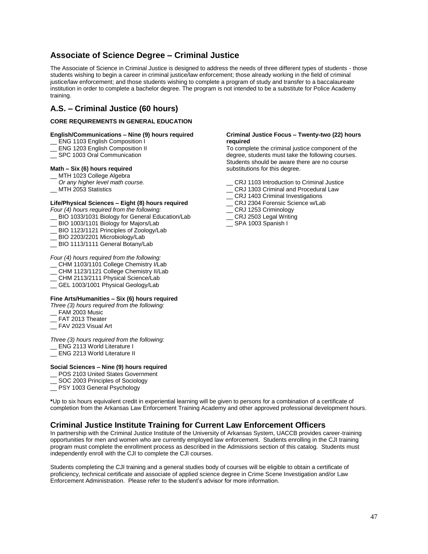# **Associate of Science Degree – Criminal Justice**

The Associate of Science in Criminal Justice is designed to address the needs of three different types of students - those students wishing to begin a career in criminal justice/law enforcement; those already working in the field of criminal justice/law enforcement; and those students wishing to complete a program of study and transfer to a baccalaureate institution in order to complete a bachelor degree. The program is not intended to be a substitute for Police Academy training.

# **A.S. – Criminal Justice (60 hours)**

### **CORE REQUIREMENTS IN GENERAL EDUCATION**

## **English/Communications – Nine (9) hours required**

- \_\_ ENG 1103 English Composition I
- \_\_ ENG 1203 English Composition II
- \_\_ SPC 1003 Oral Communication

### **Math – Six (6) hours required**

- MTH 1023 College Algebra
- *Or any higher level math course.*
- \_\_ MTH 2053 Statistics

### **Life/Physical Sciences – Eight (8) hours required**

*Four (4) hours required from the following:*

- \_\_ BIO 1033/1031 Biology for General Education/Lab
- \_\_ BIO 1003/1101 Biology for Majors/Lab
- \_\_ BIO 1123/1121 Principles of Zoology/Lab
- BIO 2203/2201 Microbiology/Lab
- BIO 1113/1111 General Botany/Lab

#### *Four (4) hours required from the following:*

- \_\_ CHM 1103/1101 College Chemistry I/Lab
- \_\_ CHM 1123/1121 College Chemistry II/Lab
- \_\_ CHM 2113/2111 Physical Science/Lab
- \_\_ GEL 1003/1001 Physical Geology/Lab

### **Fine Arts/Humanities – Six (6) hours required**

*Three (3) hours required from the following:*

- FAM 2003 Music
- \_\_ FAT 2013 Theater
- \_\_ FAV 2023 Visual Art

*Three (3) hours required from the following:*

- \_\_ ENG 2113 World Literature I
- \_\_ ENG 2213 World Literature II

### **Social Sciences – Nine (9) hours required**

- \_\_ POS 2103 United States Government
- SOC 2003 Principles of Sociology
- \_\_ PSY 1003 General Psychology

**\***Up to six hours equivalent credit in experiential learning will be given to persons for a combination of a certificate of completion from the Arkansas Law Enforcement Training Academy and other approved professional development hours.

# **Criminal Justice Institute Training for Current Law Enforcement Officers**

In partnership with the Criminal Justice Institute of the University of Arkansas System, UACCB provides career-training opportunities for men and women who are currently employed law enforcement. Students enrolling in the CJI training program must complete the enrollment process as described in the Admissions section of this catalog. Students must independently enroll with the CJI to complete the CJI courses.

Students completing the CJI training and a general studies body of courses will be eligible to obtain a certificate of proficiency, technical certificate and associate of applied science degree in Crime Scene Investigation and/or Law Enforcement Administration. Please refer to the student's advisor for more information.

#### **Criminal Justice Focus – Twenty-two (22) hours required**

To complete the criminal justice component of the degree, students must take the following courses. Students should be aware there are no course substitutions for this degree.

- \_\_ CRJ 1103 Introduction to Criminal Justice
- \_\_ CRJ 1303 Criminal and Procedural Law
- CRJ 1403 Criminal Investigations
- CRJ 2304 Forensic Science w/Lab
- CRJ 1253 Criminology
- CRJ 2503 Legal Writing
- \_\_ SPA 1003 Spanish I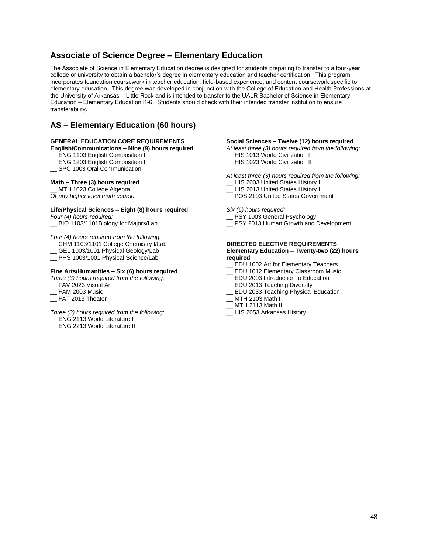# **Associate of Science Degree – Elementary Education**

The Associate of Science in Elementary Education degree is designed for students preparing to transfer to a four-year college or university to obtain a bachelor's degree in elementary education and teacher certification. This program incorporates foundation coursework in teacher education, field-based experience, and content coursework specific to elementary education. This degree was developed in conjunction with the College of Education and Health Professions at the University of Arkansas – Little Rock and is intended to transfer to the UALR Bachelor of Science in Elementary Education – Elementary Education K-6. Students should check with their intended transfer institution to ensure transferability.

# **AS – Elementary Education (60 hours)**

# **GENERAL EDUCATION CORE REQUIREMENTS**

## **English/Communications – Nine (9) hours required**

ENG 1103 English Composition I

- \_\_ ENG 1203 English Composition II
- \_\_ SPC 1003 Oral Communication

### **Math – Three (3) hours required**

\_\_ MTH 1023 College Algebra *Or any higher level math course.*

### **Life/Physical Sciences – Eight (8) hours required**

*Four (4) hours required:* \_\_ BIO 1103/1101Biology for Majors/Lab

*Four (4) hours required from the following:*

- \_\_ CHM 1103/1101 College Chemistry I/Lab
- \_ GEL 1003/1001 Physical Geology/Lab
- \_\_ PHS 1003/1001 Physical Science/Lab

### **Fine Arts/Humanities – Six (6) hours required**

*Three (3) hours required from the following:*

- \_\_ FAV 2023 Visual Art
- FAM 2003 Music
- \_\_ FAT 2013 Theater

*Three (3) hours required from the following:*

- ENG 2113 World Literature I
- \_\_ ENG 2213 World Literature II

#### **Social Sciences – Twelve (12) hours required**

- *At least three (3) hours required from the following:*
- \_\_ HIS 1013 World Civilization I
- \_\_ HIS 1023 World Civilization II
- *At least three (3) hours required from the following:*
- HIS 2003 United States History I HIS 2013 United States History II
- \_\_ POS 2103 United States Government

*Six (6) hours required:*

- PSY 1003 General Psychology
- \_\_ PSY 2013 Human Growth and Development

#### **DIRECTED ELECTIVE REQUIREMENTS Elementary Education – Twenty-two (22) hours required**

- \_\_ EDU 1002 Art for Elementary Teachers
- EDU 1012 Elementary Classroom Music
- \_\_ EDU 2003 Introduction to Education
- \_\_ EDU 2013 Teaching Diversity
- EDU 2033 Teaching Physical Education
- MTH 2103 Math I
- MTH 2113 Math II
- \_\_ HIS 2053 Arkansas History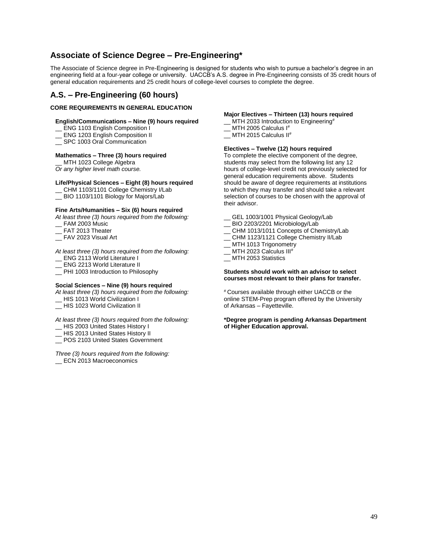# **Associate of Science Degree – Pre-Engineering\***

The Associate of Science degree in Pre-Engineering is designed for students who wish to pursue a bachelor's degree in an engineering field at a four-year college or university. UACCB's A.S. degree in Pre-Engineering consists of 35 credit hours of general education requirements and 25 credit hours of college-level courses to complete the degree.

# **A.S. – Pre-Engineering (60 hours)**

## **CORE REQUIREMENTS IN GENERAL EDUCATION**

### **English/Communications – Nine (9) hours required**

\_\_ ENG 1103 English Composition I

- ENG 1203 English Composition II
- SPC 1003 Oral Communication

### **Mathematics – Three (3) hours required**

MTH 1023 College Algebra *Or any higher level math course.*

## **Life/Physical Sciences – Eight (8) hours required**

- \_\_ CHM 1103/1101 College Chemistry I/Lab
- \_\_ BIO 1103/1101 Biology for Majors/Lab

#### **Fine Arts/Humanities – Six (6) hours required**

*At least three (3) hours required from the following:* FAM 2003 Music

- \_\_ FAT 2013 Theater
- 
- \_\_ FAV 2023 Visual Art

*At least three (3) hours required from the following:*

- \_\_ ENG 2113 World Literature I
- \_\_ ENG 2213 World Literature II
- PHI 1003 Introduction to Philosophy

### **Social Sciences – Nine (9) hours required**

*At least three (3) hours required from the following:*

- HIS 1013 World Civilization I
- \_\_ HIS 1023 World Civilization II

*At least three (3) hours required from the following:*

- \_\_ HIS 2003 United States History I
- HIS 2013 United States History II
- \_\_ POS 2103 United States Government

*Three (3) hours required from the following:* ECN 2013 Macroeconomics

#### **Major Electives – Thirteen (13) hours required**

\_\_ MTH 2033 Introduction to Engineering# MTH 2005 Calculus I<sup>#</sup>

\_\_ MTH 2015 Calculus II# 

### **Electives – Twelve (12) hours required**

To complete the elective component of the degree, students may select from the following list any 12 hours of college-level credit not previously selected for general education requirements above. Students should be aware of degree requirements at institutions to which they may transfer and should take a relevant selection of courses to be chosen with the approval of their advisor.

- GEL 1003/1001 Physical Geology/Lab
- BIO 2203/2201 Microbiology/Lab
- CHM 1013/1011 Concepts of Chemistry/Lab
- CHM 1123/1121 College Chemistry II/Lab
- MTH 1013 Trigonometry
- MTH 2023 Calculus III#
- MTH 2053 Statistics

#### **Students should work with an advisor to select courses most relevant to their plans for transfer.**

# Courses available through either UACCB or the online STEM-Prep program offered by the University of Arkansas – Fayetteville.

**\*Degree program is pending Arkansas Department of Higher Education approval.**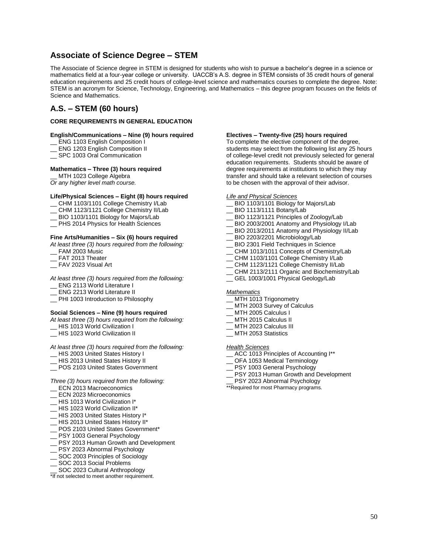# **Associate of Science Degree – STEM**

The Associate of Science degree in STEM is designed for students who wish to pursue a bachelor's degree in a science or mathematics field at a four-year college or university. UACCB's A.S. degree in STEM consists of 35 credit hours of general education requirements and 25 credit hours of college-level science and mathematics courses to complete the degree. Note: STEM is an acronym for Science, Technology, Engineering, and Mathematics – this degree program focuses on the fields of Science and Mathematics.

# **A.S. – STEM (60 hours)**

# **CORE REQUIREMENTS IN GENERAL EDUCATION**

### **English/Communications – Nine (9) hours required**

- \_\_ ENG 1103 English Composition I
- ENG 1203 English Composition II
- SPC 1003 Oral Communication

#### **Mathematics – Three (3) hours required**

MTH 1023 College Algebra *Or any higher level math course.*

#### **Life/Physical Sciences – Eight (8) hours required**

- \_\_ CHM 1103/1101 College Chemistry I/Lab
- \_\_ CHM 1123/1121 College Chemistry II/Lab
- \_\_ BIO 1103/1101 Biology for Majors/Lab
- \_\_ PHS 2014 Physics for Health Sciences

# **Fine Arts/Humanities – Six (6) hours required**

*At least three (3) hours required from the following:*

- FAM 2003 Music
- FAT 2013 Theater
- $\overline{\phantom{a}}$  FAV 2023 Visual Art
- *At least three (3) hours required from the following:*
- \_\_ ENG 2113 World Literature I
- \_\_ ENG 2213 World Literature II
- \_\_ PHI 1003 Introduction to Philosophy

### **Social Sciences – Nine (9) hours required**

- *At least three (3) hours required from the following:*
- \_\_ HIS 1013 World Civilization I
- \_\_ HIS 1023 World Civilization II

#### *At least three (3) hours required from the following:*

- \_\_ HIS 2003 United States History I
- HIS 2013 United States History II
- POS 2103 United States Government

#### *Three (3) hours required from the following:*

- \_\_ ECN 2013 Macroeconomics
- ECN 2023 Microeconomics
- HIS 1013 World Civilization I\*
- \_\_ HIS 1023 World Civilization II\*
- \_\_ HIS 2003 United States History I\*
- \_\_ HIS 2013 United States History II\*
- POS 2103 United States Government\*
- PSY 1003 General Psychology
- PSY 2013 Human Growth and Development
- PSY 2023 Abnormal Psychology
- SOC 2003 Principles of Sociology
- SOC 2013 Social Problems
- SOC 2023 Cultural Anthropology

\*If not selected to meet another requirement.

#### **Electives – Twenty-five (25) hours required**

To complete the elective component of the degree, students may select from the following list any 25 hours of college-level credit not previously selected for general education requirements. Students should be aware of degree requirements at institutions to which they may transfer and should take a relevant selection of courses to be chosen with the approval of their advisor.

#### *Life and Physical Sciences*

- BIO 1103/1101 Biology for Majors/Lab
- BIO 1113/1111 Botany/Lab
- BIO 1123/1121 Principles of Zoology/Lab
- \_\_ BIO 2003/2001 Anatomy and Physiology I/Lab
- BIO 2013/2011 Anatomy and Physiology II/Lab
- BIO 2203/2201 Microbiology/Lab
- \_\_ BIO 2301 Field Techniques in Science
- CHM 1013/1011 Concepts of Chemistry/Lab
- CHM 1103/1101 College Chemistry I/Lab
- CHM 1123/1121 College Chemistry II/Lab
- CHM 2113/2111 Organic and Biochemistry/Lab
- \_\_ GEL 1003/1001 Physical Geology/Lab

#### *Mathematics*

- MTH 1013 Trigonometry
- MTH 2003 Survey of Calculus
- MTH 2005 Calculus I
- MTH 2015 Calculus II
- MTH 2023 Calculus III
- MTH 2053 Statistics

### *Health Sciences*

- ACC 1013 Principles of Accounting I\*\*
- OFA 1053 Medical Terminology
- PSY 1003 General Psychology
- PSY 2013 Human Growth and Development
- PSY 2023 Abnormal Psychology
- \*\*Required for most Pharmacy programs.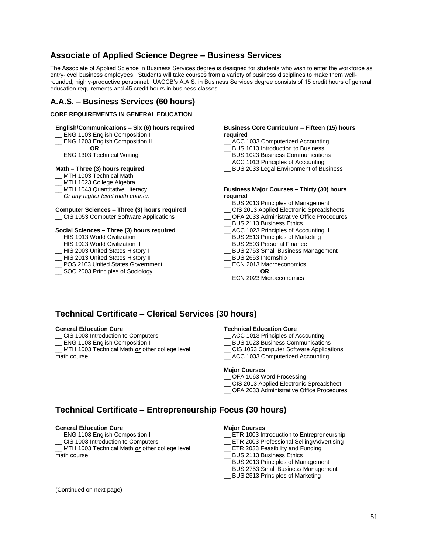# **Associate of Applied Science Degree – Business Services**

The Associate of Applied Science in Business Services degree is designed for students who wish to enter the workforce as entry-level business employees. Students will take courses from a variety of business disciplines to make them wellrounded, highly-productive personnel. UACCB's A.A.S. in Business Services degree consists of 15 credit hours of general education requirements and 45 credit hours in business classes.

# **A.A.S. – Business Services (60 hours)**

### **CORE REQUIREMENTS IN GENERAL EDUCATION**

## **English/Communications – Six (6) hours required**

- \_\_ ENG 1103 English Composition I
- \_\_ ENG 1203 English Composition II
- **OR** ENG 1303 Technical Writing

### **Math – Three (3) hours required**

- MTH 1003 Technical Math
- MTH 1023 College Algebra
- \_\_ MTH 1043 Quantitative Literacy
- *Or any higher level math course.*

# **Computer Sciences – Three (3) hours required**

\_\_ CIS 1053 Computer Software Applications

### **Social Sciences – Three (3) hours required**

- \_\_ HIS 1013 World Civilization I
- HIS 1023 World Civilization II
- \_\_ HIS 2003 United States History I
- \_\_ HIS 2013 United States History II
- POS 2103 United States Government
- \_\_ SOC 2003 Principles of Sociology

#### **Business Core Curriculum – Fifteen (15) hours required**

- \_\_ ACC 1033 Computerized Accounting
- \_\_ BUS 1013 Introduction to Business
- \_\_ BUS 1023 Business Communications
- \_\_ ACC 1013 Principles of Accounting I
- \_\_ BUS 2033 Legal Environment of Business

#### **Business Major Courses – Thirty (30) hours required**

- BUS 2013 Principles of Management
- CIS 2013 Applied Electronic Spreadsheets
- \_\_ OFA 2033 Administrative Office Procedures
- \_\_ BUS 2113 Business Ethics
- \_\_ ACC 1023 Principles of Accounting II
- \_\_ BUS 2513 Principles of Marketing
- \_\_ BUS 2503 Personal Finance
- \_\_ BUS 2753 Small Business Management
- \_\_ BUS 2653 Internship
- \_\_ ECN 2013 Macroeconomics **OR**
- ECN 2023 Microeconomics

# **Technical Certificate – Clerical Services (30 hours)**

#### **General Education Core**

- \_\_ CIS 1003 Introduction to Computers
- \_\_ ENG 1103 English Composition I
- MTH 1003 Technical Math *or* other college level math course

#### **Technical Education Core**

- ACC 1013 Principles of Accounting I
- \_\_ BUS 1023 Business Communications
- \_\_ CIS 1053 Computer Software Applications
- \_\_ ACC 1033 Computerized Accounting

#### **Major Courses**

- OFA 1063 Word Processing
- \_\_ CIS 2013 Applied Electronic Spreadsheet
- \_\_ OFA 2033 Administrative Office Procedures

# **Technical Certificate – Entrepreneurship Focus (30 hours)**

#### **General Education Core**

- **\_\_** ENG 1103 English Composition I
- CIS 1003 Introduction to Computers

MTH 1003 Technical Math *or* other college level math course

#### **Major Courses**

- \_\_ ETR 1003 Introduction to Entrepreneurship
- \_\_ ETR 2003 Professional Selling/Advertising
- \_\_ ETR 2033 Feasibility and Funding
- \_\_ BUS 2113 Business Ethics
- \_\_ BUS 2013 Principles of Management
- BUS 2753 Small Business Management
- \_\_ BUS 2513 Principles of Marketing

(Continued on next page)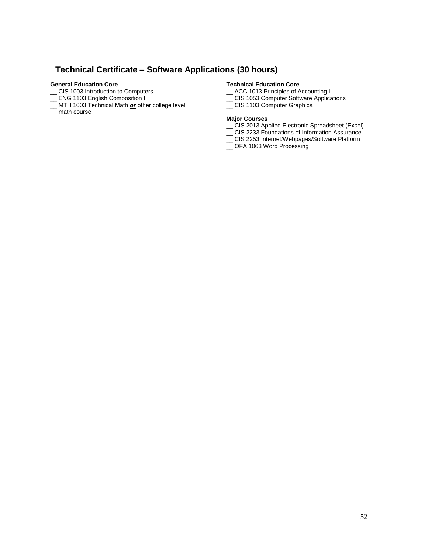# **Technical Certificate – Software Applications (30 hours)**

### **General Education Core**

- \_\_ CIS 1003 Introduction to Computers
- \_\_ ENG 1103 English Composition I
- \_\_ MTH 1003 Technical Math *or* other college level
- math course

## **Technical Education Core**

- \_\_ ACC 1013 Principles of Accounting I
- \_\_ CIS 1053 Computer Software Applications
- CIS 1103 Computer Graphics

### **Major Courses**

- \_\_ CIS 2013 Applied Electronic Spreadsheet (Excel)
- \_\_ CIS 2233 Foundations of Information Assurance
- \_\_ CIS 2253 Internet/Webpages/Software Platform
- \_\_ OFA 1063 Word Processing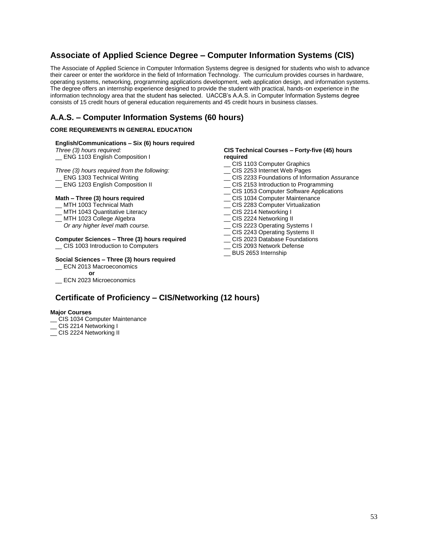# **Associate of Applied Science Degree – Computer Information Systems (CIS)**

The Associate of Applied Science in Computer Information Systems degree is designed for students who wish to advance their career or enter the workforce in the field of Information Technology. The curriculum provides courses in hardware, operating systems, networking, programming applications development, web application design, and information systems. The degree offers an internship experience designed to provide the student with practical, hands-on experience in the information technology area that the student has selected. UACCB's A.A.S. in Computer Information Systems degree consists of 15 credit hours of general education requirements and 45 credit hours in business classes.

# **A.A.S. – Computer Information Systems (60 hours)**

## **CORE REQUIREMENTS IN GENERAL EDUCATION**

### **English/Communications – Six (6) hours required**

*Three (3) hours required:*

ENG 1103 English Composition I

### *Three (3) hours required from the following:*

# \_\_ ENG 1303 Technical Writing

\_\_ ENG 1203 English Composition II

### **Math – Three (3) hours required**

- \_\_ MTH 1003 Technical Math
- MTH 1043 Quantitative Literacy
- \_\_ MTH 1023 College Algebra
- *Or any higher level math course.*

### **Computer Sciences – Three (3) hours required**

\_\_ CIS 1003 Introduction to Computers

### **Social Sciences – Three (3) hours required**

# \_\_ ECN 2013 Macroeconomics

**or**

\_\_ ECN 2023 Microeconomics

#### **CIS Technical Courses – Forty-five (45) hours required**

- \_\_ CIS 1103 Computer Graphics
- CIS 2253 Internet Web Pages
- \_\_ CIS 2233 Foundations of Information Assurance
- \_\_ CIS 2153 Introduction to Programming
- \_\_ CIS 1053 Computer Software Applications
- \_\_ CIS 1034 Computer Maintenance
- \_\_ CIS 2283 Computer Virtualization
- \_ CIS 2214 Networking I
- \_ CIS 2224 Networking II
- \_\_ CIS 2223 Operating Systems I
- \_\_ CIS 2243 Operating Systems II
- \_\_ CIS 2023 Database Foundations
- \_\_ CIS 2093 Network Defense
- \_\_ BUS 2653 Internship

# **Certificate of Proficiency – CIS/Networking (12 hours)**

#### **Major Courses**

- \_\_ CIS 1034 Computer Maintenance
- \_\_ CIS 2214 Networking I
- CIS 2224 Networking II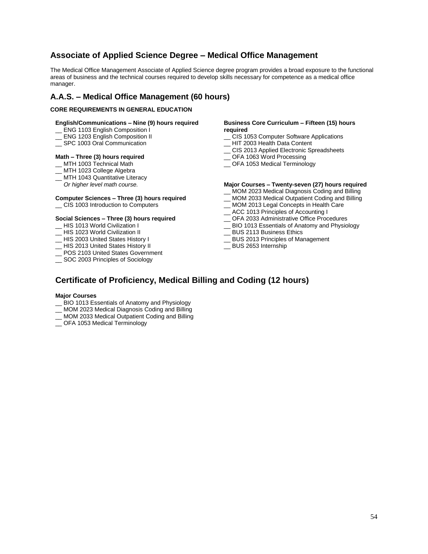# **Associate of Applied Science Degree – Medical Office Management**

The Medical Office Management Associate of Applied Science degree program provides a broad exposure to the functional areas of business and the technical courses required to develop skills necessary for competence as a medical office manager.

# **A.A.S. – Medical Office Management (60 hours)**

## **CORE REQUIREMENTS IN GENERAL EDUCATION**

### **English/Communications – Nine (9) hours required**

- \_\_ ENG 1103 English Composition I
- ENG 1203 English Composition II
- SPC 1003 Oral Communication

#### **Math – Three (3) hours required**

- \_\_ MTH 1003 Technical Math
- \_\_ MTH 1023 College Algebra
- \_ MTH 1043 Quantitative Literacy
- *Or higher level math course.*

# **Computer Sciences – Three (3) hours required**

\_\_ CIS 1003 Introduction to Computers

#### **Social Sciences – Three (3) hours required**

- \_\_ HIS 1013 World Civilization I
- HIS 1023 World Civilization II
- \_\_ HIS 2003 United States History I
- \_\_ HIS 2013 United States History II
- \_\_ POS 2103 United States Government
- \_\_ SOC 2003 Principles of Sociology

### **Business Core Curriculum – Fifteen (15) hours required**

- \_\_ CIS 1053 Computer Software Applications
- HIT 2003 Health Data Content
- \_\_ CIS 2013 Applied Electronic Spreadsheets
- \_\_ OFA 1063 Word Processing
- \_\_ OFA 1053 Medical Terminology

## **Major Courses – Twenty-seven (27) hours required**

- \_\_ MOM 2023 Medical Diagnosis Coding and Billing
- MOM 2033 Medical Outpatient Coding and Billing
- \_\_ MOM 2013 Legal Concepts in Health Care
- \_\_ ACC 1013 Principles of Accounting I
- \_\_ OFA 2033 Administrative Office Procedures
- \_\_ BIO 1013 Essentials of Anatomy and Physiology
- \_\_ BUS 2113 Business Ethics
- \_\_ BUS 2013 Principles of Management
- \_\_ BUS 2653 Internship

# **Certificate of Proficiency, Medical Billing and Coding (12 hours)**

### **Major Courses**

- \_\_ BIO 1013 Essentials of Anatomy and Physiology
- \_\_ MOM 2023 Medical Diagnosis Coding and Billing
- \_\_ MOM 2033 Medical Outpatient Coding and Billing
- \_\_ OFA 1053 Medical Terminology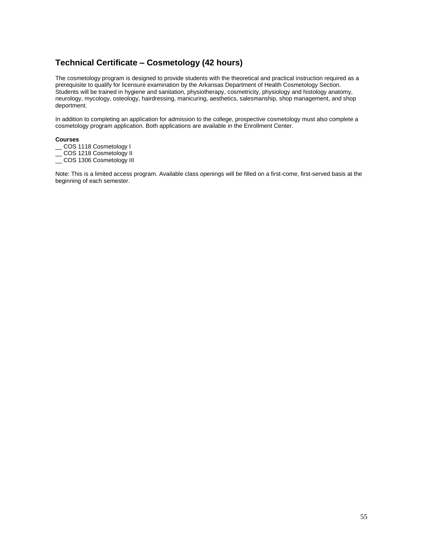# **Technical Certificate – Cosmetology (42 hours)**

The cosmetology program is designed to provide students with the theoretical and practical instruction required as a prerequisite to qualify for licensure examination by the Arkansas Department of Health Cosmetology Section. Students will be trained in hygiene and sanitation, physiotherapy, cosmetricity, physiology and histology anatomy, neurology, mycology, osteology, hairdressing, manicuring, aesthetics, salesmanship, shop management, and shop deportment.

In addition to completing an application for admission to the college, prospective cosmetology must also complete a cosmetology program application. Both applications are available in the Enrollment Center.

### **Courses**

- COS 1118 Cosmetology I
- \_\_ COS 1218 Cosmetology II
- \_\_ COS 1306 Cosmetology III

Note: This is a limited access program. Available class openings will be filled on a first-come, first-served basis at the beginning of each semester.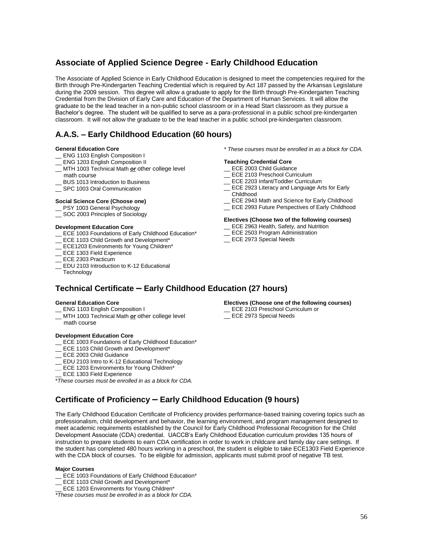# **Associate of Applied Science Degree - Early Childhood Education**

The Associate of Applied Science in Early Childhood Education is designed to meet the competencies required for the Birth through Pre-Kindergarten Teaching Credential which is required by Act 187 passed by the Arkansas Legislature during the 2009 session. This degree will allow a graduate to apply for the Birth through Pre-Kindergarten Teaching Credential from the Division of Early Care and Education of the Department of Human Services. It will allow the graduate to be the lead teacher in a non-public school classroom or in a Head Start classroom as they pursue a Bachelor's degree. The student will be qualified to serve as a para-professional in a public school pre-kindergarten classroom. It will not allow the graduate to be the lead teacher in a public school pre-kindergarten classroom.

# **A.A.S. – Early Childhood Education (60 hours)**

#### **General Education Core**

- ENG 1103 English Composition I
- ENG 1203 English Composition II
- \_\_ MTH 1003 Technical Math *or* other college level
- math course
- BUS 1013 Introduction to Business
- \_\_ SPC 1003 Oral Communication

#### **Social Science Core (Choose one)**

- \_\_ PSY 1003 General Psychology
- \_\_ SOC 2003 Principles of Sociology

#### **Development Education Core**

- ECE 1003 Foundations of Early Childhood Education\*
- ECE 1103 Child Growth and Development\*
- ECE1203 Environments for Young Children\*
- \_\_ ECE 1303 Field Experience
- ECE 2303 Practicum
- EDU 2103 Introduction to K-12 Educational
- **Technology**

#### *\* These courses must be enrolled in as a block for CDA.*

#### **Teaching Credential Core**

- \_\_ ECE 2003 Child Guidance
- ECE 2103 Preschool Curriculum
- \_\_ ECE 2203 Infant/Toddler Curriculum
- \_\_ ECE 2923 Literacy and Language Arts for Early Childhood
- \_\_ ECE 2943 Math and Science for Early Childhood
- \_\_ ECE 2993 Future Perspectives of Early Childhood

#### **Electives (Choose two of the following courses)**

- ECE 2963 Health, Safety, and Nutrition
- ECE 2503 Program Administration
- \_\_ ECE 2973 Special Needs

# **Technical Certificate – Early Childhood Education (27 hours)**

#### **General Education Core**

- \_\_ ENG 1103 English Composition I
- MTH 1003 Technical Math *or* other college level
- math course

#### **Development Education Core**

- ECE 1003 Foundations of Early Childhood Education\*
- ECE 1103 Child Growth and Development\*
- ECE 2003 Child Guidance
- EDU 2103 Intro to K-12 Educational Technology
- ECE 1203 Environments for Young Children\*
- ECE 1303 Field Experience

\**These courses must be enrolled in as a block for CDA.*

# **Certificate of Proficiency – Early Childhood Education (9 hours)**

The Early Childhood Education Certificate of Proficiency provides performance-based training covering topics such as professionalism, child development and behavior, the learning environment, and program management designed to meet academic requirements established by the Council for Early Childhood Professional Recognition for the Child Development Associate (CDA) credential. UACCB's Early Childhood Education curriculum provides 135 hours of instruction to prepare students to earn CDA certification in order to work in childcare and family day care settings. If the student has completed 480 hours working in a preschool, the student is eligible to take ECE1303 Field Experience with the CDA block of courses. To be eligible for admission, applicants must submit proof of negative TB test.

#### **Major Courses**

\_\_ ECE 1003 Foundations of Early Childhood Education\*

- ECE 1103 Child Growth and Development\*
- ECE 1203 Environments for Young Children\*

*\*These courses must be enrolled in as a block for CDA.*

### **Electives (Choose one of the following courses)**

- ECE 2103 Preschool Curriculum or \_\_ ECE 2973 Special Needs
-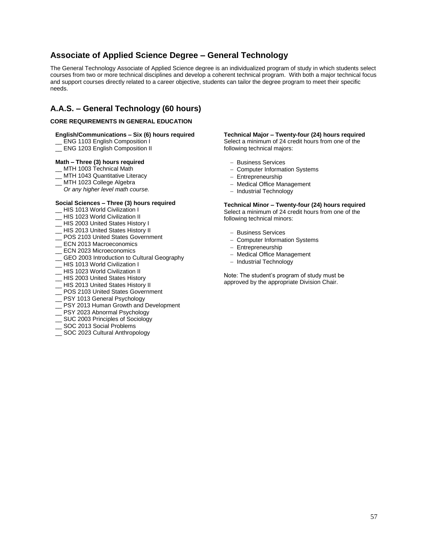# **Associate of Applied Science Degree – General Technology**

The General Technology Associate of Applied Science degree is an individualized program of study in which students select courses from two or more technical disciplines and develop a coherent technical program. With both a major technical focus and support courses directly related to a career objective, students can tailor the degree program to meet their specific needs.

# **A.A.S. – General Technology (60 hours)**

### **CORE REQUIREMENTS IN GENERAL EDUCATION**

### **English/Communications – Six (6) hours required**

- \_\_ ENG 1103 English Composition I
- \_\_ ENG 1203 English Composition II

### **Math – Three (3) hours required**

- \_\_ MTH 1003 Technical Math
- MTH 1043 Quantitative Literacy
- \_\_ MTH 1023 College Algebra
- *Or any higher level math course.*

### **Social Sciences – Three (3) hours required**

- HIS 1013 World Civilization I
- \_\_ HIS 1023 World Civilization II
- \_\_ HIS 2003 United States History I
- \_\_ HIS 2013 United States History II
- POS 2103 United States Government
- ECN 2013 Macroeconomics
- \_\_ ECN 2023 Microeconomics
- GEO 2003 Introduction to Cultural Geography
- HIS 1013 World Civilization I
- \_\_ HIS 1023 World Civilization II
- \_\_ HIS 2003 United States History
- \_\_ HIS 2013 United States History II
- POS 2103 United States Government
- PSY 1013 General Psychology
- \_\_ PSY 2013 Human Growth and Development
- \_\_ PSY 2023 Abnormal Psychology
- \_\_ SUC 2003 Principles of Sociology
- \_\_ SOC 2013 Social Problems
- SOC 2023 Cultural Anthropology

**Technical Major – Twenty-four (24) hours required** Select a minimum of 24 credit hours from one of the following technical majors:

- Business Services
- Computer Information Systems
- Entrepreneurship
- Medical Office Management
- Industrial Technology

**Technical Minor – Twenty-four (24) hours required** Select a minimum of 24 credit hours from one of the following technical minors:

- Business Services
- Computer Information Systems
- Entrepreneurship
- Medical Office Management
- Industrial Technology

Note: The student's program of study must be approved by the appropriate Division Chair.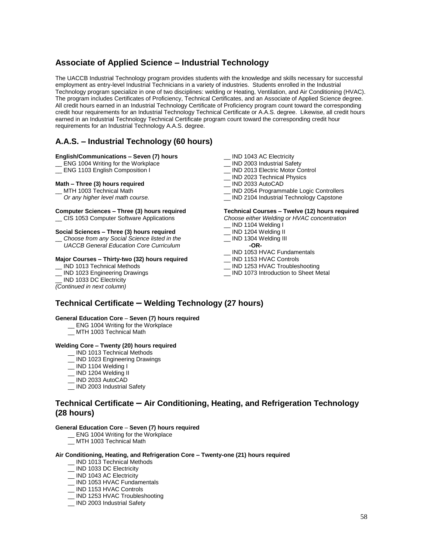# **Associate of Applied Science – Industrial Technology**

The UACCB Industrial Technology program provides students with the knowledge and skills necessary for successful employment as entry-level Industrial Technicians in a variety of industries. Students enrolled in the Industrial Technology program specialize in one of two disciplines: welding or Heating, Ventilation, and Air Conditioning (HVAC). The program includes Certificates of Proficiency, Technical Certificates, and an Associate of Applied Science degree. All credit hours earned in an Industrial Technology Certificate of Proficiency program count toward the corresponding credit hour requirements for an Industrial Technology Technical Certificate or A.A.S. degree. Likewise, all credit hours earned in an Industrial Technology Technical Certificate program count toward the corresponding credit hour requirements for an Industrial Technology A.A.S. degree.

# **A.A.S. – Industrial Technology (60 hours)**

### **English/Communications – Seven (7) hours**

- \_\_ ENG 1004 Writing for the Workplace
- \_\_ ENG 1103 English Composition I

### **Math – Three (3) hours required**

#### MTH 1003 Technical Math

 *Or any higher level math course.*

#### **Computer Sciences – Three (3) hours required**

\_\_ CIS 1053 Computer Software Applications

### **Social Sciences – Three (3) hours required**

\_\_ *Choose from any Social Science listed in the UACCB General Education Core Curriculum*

#### **Major Courses – Thirty-two (32) hours required**

- \_\_ IND 1013 Technical Methods
- \_\_ IND 1023 Engineering Drawings

#### IND 1033 DC Electricity

#### *(Continued in next column)*

- \_ IND 1043 AC Electricity
- \_\_ IND 2003 Industrial Safety
- \_\_ IND 2013 Electric Motor Control
- \_ IND 2023 Technical Physics
- \_\_ IND 2033 AutoCAD
- \_\_ IND 2054 Programmable Logic Controllers
- IND 2104 Industrial Technology Capstone

#### **Technical Courses – Twelve (12) hours required**

- *Choose either Welding or HVAC concentration*
- \_\_ IND 1104 Welding I
- \_\_ IND 1204 Welding II
- \_ IND 1304 Welding III
- **-OR-** \_\_ IND 1053 HVAC Fundamentals
- \_\_ IND 1153 HVAC Controls
- 
- \_\_ IND 1253 HVAC Troubleshooting \_\_ IND 1073 Introduction to Sheet Metal
- 

# **Technical Certificate – Welding Technology (27 hours)**

### **General Education Core** – **Seven (7) hours required**

- \_\_ ENG 1004 Writing for the Workplace
- \_\_ MTH 1003 Technical Math

#### **Welding Core – Twenty (20) hours required**

- \_\_ IND 1013 Technical Methods
- \_\_ IND 1023 Engineering Drawings
- \_\_ IND 1104 Welding I
- \_\_ IND 1204 Welding II
- \_\_ IND 2033 AutoCAD
- \_\_ IND 2003 Industrial Safety

# **Technical Certificate – Air Conditioning, Heating, and Refrigeration Technology (28 hours)**

#### **General Education Core** – **Seven (7) hours required**

- ENG 1004 Writing for the Workplace
- MTH 1003 Technical Math

### **Air Conditioning, Heating, and Refrigeration Core – Twenty-one (21) hours required**

- \_\_ IND 1013 Technical Methods
- \_\_ IND 1033 DC Electricity
- \_\_ IND 1043 AC Electricity
- \_\_ IND 1053 HVAC Fundamentals
- \_\_ IND 1153 HVAC Controls
- \_\_ IND 1253 HVAC Troubleshooting
- \_\_ IND 2003 Industrial Safety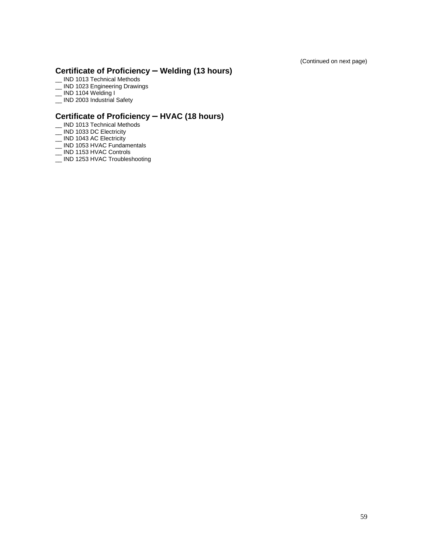(Continued on next page)

# **Certificate of Proficiency – Welding (13 hours)**

- \_\_ IND 1013 Technical Methods
- <u>\_\_</u> IND 1023 Engineering Drawings
- $\equiv$  IND 1104 Welding I
- \_\_ IND 2003 Industrial Safety

# **Certificate of Proficiency – HVAC (18 hours)**

- \_ IND 1013 Technical Methods
- \_\_ IND 1033 DC Electricity
- \_\_ IND 1043 AC Electricity
- \_\_ IND 1053 HVAC Fundamentals
- \_\_ IND 1153 HVAC Controls
- \_\_ IND 1253 HVAC Troubleshooting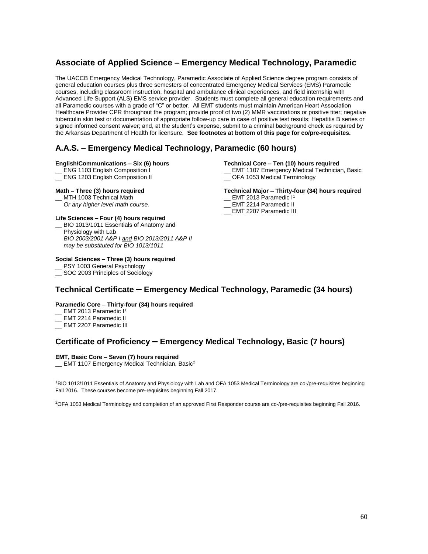# **Associate of Applied Science – Emergency Medical Technology, Paramedic**

The UACCB Emergency Medical Technology, Paramedic Associate of Applied Science degree program consists of general education courses plus three semesters of concentrated Emergency Medical Services (EMS) Paramedic courses, including classroom instruction, hospital and ambulance clinical experiences, and field internship with Advanced Life Support (ALS) EMS service provider. Students must complete all general education requirements and all Paramedic courses with a grade of "C" or better. All EMT students must maintain American Heart Association Healthcare Provider CPR throughout the program; provide proof of two (2) MMR vaccinations or positive titer; negative tuberculin skin test or documentation of appropriate follow-up care in case of positive test results; Hepatitis B series or signed informed consent waiver; and, at the student's expense, submit to a criminal background check as required by the Arkansas Department of Health for licensure. **See footnotes at bottom of this page for co/pre-requisites.** 

# **A.A.S. – Emergency Medical Technology, Paramedic (60 hours)**

### **English/Communications – Six (6) hours**

- \_\_ ENG 1103 English Composition I
- \_ ENG 1203 English Composition II

## **Math – Three (3) hours required**

MTH 1003 Technical Math  *Or any higher level math course.*

**Life Sciences – Four (4) hours required**  BIO 1013/1011 Essentials of Anatomy and Physiology with Lab *BIO 2003/2001 A&P I and BIO 2013/2011 A&P II may be substituted for BIO 1013/1011*

## **Social Sciences – Three (3) hours required**

- \_\_ PSY 1003 General Psychology
- \_\_ SOC 2003 Principles of Sociology

#### **Technical Core – Ten (10) hours required**

- \_\_ EMT 1107 Emergency Medical Technician, Basic
- \_\_ OFA 1053 Medical Terminology

### **Technical Major – Thirty-four (34) hours required**

- \_ EMT 2013 Paramedic I<sup>1</sup>
- \_ EMT 2214 Paramedic II
- \_ EMT 2207 Paramedic III

# **Technical Certificate – Emergency Medical Technology, Paramedic (34 hours)**

## **Paramedic Core** – **Thirty-four (34) hours required**

- \_ EMT 2013 Paramedic I<sup>1</sup>
- EMT 2214 Paramedic II
- \_\_ EMT 2207 Paramedic III

# **Certificate of Proficiency – Emergency Medical Technology, Basic (7 hours)**

### **EMT, Basic Core – Seven (7) hours required**

EMT 1107 Emergency Medical Technician, Basic<sup>2</sup>

<sup>1</sup>BIO 1013/1011 Essentials of Anatomy and Physiology with Lab and OFA 1053 Medical Terminology are co-/pre-requisites beginning Fall 2016. These courses become pre-requisites beginning Fall 2017.

<sup>2</sup>OFA 1053 Medical Terminology and completion of an approved First Responder course are co-/pre-requisites beginning Fall 2016.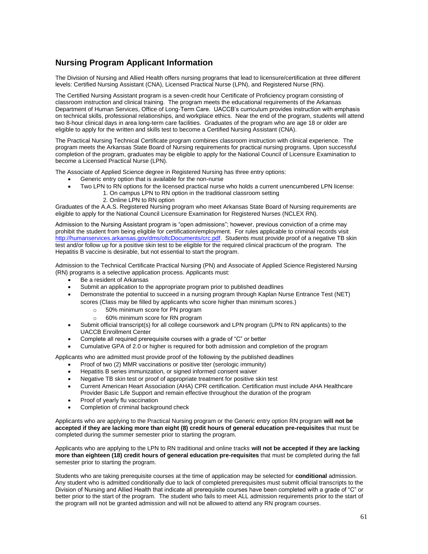# **Nursing Program Applicant Information**

The Division of Nursing and Allied Health offers nursing programs that lead to licensure/certification at three different levels: Certified Nursing Assistant (CNA), Licensed Practical Nurse (LPN), and Registered Nurse (RN).

The Certified Nursing Assistant program is a seven-credit hour Certificate of Proficiency program consisting of classroom instruction and clinical training. The program meets the educational requirements of the Arkansas Department of Human Services, Office of Long-Term Care. UACCB's curriculum provides instruction with emphasis on technical skills, professional relationships, and workplace ethics. Near the end of the program, students will attend two 8-hour clinical days in area long-term care facilities. Graduates of the program who are age 18 or older are eligible to apply for the written and skills test to become a Certified Nursing Assistant (CNA).

The Practical Nursing Technical Certificate program combines classroom instruction with clinical experience. The program meets the Arkansas State Board of Nursing requirements for practical nursing programs. Upon successful completion of the program, graduates may be eligible to apply for the National Council of Licensure Examination to become a Licensed Practical Nurse (LPN).

The Associate of Applied Science degree in Registered Nursing has three entry options:

- Generic entry option that is available for the non-nurse
- Two LPN to RN options for the licensed practical nurse who holds a current unencumbered LPN license:
	- 1. On campus LPN to RN option in the traditional classroom setting
		- 2. Online LPN to RN option

Graduates of the A.A.S. Registered Nursing program who meet Arkansas State Board of Nursing requirements are eligible to apply for the National Council Licensure Examination for Registered Nurses (NCLEX RN).

Admission to the Nursing Assistant program is "open admissions"; however, previous conviction of a crime may prohibit the student from being eligible for certification/employment. For rules applicable to criminal records visit [http://humanservices.arkansas.gov/dms/oltcDocuments/crc.pdf.](http://humanservices.arkansas.gov/dms/oltcDocuments/crc.pdf) Students must provide proof of a negative TB skin test and/or follow up for a positive skin test to be eligible for the required clinical practicum of the program. The Hepatitis B vaccine is desirable, but not essential to start the program.

Admission to the Technical Certificate Practical Nursing (PN) and Associate of Applied Science Registered Nursing (RN) programs is a selective application process. Applicants must:

- Be a resident of Arkansas
- Submit an application to the appropriate program prior to published deadlines
- Demonstrate the potential to succeed in a nursing program through Kaplan Nurse Entrance Test (NET) scores (Class may be filled by applicants who score higher than minimum scores.)
	- o 50% minimum score for PN program
	- o 60% minimum score for RN program
- Submit official transcript(s) for all college coursework and LPN program (LPN to RN applicants) to the UACCB Enrollment Center
- Complete all required prerequisite courses with a grade of "C" or better
- Cumulative GPA of 2.0 or higher is required for both admission and completion of the program

Applicants who are admitted must provide proof of the following by the published deadlines

- Proof of two (2) MMR vaccinations or positive titer (serologic immunity)
- Hepatitis B series immunization, or signed informed consent waiver
- Negative TB skin test or proof of appropriate treatment for positive skin test
- Current American Heart Association (AHA) CPR certification. Certification must include AHA Healthcare
- Provider Basic Life Support and remain effective throughout the duration of the program
- Proof of yearly flu vaccination
- Completion of criminal background check

Applicants who are applying to the Practical Nursing program or the Generic entry option RN program **will not be accepted if they are lacking more than eight (8) credit hours of general education pre-requisites** that must be completed during the summer semester prior to starting the program.

Applicants who are applying to the LPN to RN traditional and online tracks **will not be accepted if they are lacking more than eighteen (18) credit hours of general education pre-requisites** that must be completed during the fall semester prior to starting the program.

Students who are taking prerequisite courses at the time of application may be selected for **conditional** admission. Any student who is admitted conditionally due to lack of completed prerequisites must submit official transcripts to the Division of Nursing and Allied Health that indicate all prerequisite courses have been completed with a grade of "C" or better prior to the start of the program. The student who fails to meet ALL admission requirements prior to the start of the program will not be granted admission and will not be allowed to attend any RN program courses.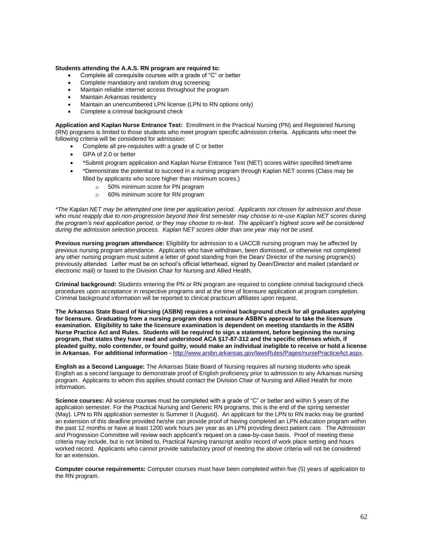#### **Students attending the A.A.S. RN program are required to:**

- Complete all corequisite courses with a grade of "C" or better
- Complete mandatory and random drug screening
- Maintain reliable internet access throughout the program
- Maintain Arkansas residency
- Maintain an unencumbered LPN license (LPN to RN options only)
- Complete a criminal background check

**Application and Kaplan Nurse Entrance Test:** Enrollment in the Practical Nursing (PN) and Registered Nursing (RN) programs is limited to those students who meet program specific admission criteria. Applicants who meet the following criteria will be considered for admission:

- Complete all pre-requisites with a grade of C or better
- GPA of 2.0 or better
- \*Submit program application and Kaplan Nurse Entrance Test (NET) scores within specified timeframe
- \*Demonstrate the potential to succeed in a nursing program through Kaplan NET scores (Class may be filled by applicants who score higher than minimum scores.)
	- o 50% minimum score for PN program
	- o 60% minimum score for RN program

*\*The Kaplan NET may be attempted one time per application period. Applicants not chosen for admission and those*  who must reapply due to non-progression beyond their first semester may choose to re-use Kaplan NET scores during *the program's next application period, or they may choose to re-test. The applicant's highest score will be considered during the admission selection process. Kaplan NET scores older than one year may not be used.* 

**Previous nursing program attendance:** Eligibility for admission to a UACCB nursing program may be affected by previous nursing program attendance. Applicants who have withdrawn, been dismissed, or otherwise not completed any other nursing program must submit a letter of good standing from the Dean/ Director of the nursing program(s) previously attended. Letter must be on school's official letterhead, signed by Dean/Director and mailed (standard or electronic mail) or faxed to the Division Chair for Nursing and Allied Health.

**Criminal background:** Students entering the PN or RN program are required to complete criminal background check procedures upon acceptance in respective programs and at the time of licensure application at program completion. Criminal background information will be reported to clinical practicum affiliates upon request.

**The Arkansas State Board of Nursing (ASBN) requires a criminal background check for all graduates applying for licensure. Graduating from a nursing program does not assure ASBN's approval to take the licensure examination. Eligibility to take the licensure examination is dependent on meeting standards in the ASBN Nurse Practice Act and Rules. Students will be required to sign a statement, before beginning the nursing program, that states they have read and understood ACA §17-87-312 and the specific offenses which, if pleaded guilty, nolo contender, or found guilty, would make an individual ineligible to receive or hold a license in Arkansas. For additional information -** [http://www.arsbn.arkansas.gov/lawsRules/Pages/nursePracticeAct.aspx.](http://www.arsbn.arkansas.gov/lawsRules/Pages/nursePracticeAct.aspx)

**English as a Second Language:** The Arkansas State Board of Nursing requires all nursing students who speak English as a second language to demonstrate proof of English proficiency prior to admission to any Arkansas nursing program. Applicants to whom this applies should contact the Division Chair of Nursing and Allied Health for more information.

**Science courses:** All science courses must be completed with a grade of "C" or better and within 5 years of the application semester. For the Practical Nursing and Generic RN programs, this is the end of the spring semester (May). LPN to RN application semester is Summer II (August). An applicant for the LPN to RN tracks may be granted an extension of this deadline provided he/she can provide proof of having completed an LPN education program within the past 12 months or have at least 1200 work hours per year as an LPN providing direct patient care. The Admission and Progression Committee will review each applicant's request on a case-by-case basis. Proof of meeting these criteria may include, but is not limited to, Practical Nursing transcript and/or record of work place setting and hours worked record. Applicants who cannot provide satisfactory proof of meeting the above criteria will not be considered for an extension.

**Computer course requirements:** Computer courses must have been completed within five (5) years of application to the RN program.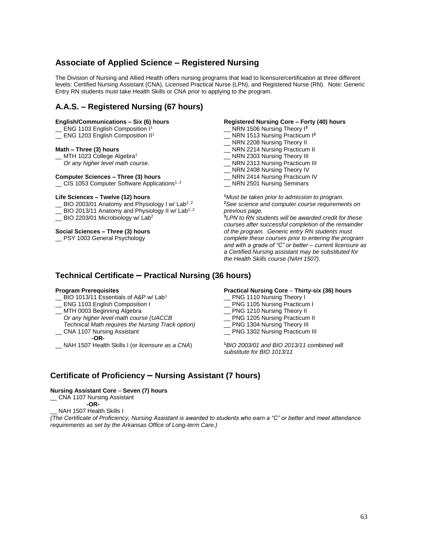# **Associate of Applied Science – Registered Nursing**

The Division of Nursing and Allied Health offers nursing programs that lead to licensure/certification at three different levels: Certified Nursing Assistant (CNA), Licensed Practical Nurse (LPN), and Registered Nurse (RN). Note: Generic Entry RN students must take Health Skills or CNA prior to applying to the program.

# **A.A.S. – Registered Nursing (67 hours)**

### **English/Communications – Six (6) hours**

- ENG 1103 English Composition I<sup>1</sup>
- \_ ENG 1203 English Composition II<sup>1</sup>

### **Math – Three (3) hours**

- $\_$  MTH 1023 College Algebra<sup>1</sup>
- *Or any higher level math course.*

### **Computer Sciences – Three (3) hours**

\_ CIS 1053 Computer Software Applications<sup>1, 2</sup>

### **Life Sciences – Twelve (12) hours**

- $\_$  BIO 2003/01 Anatomy and Physiology I w/ Lab<sup>1, 2</sup>
- BIO 2013/11 Anatomy and Physiology II w/ Lab<sup>1, 2</sup>
- \_ BIO 2203/01 Microbiology w/ Lab<sup>2</sup>

### **Social Sciences – Three (3) hours**

\_\_ PSY 1003 General Psychology

### **Registered Nursing Core – Forty (40) hours**

- NRN 1506 Nursing Theory I<sup>3</sup>
- NRN 1513 Nursing Practicum I<sup>3</sup>
- NRN 2208 Nursing Theory II
- \_ NRN 2214 Nursing Practicum II
- \_\_ NRN 2303 Nursing Theory III
- \_\_ NRN 2313 Nursing Practicum III
- \_\_ NRN 2408 Nursing Theory IV
- NRN 2414 Nursing Practicum IV
- \_\_ NRN 2501 Nursing Seminars

**<sup>1</sup>***Must be taken prior to admission to program.* **<sup>2</sup>***See science and computer course requirements on previous page.*

**<sup>3</sup>***LPN to RN students will be awarded credit for these courses after successful completion of the remainder of the program. Generic entry RN students must complete these courses prior to entering the program and with a grade of "C" or better – current licensure as a Certified Nursing assistant may be substituted for the Health Skills course (NAH 1507).*

# **Technical Certificate – Practical Nursing (36 hours)**

### **Program Prerequisites**

- BIO 1013/11 Essentials of A&P w/ Lab<sup>1</sup>
- \_\_ ENG 1103 English Composition I
- \_\_ MTH 0003 Beginning Algebra
- *Or any higher level math course (UACCB*
- *Technical Math requires the Nursing Track option)* \_\_ CNA 1107 Nursing Assistant

## **-OR-**

\_\_ NAH 1507 Health Skills I (or *licensure as a CNA*)

#### **Practical Nursing Core** – **Thirty-six (36) hours**

- PNG 1110 Nursing Theory I
- \_\_ PNG 1105 Nursing Practicum I
- \_\_ PNG 1210 Nursing Theory II
- \_\_ PNG 1205 Nursing Practicum II
- PNG 1304 Nursing Theory III
- \_\_ PNG 1302 Nursing Practicum III

**<sup>1</sup>***BIO 2003/01 and BIO 2013/11 combined will substitute for BIO 1013/11*

# **Certificate of Proficiency – Nursing Assistant (7 hours)**

#### **Nursing Assistant Core** – **Seven (7) hours**

# \_\_ CNA 1107 Nursing Assistant

 **-OR-**

NAH 1507 Health Skills I

*(The Certificate of Proficiency, Nursing Assistant is awarded to students who earn a "C" or better and meet attendance requirements as set by the Arkansas Office of Long-term Care.)*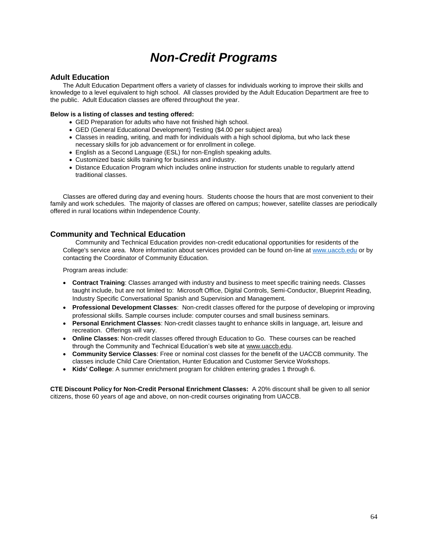# *Non-Credit Programs*

# **Adult Education**

The Adult Education Department offers a variety of classes for individuals working to improve their skills and knowledge to a level equivalent to high school. All classes provided by the Adult Education Department are free to the public. Adult Education classes are offered throughout the year.

## **Below is a listing of classes and testing offered:**

- GED Preparation for adults who have not finished high school.
- GED (General Educational Development) Testing (\$4.00 per subject area)
- Classes in reading, writing, and math for individuals with a high school diploma, but who lack these necessary skills for job advancement or for enrollment in college.
- English as a Second Language (ESL) for non-English speaking adults.
- Customized basic skills training for business and industry.
- Distance Education Program which includes online instruction for students unable to regularly attend traditional classes.

Classes are offered during day and evening hours. Students choose the hours that are most convenient to their family and work schedules. The majority of classes are offered on campus; however, satellite classes are periodically offered in rural locations within Independence County.

# **Community and Technical Education**

Community and Technical Education provides non-credit educational opportunities for residents of the College's service area. More information about services provided can be found on-line at [www.uaccb.edu](http://www.uaccb.edu/) or by contacting the Coordinator of Community Education.

Program areas include:

- **Contract Training**: Classes arranged with industry and business to meet specific training needs. Classes taught include, but are not limited to: Microsoft Office, Digital Controls, Semi-Conductor, Blueprint Reading, Industry Specific Conversational Spanish and Supervision and Management.
- **Professional Development Classes**: Non-credit classes offered for the purpose of developing or improving professional skills. Sample courses include: computer courses and small business seminars.
- **Personal Enrichment Classes**: Non-credit classes taught to enhance skills in language, art, leisure and recreation. Offerings will vary.
- **Online Classes**: Non-credit classes offered through Education to Go. These courses can be reached through the Community and Technical Education's web site at www.uaccb.edu.
- **Community Service Classes**: Free or nominal cost classes for the benefit of the UACCB community. The classes include Child Care Orientation, Hunter Education and Customer Service Workshops.
- **Kids' College**: A summer enrichment program for children entering grades 1 through 6.

**CTE Discount Policy for Non-Credit Personal Enrichment Classes:** A 20% discount shall be given to all senior citizens, those 60 years of age and above, on non-credit courses originating from UACCB.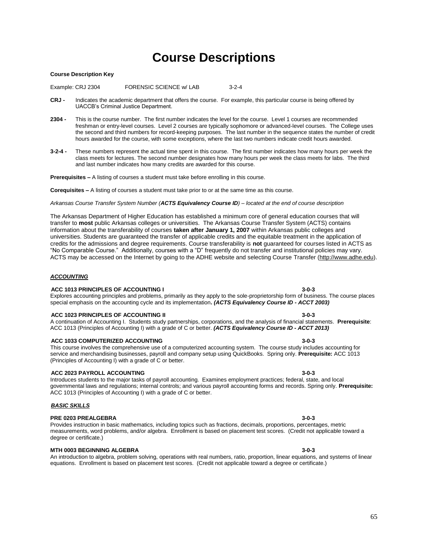# **Course Descriptions**

#### **Course Description Key**

Example: CRJ 2304 FORENSIC SCIENCE w/ LAB 3-2-4

- **CRJ -** Indicates the academic department that offers the course. For example, this particular course is being offered by UACCB's Criminal Justice Department.
- **2304 -** This is the course number. The first number indicates the level for the course. Level 1 courses are recommended freshman or entry-level courses. Level 2 courses are typically sophomore or advanced-level courses. The College uses the second and third numbers for record-keeping purposes. The last number in the sequence states the number of credit hours awarded for the course, with some exceptions, where the last two numbers indicate credit hours awarded.
- **3-2-4 -** These numbers represent the actual time spent in this course. The first number indicates how many hours per week the class meets for lectures. The second number designates how many hours per week the class meets for labs. The third and last number indicates how many credits are awarded for this course.

**Prerequisites –** A listing of courses a student must take before enrolling in this course.

**Corequisites –** A listing of courses a student must take prior to or at the same time as this course.

*Arkansas Course Transfer System Number (ACTS Equivalency Course ID) – located at the end of course description*

The Arkansas Department of Higher Education has established a minimum core of general education courses that will transfer to **most** public Arkansas colleges or universities. The Arkansas Course Transfer System (ACTS) contains information about the transferability of courses **taken after January 1, 2007** within Arkansas public colleges and universities. Students are guaranteed the transfer of applicable credits and the equitable treatment in the application of credits for the admissions and degree requirements. Course transferability is **not** guaranteed for courses listed in ACTS as "No Comparable Course." Additionally, courses with a "D" frequently do not transfer and institutional policies may vary. ACTS may be accessed on the Internet by going to the ADHE website and selecting Course Transfer [\(http://www.adhe.edu\)](http://www.adhe.edu/).

Explores accounting principles and problems, primarily as they apply to the sole-proprietorship form of business. The course places

#### *ACCOUNTING*

#### **ACC 1013 PRINCIPLES OF ACCOUNTING I 3-0-3**

 **ACC 1023 PRINCIPLES OF ACCOUNTING II 3-0-3** A continuation of Accounting I. Students study partnerships, corporations, and the analysis of financial statements. **Prerequisite**: ACC 1013 (Principles of Accounting I) with a grade of C or better. *(ACTS Equivalency Course ID - ACCT 2013)*

#### **ACC 1033 COMPUTERIZED ACCOUNTING 3-0-3**

This course involves the comprehensive use of a computerized accounting system. The course study includes accounting for service and merchandising businesses, payroll and company setup using QuickBooks. Spring only. **Prerequisite:** ACC 1013 (Principles of Accounting I) with a grade of C or better.

#### **ACC 2023 PAYROLL ACCOUNTING 3-0-3**

Introduces students to the major tasks of payroll accounting. Examines employment practices; federal, state, and local governmental laws and regulations; internal controls; and various payroll accounting forms and records. Spring only. **Prerequisite:** ACC 1013 (Principles of Accounting I) with a grade of C or better.

#### *BASIC SKILLS*

### **PRE 0203 PREALGEBRA 3-0-3**

Provides instruction in basic mathematics, including topics such as fractions, decimals, proportions, percentages, metric measurements, word problems, and/or algebra. Enrollment is based on placement test scores. (Credit not applicable toward a degree or certificate.)

#### **MTH 0003 BEGINNING ALGEBRA 3-0-3**

An introduction to algebra, problem solving, operations with real numbers, ratio, proportion, linear equations, and systems of linear equations. Enrollment is based on placement test scores. (Credit not applicable toward a degree or certificate.)

special emphasis on the accounting cycle and its implementation**.** *(ACTS Equivalency Course ID - ACCT 2003)*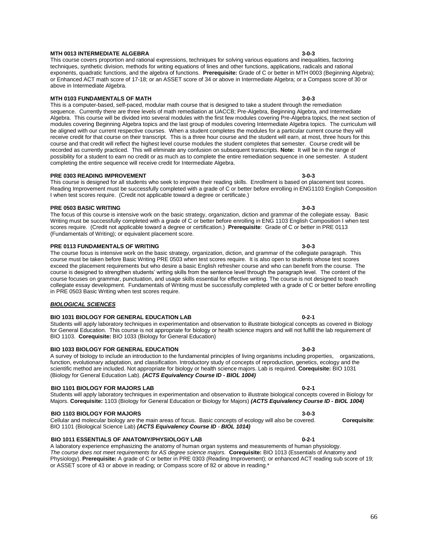#### **MTH 0013 INTERMEDIATE ALGEBRA 3-0-3**

This course covers proportion and rational expressions, techniques for solving various equations and inequalities, factoring techniques, synthetic division, methods for writing equations of lines and other functions, applications, radicals and rational exponents, quadratic functions, and the algebra of functions. **Prerequisite:** Grade of C or better in MTH 0003 (Beginning Algebra); or Enhanced ACT math score of 17-18; or an ASSET score of 34 or above in Intermediate Algebra; or a Compass score of 30 or above in Intermediate Algebra.

#### **MTH 0103 FUNDAMENTALS OF MATH 3-0-3**

This is a computer-based, self-paced, modular math course that is designed to take a student through the remediation sequence. Currently there are three levels of math remediation at UACCB; Pre-Algebra, Beginning Algebra, and Intermediate Algebra. This course will be divided into several modules with the first few modules covering Pre-Algebra topics, the next section of modules covering Beginning Algebra topics and the last group of modules covering Intermediate Algebra topics. The curriculum will be aligned with our current respective courses. When a student completes the modules for a particular current course they will receive credit for that course on their transcript. This is a three hour course and the student will earn, at most, three hours for this course and that credit will reflect the highest level course modules the student completes that semester. Course credit will be recorded as currently practiced. This will eliminate any confusion on subsequent transcripts. **Note:** It will be in the range of possibility for a student to earn no credit or as much as to complete the entire remediation sequence in one semester. A student completing the entire sequence will receive credit for Intermediate Algebra.

#### **PRE 0303 READING IMPROVEMENT 3-0-3**

This course is designed for all students who seek to improve their reading skills. Enrollment is based on placement test scores. Reading Improvement must be successfully completed with a grade of C or better before enrolling in ENG1103 English Composition I when test scores require. (Credit not applicable toward a degree or certificate.)

#### **PRE 0503 BASIC WRITING 3-0-3**

The focus of this course is intensive work on the basic strategy, organization, diction and grammar of the collegiate essay. Basic Writing must be successfully completed with a grade of C or better before enrolling in ENG 1103 English Composition I when test scores require. (Credit not applicable toward a degree or certification.) **Prerequisite**: Grade of C or better in PRE 0113 (Fundamentals of Writing); or equivalent placement score.

#### **PRE 0113 FUNDAMENTALS OF WRITING 3-0-3**

The course focus is intensive work on the basic strategy, organization, diction, and grammar of the collegiate paragraph. This course must be taken before Basic Writing PRE 0503 when test scores require. It is also open to students whose test scores exceed the placement requirements but who desire a basic English refresher course and who can benefit from the course. The course is designed to strengthen students' writing skills from the sentence level through the paragraph level. The content of the course focuses on grammar, punctuation, and usage skills essential for effective writing. The course is not designed to teach collegiate essay development. Fundamentals of Writing must be successfully completed with a grade of C or better before enrolling in PRE 0503 Basic Writing when test scores require.

### *BIOLOGICAL SCIENCES*

#### **BIO 1031 BIOLOGY FOR GENERAL EDUCATION LAB 0-2-1**

Students will apply laboratory techniques in experimentation and observation to illustrate biological concepts as covered in Biology for General Education. This course is not appropriate for biology or health science majors and will not fulfill the lab requirement of BIO 1103. **Corequisite:** BIO 1033 (Biology for General Education)

#### **BIO 1033 BIOLOGY FOR GENERAL EDUCATION 3-0-3**

A survey of biology to include an introduction to the fundamental principles of living organisms including properties, organizations, function, evolutionary adaptation, and classification. Introductory study of concepts of reproduction, genetics, ecology and the scientific method are included. Not appropriate for biology or health science majors. Lab is required. **Corequisite:** BIO 1031 (Biology for General Education Lab). *(ACTS Equivalency Course ID - BIOL 1004)*

#### **BIO 1101 BIOLOGY FOR MAJORS LAB 0-2-1**

Students will apply laboratory techniques in experimentation and observation to illustrate biological concepts covered in Biology for Majors. **Corequisite:** 1103 (Biology for General Education or Biology for Majors) *(ACTS Equivalency Course ID - BIOL 1004)*

#### **BIO 1103 BIOLOGY FOR MAJORS 3-0-3**

Cellular and molecular biology are the main areas of focus. Basic concepts of ecology will also be covered. **Corequisite**: BIO 1101 (Biological Science Lab) *(ACTS Equivalency Course ID - BIOL 1014)*

### **BIO 1011 ESSENTIALS OF ANATOMY/PHYSIOLOGY LAB 0-2-1**

A laboratory experience emphasizing the anatomy of human organ systems and measurements of human physiology. *The course does not meet requirements for AS degree science majors.* **Corequisite:** BIO 1013 (Essentials of Anatomy and Physiology). **Prerequisite:** A grade of C or better in PRE 0303 (Reading Improvement); or enhanced ACT reading sub score of 19; or ASSET score of 43 or above in reading; or Compass score of 82 or above in reading.\*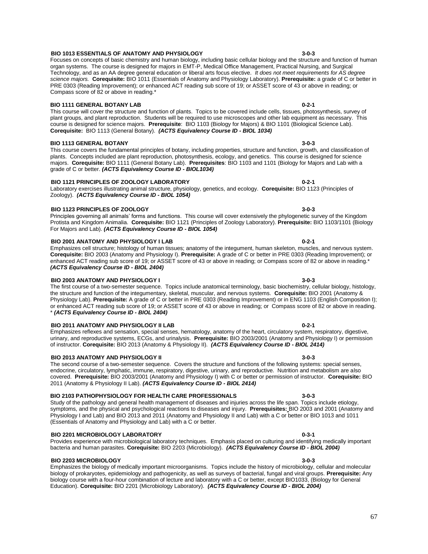#### **BIO 1013 ESSENTIALS OF ANATOMY AND PHYSIOLOGY 3-0-3**

#### Focuses on concepts of basic chemistry and human biology, including basic cellular biology and the structure and function of human organ systems. The course is designed for majors in EMT-P, Medical Office Management, Practical Nursing, and Surgical Technology, and as an AA degree general education or liberal arts focus elective. *It does not meet requirements for AS degree science majors.* **Corequisite:** BIO 1011 (Essentials of Anatomy and Physiology Laboratory). **Prerequisite:** a grade of C or better in PRE 0303 (Reading Improvement); or enhanced ACT reading sub score of 19; or ASSET score of 43 or above in reading; or Compass score of 82 or above in reading.\*

## **BIO 1111 GENERAL BOTANY LAB 0-2-1**

This course will cover the structure and function of plants. Topics to be covered include cells, tissues, photosynthesis, survey of plant groups, and plant reproduction. Students will be required to use microscopes and other lab equipment as necessary. This course is designed for science majors. **Prerequisite**: BIO 1103 (Biology for Majors) & BIO 1101 (Biological Science Lab). **Corequisite:** BIO 1113 (General Botany). *(ACTS Equivalency Course ID - BIOL 1034)*

## **BIO 1113 GENERAL BOTANY 3-0-3**

This course covers the fundamental principles of botany, including properties, structure and function, growth, and classification of plants. Concepts included are plant reproduction, photosynthesis, ecology, and genetics. This course is designed for science majors. **Corequisite:** BIO 1111 (General Botany Lab). **Prerequisites**: BIO 1103 and 1101 (Biology for Majors and Lab with a grade of C or better. *(ACTS Equivalency Course ID - BIOL1034)*

# **BIO 1121 PRINCIPLES OF ZOOLOGY LABORATORY 0-2-1**

### Laboratory exercises illustrating animal structure, physiology, genetics, and ecology. **Corequisite:** BIO 1123 (Principles of Zoology). *(ACTS Equivalency Course ID - BIOL 1054)*

 **BIO 1123 PRINCIPLES OF ZOOLOGY 3-0-3** Principles governing all animals' forms and functions. This course will cover extensively the phylogenetic survey of the Kingdom Protista and Kingdom Animalia. **Corequisite:** BIO 1121 (Principles of Zoology Laboratory). **Prerequisite:** BIO 1103/1101 (Biology For Majors and Lab). *(ACTS Equivalency Course ID - BIOL 1054)*

## **BIO 2001 ANATOMY AND PHYSIOLOGY I LAB 0-2-1**

Emphasizes cell structure; histology of human tissues; anatomy of the integument, human skeleton, muscles, and nervous system. **Corequisite:** BIO 2003 (Anatomy and Physiology I). **Prerequisite:** A grade of C or better in PRE 0303 (Reading Improvement); or enhanced ACT reading sub score of 19; or ASSET score of 43 or above in reading; or Compass score of 82 or above in reading.\* *(ACTS Equivalency Course ID - BIOL 2404)*

## **BIO 2003 ANATOMY AND PHYSIOLOGY I 3-0-3**

The first course of a two-semester sequence. Topics include anatomical terminology, basic biochemistry, cellular biology, histology, the structure and function of the integumentary, skeletal, muscular, and nervous systems. **Corequisite:** BIO 2001 (Anatomy & Physiology Lab). **Prerequisite:** A grade of C or better in PRE 0303 (Reading Improvement) or in ENG 1103 (English Composition I); or enhanced ACT reading sub score of 19; or ASSET score of 43 or above in reading; or Compass score of 82 or above in reading. \* *(ACTS Equivalency Course ID - BIOL 2404)*

## **BIO 2011 ANATOMY AND PHYSIOLOGY II LAB 0-2-1**

Emphasizes reflexes and sensation, special senses, hematology, anatomy of the heart, circulatory system, respiratory, digestive, urinary, and reproductive systems, ECGs, and urinalysis. **Prerequisite:** BIO 2003/2001 (Anatomy and Physiology I) or permission of instructor. **Corequisite:** BIO 2013 (Anatomy & Physiology II). *(ACTS Equivalency Course ID - BIOL 2414)*

## **BIO 2013 ANATOMY AND PHYSIOLOGY II 3-0-3**

#### The second course of a two-semester sequence. Covers the structure and functions of the following systems: special senses, endocrine, circulatory, lymphatic, immune, respiratory, digestive, urinary, and reproductive. Nutrition and metabolism are also covered. **Prerequisite:** BIO 2003/2001 (Anatomy and Physiology I) with C or better or permission of instructor. **Corequisite:** BIO 2011 (Anatomy & Physiology II Lab). *(ACTS Equivalency Course ID - BIOL 2414)*

# **BIO 2103 PATHOPHYSIOLOGY FOR HEALTH CARE PROFESSIONALS 3-0-3**

Study of the pathology and general health management of diseases and injuries across the life span. Topics include etiology, symptoms, and the physical and psychological reactions to diseases and injury. **Prerequisites:** BIO 2003 and 2001 (Anatomy and Physiology I and Lab) and BIO 2013 and 2011 (Anatomy and Physiology II and Lab) with a C or better or BIO 1013 and 1011 (Essentials of Anatomy and Physiology and Lab) with a C or better.

## **BIO 2201 MICROBIOLOGY LABORATORY 0-3-1**

Provides experience with microbiological laboratory techniques. Emphasis placed on culturing and identifying medically important bacteria and human parasites. **Corequisite:** BIO 2203 (Microbiology). *(ACTS Equivalency Course ID - BIOL 2004)*

#### **BIO 2203 MICROBIOLOGY 3-0-3**

Emphasizes the biology of medically important microorganisms. Topics include the history of microbiology, cellular and molecular biology of prokaryotes, epidemiology and pathogenicity, as well as surveys of bacterial, fungal and viral groups. **Prerequisite:** Any biology course with a four-hour combination of lecture and laboratory with a C or better, except BIO1033, (Biology for General Education). **Corequisite:** BIO 2201 (Microbiology Laboratory). *(ACTS Equivalency Course ID - BIOL 2004)*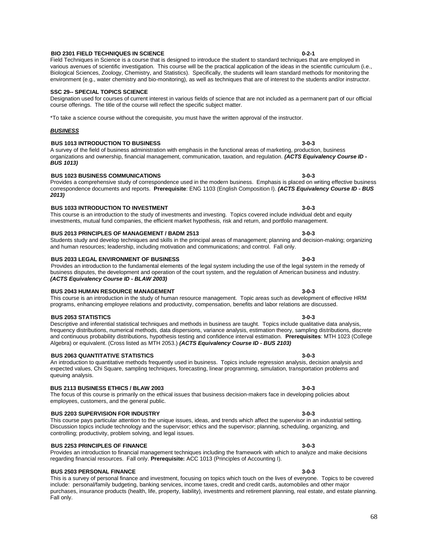#### **BIO 2301 FIELD TECHNIQUES IN SCIENCE 0-2-1** Field Techniques in Science is a course that is designed to introduce the student to standard techniques that are employed in

# environment (e.g., water chemistry and bio-monitoring), as well as techniques that are of interest to the students and/or instructor.

### **SSC 29-- SPECIAL TOPICS SCIENCE**

Designation used for courses of current interest in various fields of science that are not included as a permanent part of our official course offerings. The title of the course will reflect the specific subject matter.

various avenues of scientific investigation. This course will be the practical application of the ideas in the scientific curriculum (i.e., Biological Sciences, Zoology, Chemistry, and Statistics). Specifically, the students will learn standard methods for monitoring the

\*To take a science course without the corequisite, you must have the written approval of the instructor.

# *BUSINESS*

## **BUS 1013 INTRODUCTION TO BUSINESS 3-0-3**

A survey of the field of business administration with emphasis in the functional areas of marketing, production, business organizations and ownership, financial management, communication, taxation, and regulation. *(ACTS Equivalency Course ID - BUS 1013)*

correspondence documents and reports. **Prerequisite**: ENG 1103 (English Composition I). *(ACTS Equivalency Course ID - BUS* 

#### **BUS 1023 BUSINESS COMMUNICATIONS 3-0-3** Provides a comprehensive study of correspondence used in the modern business. Emphasis is placed on writing effective business

# *2013)*

#### **BUS 1033 INTRODUCTION TO INVESTMENT 3-0-3** This course is an introduction to the study of investments and investing. Topics covered include individual debt and equity investments, mutual fund companies, the efficient market hypothesis, risk and return, and portfolio management.

#### **BUS 2013 PRINCIPLES OF MANAGEMENT / BADM 2513 3-0-3** Students study and develop techniques and skills in the principal areas of management; planning and decision-making; organizing

# and human resources; leadership, including motivation and communications; and control. Fall only.  **BUS 2033 LEGAL ENVIRONMENT OF BUSINESS 3-0-3**

### Provides an introduction to the fundamental elements of the legal system including the use of the legal system in the remedy of business disputes, the development and operation of the court system, and the regulation of American business and industry. *(ACTS Equivalency Course ID - BLAW 2003)*

## **BUS 2043 HUMAN RESOURCE MANAGEMENT 3-0-3**

This course is an introduction in the study of human resource management. Topic areas such as development of effective HRM programs, enhancing employee relations and productivity, compensation, benefits and labor relations are discussed.

## **BUS 2053 STATISTICS 3-0-3**

queuing analysis.

Descriptive and inferential statistical techniques and methods in business are taught. Topics include qualitative data analysis, frequency distributions, numerical methods, data dispersions, variance analysis, estimation theory, sampling distributions, discrete and continuous probability distributions, hypothesis testing and confidence interval estimation. **Prerequisites**: MTH 1023 (College Algebra) or equivalent. (Cross listed as MTH 2053.) *(ACTS Equivalency Course ID - BUS 2103)*

#### **BUS 2063 QUANTITATIVE STATISTICS 3-0-3** An introduction to quantitative methods frequently used in business. Topics include regression analysis, decision analysis and

# **BUS 2113 BUSINESS ETHICS / BLAW 2003 3-0-3**

# The focus of this course is primarily on the ethical issues that business decision-makers face in developing policies about employees, customers, and the general public.

# **BUS 2203 SUPERVISION FOR INDUSTRY 3-0-3**

This course pays particular attention to the unique issues, ideas, and trends which affect the supervisor in an industrial setting. Discussion topics include technology and the supervisor; ethics and the supervisor; planning, scheduling, organizing, and controlling; productivity, problem solving, and legal issues.

expected values, Chi Square, sampling techniques, forecasting, linear programming, simulation, transportation problems and

# **BUS 2253 PRINCIPLES OF FINANCE 3-0-3**

## Provides an introduction to financial management techniques including the framework with which to analyze and make decisions regarding financial resources. Fall only. **Prerequisite:** ACC 1013 (Principles of Accounting I).

## **BUS 2503 PERSONAL FINANCE 3-0-3**

This is a survey of personal finance and investment, focusing on topics which touch on the lives of everyone. Topics to be covered include: personal/family budgeting, banking services, income taxes, credit and credit cards, automobiles and other major purchases, insurance products (health, life, property, liability), investments and retirement planning, real estate, and estate planning. Fall only.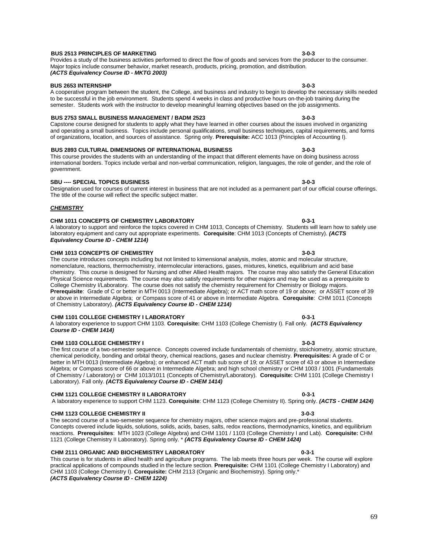#### **BUS 2513 PRINCIPLES OF MARKETING 3-0-3** Provides a study of the business activities performed to direct the flow of goods and services from the producer to the consumer.

# Major topics include consumer behavior, market research, products, pricing, promotion, and distribution. *(ACTS Equivalency Course ID - MKTG 2003)*

#### **BUS 2653 INTERNSHIP 3-0-3**

A cooperative program between the student, the College, and business and industry to begin to develop the necessary skills needed to be successful in the job environment. Students spend 4 weeks in class and productive hours on-the-job training during the semester. Students work with the instructor to develop meaningful learning objectives based on the job assignments.

## **BUS 2753 SMALL BUSINESS MANAGEMENT / BADM 2523 3-0-3**

Capstone course designed for students to apply what they have learned in other courses about the issues involved in organizing and operating a small business. Topics include personal qualifications, small business techniques, capital requirements, and forms of organizations, location, and sources of assistance. Spring only. **Prerequisite:** ACC 1013 (Principles of Accounting I).

# **BUS 2893 CULTURAL DIMENSIONS OF INTERNATIONAL BUSINESS 3-0-3**

This course provides the students with an understanding of the impact that different elements have on doing business across international borders. Topics include verbal and non-verbal communication, religion, languages, the role of gender, and the role of government.

# **SBU ---- SPECIAL TOPICS BUSINESS 3-0-3**

*CHEMISTRY*

## Designation used for courses of current interest in business that are not included as a permanent part of our official course offerings. The title of the course will reflect the specific subject matter.

**CHM 1011 CONCEPTS OF CHEMISTRY LABORATORY 0-3-1** A laboratory to support and reinforce the topics covered in CHM 1013, Concepts of Chemistry. Students will learn how to safely use laboratory equipment and carry out appropriate experiments. **Corequisite**: CHM 1013 (Concepts of Chemistry). *(ACTS* 

*Equivalency Course ID - CHEM 1214)*

# **CHM 1013 CONCEPTS OF CHEMISTRY 3-0-3**

The course introduces concepts including but not limited to kimensional analysis, moles, atomic and molecular structure, nomenclature, reactions, thermochemistry, intermolecular interactions, gases, mixtures, kinetics, equilibrium and acid base chemistry. This course is designed for Nursing and other Allied Health majors. The course may also satisfy the General Education Physical Science requirements. The course may also satisfy requirements for other majors and may be used as a prerequisite to College Chemistry I/Laboratory. The course does not satisfy the chemistry requirement for Chemistry or Biology majors. **Prerequisite**: Grade of C or better in MTH 0013 (Intermediate Algebra); or ACT math score of 19 or above; or ASSET score of 39 or above in Intermediate Algebra; or Compass score of 41 or above in Intermediate Algebra. **Corequisite**: CHM 1011 (Concepts of Chemistry Laboratory). *(ACTS Equivalency Course ID - CHEM 1214)*

## **CHM 1101 COLLEGE CHEMISTRY I LABORATORY 0-3-1**

A laboratory experience to support CHM 1103. **Corequisite:** CHM 1103 (College Chemistry I). Fall only. *(ACTS Equivalency Course ID - CHEM 1414)*

# **CHM 1103 COLLEGE CHEMISTRY I 3-0-3**

#### The first course of a two-semester sequence. Concepts covered include fundamentals of chemistry, stoichiometry, atomic structure, chemical periodicity, bonding and orbital theory, chemical reactions, gases and nuclear chemistry. **Prerequisites:** A grade of C or better in MTH 0013 (Intermediate Algebra); or enhanced ACT math sub score of 19; or ASSET score of 43 or above in Intermediate Algebra; or Compass score of 66 or above in Intermediate Algebra; and high school chemistry or CHM 1003 / 1001 (Fundamentals of Chemistry / Laboratory) or CHM 1013/1011 (Concepts of Chemistry/Laboratory). **Corequisite:** CHM 1101 (College Chemistry I Laboratory). Fall only. *(ACTS Equivalency Course ID - CHEM 1414)*

# **CHM 1121 COLLEGE CHEMISTRY II LABORATORY 120 120 241 20 23-1**

A laboratory experience to support CHM 1123. **Corequisite**: CHM 1123 (College Chemistry II). Spring only. *(ACTS - CHEM 1424)*

## **CHM 1123 COLLEGE CHEMISTRY II 3-0-3**

The second course of a two-semester sequence for chemistry majors, other science majors and pre-professional students. Concepts covered include liquids, solutions, solids, acids, bases, salts, redox reactions, thermodynamics, kinetics, and equilibrium reactions. **Prerequisites**: MTH 1023 (College Algebra) and CHM 1101 / 1103 (College Chemistry I and Lab). **Corequisite:** CHM 1121 (College Chemistry II Laboratory). Spring only. \* *(ACTS Equivalency Course ID - CHEM 1424)*

# **CHM 2111 ORGANIC AND BIOCHEMISTRY LABORATORY 0-3-1**

This course is for students in allied health and agriculture programs. The lab meets three hours per week. The course will explore practical applications of compounds studied in the lecture section. **Prerequisite:** CHM 1101 (College Chemistry I Laboratory) and CHM 1103 (College Chemistry I). **Corequisite:** CHM 2113 (Organic and Biochemistry). Spring only.\* *(ACTS Equivalency Course ID - CHEM 1224)*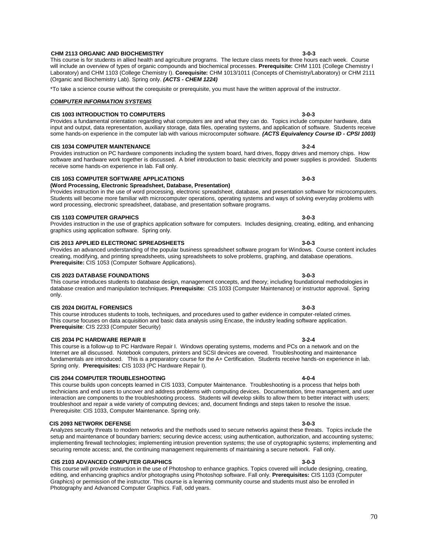#### **CHM 2113 ORGANIC AND BIOCHEMISTRY 3-0-3**

# *COMPUTER INFORMATION SYSTEMS*  **CIS 1003 INTRODUCTION TO COMPUTERS 3-0-3**

(Organic and Biochemistry Lab). Spring only. *(ACTS - CHEM 1224)*

# some hands-on experience in the computer lab with various microcomputer software. *(ACTS Equivalency Course ID - CPSI 1003)*  **CIS 1034 COMPUTER MAINTENANCE 3-2-4**

Provides instruction on PC hardware components including the system board, hard drives, floppy drives and memory chips. How software and hardware work together is discussed. A brief introduction to basic electricity and power supplies is provided. Students receive some hands-on experience in lab. Fall only.

input and output, data representation, auxiliary storage, data files, operating systems, and application of software. Students receive

will include an overview of types of organic compounds and biochemical processes. **Prerequisite:** CHM 1101 (College Chemistry I Laboratory) and CHM 1103 (College Chemistry I). **Corequisite:** CHM 1013/1011 (Concepts of Chemistry/Laboratory) or CHM 2111

\*To take a science course without the corequisite or prerequisite, you must have the written approval of the instructor.

### **CIS 1053 COMPUTER SOFTWARE APPLICATIONS 3-0-3**

### **(Word Processing, Electronic Spreadsheet, Database, Presentation)**

Provides instruction in the use of word processing, electronic spreadsheet, database, and presentation software for microcomputers. Students will become more familiar with microcomputer operations, operating systems and ways of solving everyday problems with word processing, electronic spreadsheet, database, and presentation software programs.

## **CIS 1103 COMPUTER GRAPHICS 3-0-3**

Provides instruction in the use of graphics application software for computers. Includes designing, creating, editing, and enhancing graphics using application software. Spring only.

## **CIS 2013 APPLIED ELECTRONIC SPREADSHEETS 3-0-3**

Provides an advanced understanding of the popular business spreadsheet software program for Windows. Course content includes creating, modifying, and printing spreadsheets, using spreadsheets to solve problems, graphing, and database operations. **Prerequisite:** CIS 1053 (Computer Software Applications).

#### **CIS 2023 DATABASE FOUNDATIONS 3-0-3**

This course introduces students to database design, management concepts, and theory; including foundational methodologies in database creation and manipulation techniques. **Prerequisite:** CIS 1033 (Computer Maintenance) or instructor approval. Spring only.

#### **CIS 2024 DIGITAL FORENSICS 3-0-3**

This course introduces students to tools, techniques, and procedures used to gather evidence in computer-related crimes. This course focuses on data acquisition and basic data analysis using Encase, the industry leading software application. **Prerequisite**: CIS 2233 (Computer Security)

#### **CIS 2034 PC HARDWARE REPAIR II 3-2-4**

This course is a follow-up to PC Hardware Repair I. Windows operating systems, modems and PCs on a network and on the Internet are all discussed. Notebook computers, printers and SCSI devices are covered. Troubleshooting and maintenance fundamentals are introduced. This is a preparatory course for the A+ Certification. Students receive hands-on experience in lab. Spring only. **Prerequisites:** CIS 1033 (PC Hardware Repair I).

### **CIS 2044 COMPUTER TROUBLESHOOTING 4-0-4**

This course builds upon concepts learned in CIS 1033, Computer Maintenance. Troubleshooting is a process that helps both technicians and end users to uncover and address problems with computing devices. Documentation, time management, and user interaction are components to the troubleshooting process. Students will develop skills to allow them to better interact with users; troubleshoot and repair a wide variety of computing devices; and, document findings and steps taken to resolve the issue. Prerequisite: CIS 1033, Computer Maintenance. Spring only.

#### **CIS 2093 NETWORK DEFENSE 3-0-3**

Analyzes security threats to modern networks and the methods used to secure networks against these threats. Topics include the setup and maintenance of boundary barriers; securing device access; using authentication, authorization, and accounting systems; implementing firewall technologies; implementing intrusion prevention systems; the use of cryptographic systems; implementing and securing remote access; and, the continuing management requirements of maintaining a secure network. Fall only.

#### **CIS 2103 ADVANCED COMPUTER GRAPHICS 3-0-3**

This course will provide instruction in the use of Photoshop to enhance graphics. Topics covered will include designing, creating, editing, and enhancing graphics and/or photographs using Photoshop software. Fall only. **Prerequisites:** CIS 1103 (Computer Graphics) or permission of the instructor. This course is a learning community course and students must also be enrolled in Photography and Advanced Computer Graphics. Fall, odd years.

Provides a fundamental orientation regarding what computers are and what they can do. Topics include computer hardware, data

### This course is for students in allied health and agriculture programs. The lecture class meets for three hours each week. Course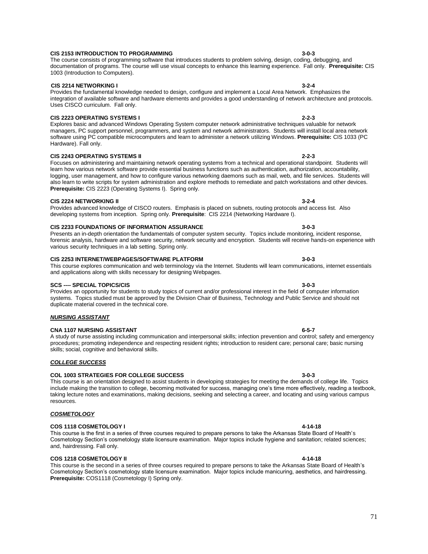#### **CIS 2153 INTRODUCTION TO PROGRAMMING 3-0-3** The course consists of programming software that introduces students to problem solving, design, coding, debugging, and

# 1003 (Introduction to Computers). **CIS 2214 NETWORKING I 3-2-4**

#### Provides the fundamental knowledge needed to design, configure and implement a Local Area Network. Emphasizes the integration of available software and hardware elements and provides a good understanding of network architecture and protocols. Uses CISCO curriculum. Fall only.

## **CIS 2223 OPERATING SYSTEMS I 2-2-3**

Explores basic and advanced Windows Operating System computer network administrative techniques valuable for network managers, PC support personnel, programmers, and system and network administrators. Students will install local area network software using PC compatible microcomputers and learn to administer a network utilizing Windows. **Prerequisite:** CIS 1033 (PC Hardware). Fall only.

documentation of programs. The course will use visual concepts to enhance this learning experience. Fall only. **Prerequisite:** CIS

### **CIS 2243 OPERATING SYSTEMS II 2-2-3**

Focuses on administering and maintaining network operating systems from a technical and operational standpoint. Students will learn how various network software provide essential business functions such as authentication, authorization, accountability, logging, user management, and how to configure various networking daemons such as mail, web, and file services. Students will also learn to write scripts for system administration and explore methods to remediate and patch workstations and other devices. **Prerequisite:** CIS 2223 (Operating Systems I). Spring only.

### **CIS 2224 NETWORKING II 3-2-4**

## Provides advanced knowledge of CISCO routers. Emphasis is placed on subnets, routing protocols and access list. Also developing systems from inception. Spring only. **Prerequisite**: CIS 2214 (Networking Hardware I).

#### **CIS 2233 FOUNDATIONS OF INFORMATION ASSURANCE 3-0-3** Presents an in-depth orientation the fundamentals of computer system security. Topics include monitoring, incident response,

# various security techniques in a lab setting. Spring only. **CIS 2253 INTERNET/WEBPAGES/SOFTWARE PLATFORM 3-0-3**

#### This course explores communication and web terminology via the Internet. Students will learn communications, internet essentials and applications along with skills necessary for designing Webpages.

forensic analysis, hardware and software security, network security and encryption. Students will receive hands-on experience with

**SCS ---- SPECIAL TOPICS/CIS 3-0-3** Provides an opportunity for students to study topics of current and/or professional interest in the field of computer information systems. Topics studied must be approved by the Division Chair of Business, Technology and Public Service and should not duplicate material covered in the technical core.

#### *NURSING ASSISTANT*

#### **CNA 1107 NURSING ASSISTANT 6-5-7**

A study of nurse assisting including communication and interpersonal skills; infection prevention and control; safety and emergency procedures; promoting independence and respecting resident rights; introduction to resident care; personal care; basic nursing skills; social, cognitive and behavioral skills.

### *COLLEGE SUCCESS*

### **COL 1003 STRATEGIES FOR COLLEGE SUCCESS 3-0-3**

This course is an orientation designed to assist students in developing strategies for meeting the demands of college life. Topics include making the transition to college, becoming motivated for success, managing one's time more effectively, reading a textbook, taking lecture notes and examinations, making decisions, seeking and selecting a career, and locating and using various campus resources.

### *COSMETOLOGY*

## **COS 1118 COSMETOLOGY I 4-14-18**

#### This course is the first in a series of three courses required to prepare persons to take the Arkansas State Board of Health's Cosmetology Section's cosmetology state licensure examination. Major topics include hygiene and sanitation; related sciences; and, hairdressing. Fall only.

### **COS 1218 COSMETOLOGY II 4-14-18**

This course is the second in a series of three courses required to prepare persons to take the Arkansas State Board of Health's Cosmetology Section's cosmetology state licensure examination. Major topics include manicuring, aesthetics, and hairdressing. **Prerequisite:** COS1118 (Cosmetology I) Spring only.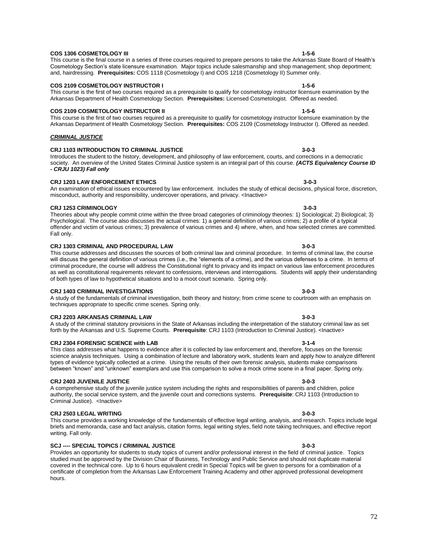#### **COS 1306 COSMETOLOGY III 1-5-6**

This course is the final course in a series of three courses required to prepare persons to take the Arkansas State Board of Health's Cosmetology Section's state licensure examination. Major topics include salesmanship and shop management; shop deportment; and, hairdressing. **Prerequisites:** COS 1118 (Cosmetology I) and COS 1218 (Cosmetology II) Summer only.

#### **COS 2109 COSMETOLOGY INSTRUCTOR I 1-5-6** This course is the first of two courses required as a prerequisite to qualify for cosmetology instructor licensure examination by the

# **COS 2109 COSMETOLOGY INSTRUCTOR II 1-5-6**

This course is the first of two courses required as a prerequisite to qualify for cosmetology instructor licensure examination by the Arkansas Department of Health Cosmetology Section. **Prerequisites:** COS 2109 (Cosmetology Instructor I). Offered as needed.

Arkansas Department of Health Cosmetology Section. **Prerequisites:** Licensed Cosmetologist. Offered as needed.

#### *CRIMINAL JUSTICE*

#### **CRJ 1103 INTRODUCTION TO CRIMINAL JUSTICE 3-0-3**

Introduces the student to the history, development, and philosophy of law enforcement, courts, and corrections in a democratic society. An overview of the United States Criminal Justice system is an integral part of this course. *(ACTS Equivalency Course ID - CRJU 1023) Fall only*

#### **CRJ 1203 LAW ENFORCEMENT ETHICS 3-0-3**

### An examination of ethical issues encountered by law enforcement. Includes the study of ethical decisions, physical force, discretion, misconduct, authority and responsibility, undercover operations, and privacy. <Inactive>

**CRJ 1253 CRIMINOLOGY 3-0-3** Theories about why people commit crime within the three broad categories of criminology theories: 1) Sociological; 2) Biological; 3) Psychological. The course also discusses the actual crimes: 1) a general definition of various crimes; 2) a profile of a typical offender and victim of various crimes; 3) prevalence of various crimes and 4) where, when, and how selected crimes are committed. Fall only.

#### **CRJ 1303 CRIMINAL AND PROCEDURAL LAW 3-0-3**

This course addresses and discusses the sources of both criminal law and criminal procedure. In terms of criminal law, the course will discuss the general definition of various crimes (i.e., the "elements of a crime), and the various defenses to a crime. In terms of criminal procedure, the course will address the Constitutional right to privacy and its impact on various law enforcement procedures as well as constitutional requirements relevant to confessions, interviews and interrogations. Students will apply their understanding of both types of law to hypothetical situations and to a moot court scenario. Spring only.

#### **CRJ 1403 CRIMINAL INVESTIGATIONS 3-0-3**

A study of the fundamentals of criminal investigation, both theory and history; from crime scene to courtroom with an emphasis on techniques appropriate to specific crime scenes. Spring only.

#### **CRJ 2203 ARKANSAS CRIMINAL LAW 3-0-3**

A study of the criminal statutory provisions in the State of Arkansas including the interpretation of the statutory criminal law as set forth by the Arkansas and U.S. Supreme Courts. **Prerequisite**: CRJ 1103 (Introduction to Criminal Justice). <Inactive>

#### **CRJ 2304 FORENSIC SCIENCE with LAB 3-1-4**

#### This class addresses what happens to evidence after it is collected by law enforcement and, therefore, focuses on the forensic science analysis techniques. Using a combination of lecture and laboratory work, students learn and apply how to analyze different types of evidence typically collected at a crime. Using the results of their own forensic analysis, students make comparisons between "known" and "unknown" exemplars and use this comparison to solve a mock crime scene in a final paper. Spring only.

#### **CRJ 2403 JUVENILE JUSTICE 3-0-3**

A comprehensive study of the juvenile justice system including the rights and responsibilities of parents and children, police authority, the social service system, and the juvenile court and corrections systems. **Prerequisite**: CRJ 1103 (Introduction to Criminal Justice). <lnactive>

#### **CRJ 2503 LEGAL WRITING 3-0-3**

This course provides a working knowledge of the fundamentals of effective legal writing, analysis, and research. Topics include legal briefs and memoranda, case and fact analysis, citation forms, legal writing styles, field note taking techniques, and effective report writing. Fall only.

### **SCJ ---- SPECIAL TOPICS / CRIMINAL JUSTICE 3-0-3**

Provides an opportunity for students to study topics of current and/or professional interest in the field of criminal justice. Topics studied must be approved by the Division Chair of Business, Technology and Public Service and should not duplicate material covered in the technical core. Up to 6 hours equivalent credit in Special Topics will be given to persons for a combination of a certificate of completion from the Arkansas Law Enforcement Training Academy and other approved professional development hours.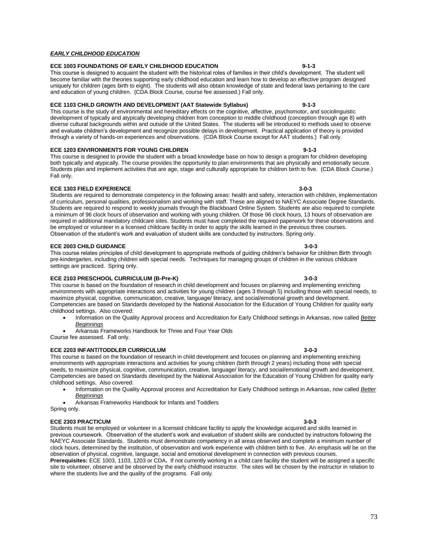### *EARLY CHILDHOOD EDUCATION*

### **ECE 1003 FOUNDATIONS OF EARLY CHILDHOOD EDUCATION 9-1-3**

This course is designed to acquaint the student with the historical roles of families in their child's development. The student will become familiar with the theories supporting early childhood education and learn how to develop an effective program designed uniquely for children (ages birth to eight). The students will also obtain knowledge of state and federal laws pertaining to the care and education of young children. (CDA Block Course, course fee assessed.) Fall only.

## **ECE 1103 CHILD GROWTH AND DEVELOPMENT (AAT Statewide Syllabus) 9-1-3**

This course is the study of environmental and hereditary effects on the cognitive, affective, psychomotor, and sociolinguistic development of typically and atypically developing children from conception to middle childhood (conception through age 8) with diverse cultural backgrounds within and outside of the United States. The students will be introduced to methods used to observe and evaluate children's development and recognize possible delays in development. Practical application of theory is provided through a variety of hands-on experiences and observations. (CDA Block Course except for AAT students.) Fall only.

### **ECE 1203 ENVIRONMENTS FOR YOUNG CHILDREN 9-1-3**

This course is designed to provide the student with a broad knowledge base on how to design a program for children developing both typically and atypically. The course provides the opportunity to plan environments that are physically and emotionally secure. Students plan and implement activities that are age, stage and culturally appropriate for children birth to five. (CDA Block Course.) Fall only.

## **ECE 1303 FIELD EXPERIENCE 3-0-3**

Students are required to demonstrate competency in the following areas: health and safety, interaction with children, implementation of curriculum, personal qualities, professionalism and working with staff. These are aligned to NAEYC Associate Degree Standards. Students are required to respond to weekly journals through the Blackboard Online System. Students are also required to complete a minimum of 96 clock hours of observation and working with young children. Of those 96 clock hours, 13 hours of observation are required in additional mandatory childcare sites. Students must have completed the required paperwork for these observations and be employed or volunteer in a licensed childcare facility in order to apply the skills learned in the previous three courses. Observation of the student's work and evaluation of student skills are conducted by instructors. Spring only.

### **ECE 2003 CHILD GUIDANCE 3-0-3**

This course relates principles of child development to appropriate methods of guiding children's behavior for children Birth through pre-kindergarten, including children with special needs. Techniques for managing groups of children in the various childcare settings are practiced.Spring only.

### **ECE 2103 PRESCHOOL CURRICULUM (B-Pre-K) 3-0-3**

This course is based on the foundation of research in child development and focuses on planning and implementing enriching environments with appropriate interactions and activities for young children (ages 3 through 5) including those with special needs, to maximize physical, cognitive, communication, creative, language/ literacy, and social/emotional growth and development. Competencies are based on Standards developed by the National Association for the Education of Young Children for quality early childhood settings. Also covered:

- Information on the Quality Approval process and Accreditation for Early Childhood settings in Arkansas, now called *Better Beginnings*
- Arkansas Frameworks Handbook for Three and Four Year Olds

Course fee assessed. Fall only.

## **ECE 2203 INFANT/TODDLER CURRICULUM 3-0-3**

This course is based on the foundation of research in child development and focuses on planning and implementing enriching environments with appropriate interactions and activities for young children (birth through 2 years) including those with special needs, to maximize physical, cognitive, communication, creative, language/ literacy, and social/emotional growth and development. Competencies are based on Standards developed by the National Association for the Education of Young Children for quality early childhood settings. Also covered:

 Information on the Quality Approval process and Accreditation for Early Childhood settings in Arkansas, now called *Better Beginnings*

Arkansas Frameworks Handbook for Infants and Toddlers

Spring only.

# **ECE 2303 PRACTICUM 3-0-3**

Students must be employed or volunteer in a licensed childcare facility to apply the knowledge acquired and skills learned in previous coursework. Observation of the student's work and evaluation of student skills are conducted by instructors following the NAEYC Associate Standards. Students must demonstrate competency in all areas observed and complete a minimum number of clock hours, determined by the institution, of observation and work experience with children birth to five. An emphasis will be on the observation of physical, cognitive, language, social and emotional development in connection with previous courses. **Prerequisites:** ECE 1003, 1103, 1203 or CDA**.** If not currently working in a child care facility the student will be assigned a specific

site to volunteer, observe and be observed by the early childhood instructor. The sites will be chosen by the instructor in relation to where the students live and the quality of the programs. Fall only.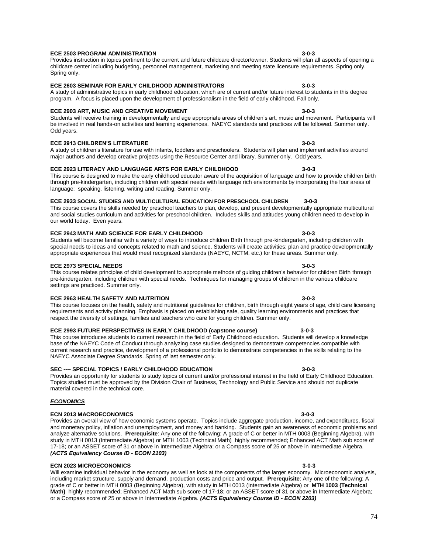#### **ECE 2503 PROGRAM ADMINISTRATION 3-0-3** Provides instruction in topics pertinent to the current and future childcare director/owner. Students will plan all aspects of opening a

# childcare center including budgeting, personnel management, marketing and meeting state licensure requirements. Spring only. Spring only. **ECE 2603 SEMINAR FOR EARLY CHILDHOOD ADMINISTRATORS 3-0-3**

### A study of administrative topics in early childhood education, which are of current and/or future interest to students in this degree program. A focus is placed upon the development of professionalism in the field of early childhood. Fall only.

### **ECE 2903 ART, MUSIC AND CREATIVE MOVEMENT 3-0-3**

Students will receive training in developmentally and age appropriate areas of children's art, music and movement. Participants will be involved in real hands-on activities and learning experiences. NAEYC standards and practices will be followed. Summer only. Odd years.

### **ECE 2913 CHILDREN'S LITERATURE 3-0-3**

## A study of children's literature for use with infants, toddlers and preschoolers. Students will plan and implement activities around major authors and develop creative projects using the Resource Center and library. Summer only. Odd years.

# **ECE 2923 LITERACY AND LANGUAGE ARTS FOR EARLY CHILDHOOD 3-0-3**

## This course is designed to make the early childhood educator aware of the acquisition of language and how to provide children birth through pre-kindergarten, including children with special needs with language rich environments by incorporating the four areas of language: speaking, listening, writing and reading. Summer only.

# **ECE 2933 SOCIAL STUDIES AND MULTICULTURAL EDUCATION FOR PRESCHOOL CHILDREN 3-0-3**

**ECE 2973 SPECIAL NEEDS 3-0-3**

### This course covers the skills needed by preschool teachers to plan, develop, and present developmentally appropriate multicultural and social studies curriculum and activities for preschool children. Includes skills and attitudes young children need to develop in our world today. Even years.

special needs to ideas and concepts related to math and science. Students will create activities; plan and practice developmentally

#### **ECE 2943 MATH AND SCIENCE FOR EARLY CHILDHOOD 3-0-3** Students will become familiar with a variety of ways to introduce children Birth through pre-kindergarten, including children with

# appropriate experiences that would meet recognized standards (NAEYC, NCTM, etc.) for these areas. Summer only.

### This course relates principles of child development to appropriate methods of guiding children's behavior for children Birth through pre-kindergarten, including children with special needs. Techniques for managing groups of children in the various childcare settings are practiced. Summer only.

# **ECE 2963 HEALTH SAFETY AND NUTRITION 3-0-3**

This course focuses on the health, safety and nutritional guidelines for children, birth through eight years of age, child care licensing requirements and activity planning. Emphasis is placed on establishing safe, quality learning environments and practices that respect the diversity of settings, families and teachers who care for young children. Summer only.

# **ECE 2993 FUTURE PERSPECTIVES IN EARLY CHILDHOOD (capstone course) 3-0-3**

This course introduces students to current research in the field of Early Childhood education. Students will develop a knowledge base of the NAEYC Code of Conduct through analyzing case studies designed to demonstrate competencies compatible with current research and practice, development of a professional portfolio to demonstrate competencies in the skills relating to the NAEYC Associate Degree Standards. Spring of last semester only.

# **SEC ---- SPECIAL TOPICS / EARLY CHILDHOOD EDUCATION 3-0-3**

### Provides an opportunity for students to study topics of current and/or professional interest in the field of Early Childhood Education. Topics studied must be approved by the Division Chair of Business, Technology and Public Service and should not duplicate material covered in the technical core.

### *ECONOMICS*

# **ECN 2013 MACROECONOMICS 3-0-3**

Provides an overall view of how economic systems operate. Topics include aggregate production, income, and expenditures, fiscal and monetary policy, inflation and unemployment, and money and banking. Students gain an awareness of economic problems and analyze alternative solutions. **Prerequisite**: Any one of the following: A grade of C or better in MTH 0003 (Beginning Algebra), with study in MTH 0013 (Intermediate Algebra) or MTH 1003 (Technical Math) highly recommended; Enhanced ACT Math sub score of 17-18; or an ASSET score of 31 or above in Intermediate Algebra; or a Compass score of 25 or above in Intermediate Algebra. *(ACTS Equivalency Course ID - ECON 2103)*

# **ECN 2023 MICROECONOMICS 3-0-3**

Will examine individual behavior in the economy as well as look at the components of the larger economy. Microeconomic analysis, including market structure, supply and demand, production costs and price and output. **Prerequisite**: Any one of the following: A grade of C or better in MTH 0003 (Beginning Algebra), with study in MTH 0013 (Intermediate Algebra) or **MTH 1003 (Technical Math)** highly recommended; Enhanced ACT Math sub score of 17-18; or an ASSET score of 31 or above in Intermediate Algebra; or a Compass score of 25 or above in Intermediate Algebra. *(ACTS Equivalency Course ID - ECON 2203)*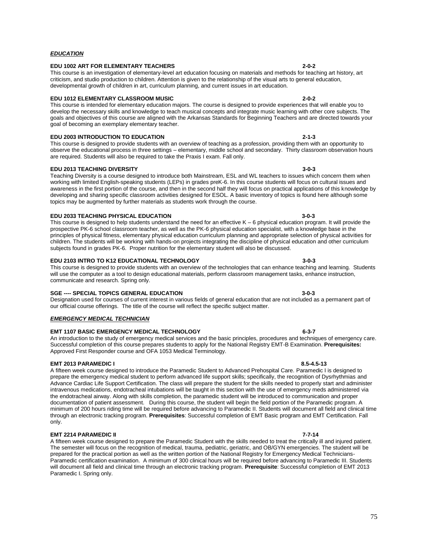#### *EDUCATION*

### **EDU 1002 ART FOR ELEMENTARY TEACHERS 2-0-2**

This course is an investigation of elementary-level art education focusing on materials and methods for teaching art history, art criticism, and studio production to children. Attention is given to the relationship of the visual arts to general education, developmental growth of children in art, curriculum planning, and current issues in art education.

### **EDU 1012 ELEMENTARY CLASSROOM MUSIC 2-0-2**

This course is intended for elementary education majors. The course is designed to provide experiences that will enable you to develop the necessary skills and knowledge to teach musical concepts and integrate music learning with other core subjects. The goals and objectives of this course are aligned with the Arkansas Standards for Beginning Teachers and are directed towards your goal of becoming an exemplary elementary teacher.

### **EDU 2003 INTRODUCTION TO EDUCATION 2-1-3**

This course is designed to provide students with an overview of teaching as a profession, providing them with an opportunity to observe the educational process in three settings – elementary, middle school and secondary. Thirty classroom observation hours are required. Students will also be required to take the Praxis I exam. Fall only.

# **EDU 2013 TEACHING DIVERSITY 3-0-3**

Teaching Diversity is a course designed to introduce both Mainstream, ESL and WL teachers to issues which concern them when working with limited English-speaking students (LEPs) in grades preK-6. In this course students will focus on cultural issues and awareness in the first portion of the course, and then in the second half they will focus on practical applications of this knowledge by developing and sharing specific classroom activities designed for ESOL. A basic inventory of topics is found here although some topics may be augmented by further materials as students work through the course.

### **EDU 2033 TEACHING PHYSICAL EDUCATION 3-0-3**

This course is designed to help students understand the need for an effective K – 6 physical education program. It will provide the prospective PK-6 school classroom teacher, as well as the PK-6 physical education specialist, with a knowledge base in the principles of physical fitness, elementary physical education curriculum planning and appropriate selection of physical activities for children. The students will be working with hands-on projects integrating the discipline of physical education and other curriculum subjects found in grades PK-6. Proper nutrition for the elementary student will also be discussed.

### **EDU 2103 INTRO TO K12 EDUCATIONAL TECHNOLOGY 3-0-3**

This course is designed to provide students with an overview of the technologies that can enhance teaching and learning. Students will use the computer as a tool to design educational materials, perform classroom management tasks, enhance instruction, communicate and research. Spring only.

### **SGE ---- SPECIAL TOPICS GENERAL EDUCATION 3-0-3**

Designation used for courses of current interest in various fields of general education that are not included as a permanent part of our official course offerings. The title of the course will reflect the specific subject matter.

### *EMERGENCY MEDICAL TECHNICIAN*

# **EMT 1107 BASIC EMERGENCY MEDICAL TECHNOLOGY 6-3-7**

An introduction to the study of emergency medical services and the basic principles, procedures and techniques of emergency care. Successful completion of this course prepares students to apply for the National Registry EMT-B Examination. **Prerequisites:** Approved First Responder course and OFA 1053 Medical Terminology.

### **EMT 2013 PARAMEDIC I 8.5-4.5-13**

A fifteen week course designed to introduce the Paramedic Student to Advanced Prehospital Care. Paramedic I is designed to prepare the emergency medical student to perform advanced life support skills; specifically, the recognition of Dysrhythmias and Advance Cardiac Life Support Certification. The class will prepare the student for the skills needed to properly start and administer intravenous medications, endotracheal intubations will be taught in this section with the use of emergency meds administered via the endotracheal airway. Along with skills completion, the paramedic student will be introduced to communication and proper documentation of patient assessment. During this course, the student will begin the field portion of the Paramedic program. A minimum of 200 hours riding time will be required before advancing to Paramedic II. Students will document all field and clinical time through an electronic tracking program. **Prerequisites**: Successful completion of EMT Basic program and EMT Certification. Fall only.

## **EMT 2214 PARAMEDIC II 7-7-14**

A fifteen week course designed to prepare the Paramedic Student with the skills needed to treat the critically ill and injured patient. The semester will focus on the recognition of medical, trauma, pediatric, geriatric, and OB/GYN emergencies. The student will be prepared for the practical portion as well as the written portion of the National Registry for Emergency Medical Technicians-Paramedic certification examination. A minimum of 300 clinical hours will be required before advancing to Paramedic III. Students will document all field and clinical time through an electronic tracking program. **Prerequisite**: Successful completion of EMT 2013 Paramedic I. Spring only.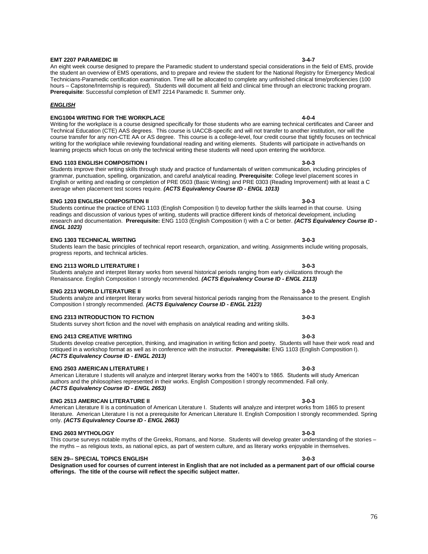#### **EMT 2207 PARAMEDIC III 3-4-7**

An eight week course designed to prepare the Paramedic student to understand special considerations in the field of EMS, provide the student an overview of EMS operations, and to prepare and review the student for the National Registry for Emergency Medical Technicians-Paramedic certification examination. Time will be allocated to complete any unfinished clinical time/proficiencies (100 hours – Capstone/Internship is required). Students will document all field and clinical time through an electronic tracking program. **Prerequisite**: Successful completion of EMT 2214 Paramedic II. Summer only.

### *ENGLISH*

## **ENG1004 WRITING FOR THE WORKPLACE 4-0-4**

Writing for the workplace is a course designed specifically for those students who are earning technical certificates and Career and Technical Education (CTE) AAS degrees. This course is UACCB-specific and will not transfer to another institution, nor will the course transfer for any non-CTE AA or AS degree. This course is a college-level, four credit course that tightly focuses on technical writing for the workplace while reviewing foundational reading and writing elements. Students will participate in active/hands on learning projects which focus on only the technical writing these students will need upon entering the workforce.

#### **ENG 1103 ENGLISH COMPOSITION I 3-0-3**

Students improve their writing skills through study and practice of fundamentals of written communication, including principles of grammar, punctuation, spelling, organization, and careful analytical reading. **Prerequisite**: College level placement scores in English or writing and reading or completion of PRE 0503 (Basic Writing) and PRE 0303 (Reading Improvement) with at least a C average when placement test scores require. *(ACTS Equivalency Course ID - ENGL 1013)*

### **ENG 1203 ENGLISH COMPOSITION II 3-0-3**

Students continue the practice of ENG 1103 (English Composition I) to develop further the skills learned in that course. Using readings and discussion of various types of writing, students will practice different kinds of rhetorical development, including research and documentation. **Prerequisite:** ENG 1103 (English Composition I) with a C or better. *(ACTS Equivalency Course ID - ENGL 1023)*

### **ENG 1303 TECHNICAL WRITING 3-0-3**

# Students learn the basic principles of technical report research, organization, and writing. Assignments include writing proposals, progress reports, and technical articles.

**ENG 2113 WORLD LITERATURE I 3-0-3** Students analyze and interpret literary works from several historical periods ranging from early civilizations through the Renaissance. English Composition I strongly recommended. *(ACTS Equivalency Course ID - ENGL 2113)*

### **ENG 2213 WORLD LITERATURE II 3-0-3**

Students analyze and interpret literary works from several historical periods ranging from the Renaissance to the present. English Composition I strongly recommended. *(ACTS Equivalency Course ID - ENGL 2123)*

### **ENG 2313 INTRODUCTION TO FICTION 3-0-3**

Students survey short fiction and the novel with emphasis on analytical reading and writing skills.

#### **ENG 2413 CREATIVE WRITING 3-0-3**

Students develop creative perception, thinking, and imagination in writing fiction and poetry. Students will have their work read and critiqued in a workshop format as well as in conference with the instructor. **Prerequisite:** ENG 1103 (English Composition I). *(ACTS Equivalency Course ID - ENGL 2013)*

### **ENG 2503 AMERICAN LITERATURE I 3-0-3**

American Literature I students will analyze and interpret literary works from the 1400's to 1865. Students will study American authors and the philosophies represented in their works. English Composition I strongly recommended. Fall only. *(ACTS Equivalency Course ID - ENGL 2653)*

## **ENG 2513 AMERICAN LITERATURE II 3-0-3**

American Literature II is a continuation of American Literature I. Students will analyze and interpret works from 1865 to present literature. American Literature I is not a prerequisite for American Literature II. English Composition I strongly recommended. Spring only. *(ACTS Equivalency Course ID - ENGL 2663)*

# **ENG 2603 MYTHOLOGY 3-0-3**

This course surveys notable myths of the Greeks, Romans, and Norse. Students will develop greater understanding of the stories the myths – as religious texts, as national epics, as part of western culture, and as literary works enjoyable in themselves.

### **SEN 29-- SPECIAL TOPICS ENGLISH 3-0-3**

**Designation used for courses of current interest in English that are not included as a permanent part of our official course offerings. The title of the course will reflect the specific subject matter.**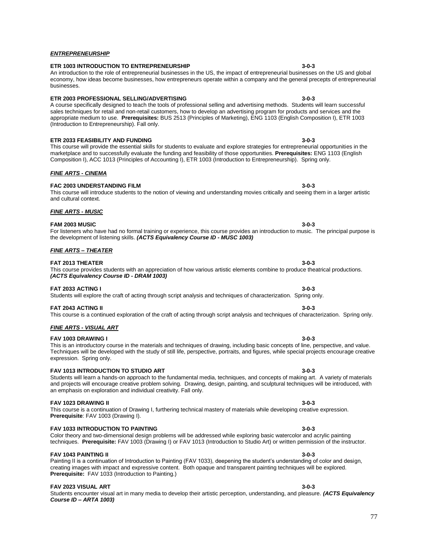## *ENTREPRENEURSHIP*

### **ETR 1003 INTRODUCTION TO ENTREPRENEURSHIP 3-0-3**

#### An introduction to the role of entrepreneurial businesses in the US, the impact of entrepreneurial businesses on the US and global economy, how ideas become businesses, how entrepreneurs operate within a company and the general precepts of entrepreneurial businesses.

### **ETR 2003 PROFESSIONAL SELLING/ADVERTISING 3-0-3**

A course specifically designed to teach the tools of professional selling and advertising methods. Students will learn successful sales techniques for retail and non-retail customers, how to develop an advertising program for products and services and the appropriate medium to use. **Prerequisites:** BUS 2513 (Principles of Marketing), ENG 1103 (English Composition I), ETR 1003 (Introduction to Entrepreneurship). Fall only.

#### **ETR 2033 FEASIBILITY AND FUNDING 3-0-3**

This course will provide the essential skills for students to evaluate and explore strategies for entrepreneurial opportunities in the marketplace and to successfully evaluate the funding and feasibility of those opportunities. **Prerequisites:** ENG 1103 (English Composition I), ACC 1013 (Principles of Accounting I), ETR 1003 (Introduction to Entrepreneurship). Spring only.

### *FINE ARTS - CINEMA*

#### **FAC 2003 UNDERSTANDING FILM 3-0-3** This course will introduce students to the notion of viewing and understanding movies critically and seeing them in a larger artistic

# and cultural context. *FINE ARTS - MUSIC*

#### **FAM 2003 MUSIC 3-0-3** For listeners who have had no formal training or experience, this course provides an introduction to music. The principal purpose is the development of listening skills. *(ACTS Equivalency Course ID - MUSC 1003)*

### *FINE ARTS – THEATER*

#### **FAT 2013 THEATER 3-0-3**

# This course provides students with an appreciation of how various artistic elements combine to produce theatrical productions. *(ACTS Equivalency Course ID - DRAM 1003)*

**FAT 2033 ACTING I 3-0-3** Students will explore the craft of acting through script analysis and techniques of characterization. Spring only.

### **FAT 2043 ACTING II 3-0-3**

This course is a continued exploration of the craft of acting through script analysis and techniques of characterization. Spring only.

# *FINE ARTS - VISUAL ART*

#### **FAV 1003 DRAWING I 3-0-3**

### This is an introductory course in the materials and techniques of drawing, including basic concepts of line, perspective, and value. Techniques will be developed with the study of still life, perspective, portraits, and figures, while special projects encourage creative expression. Spring only.

#### **FAV 1013 INTRODUCTION TO STUDIO ART 3-0-3** Students will learn a hands-on approach to the fundamental media, techniques, and concepts of making art. A variety of materials

# an emphasis on exploration and individual creativity. Fall only. **FAV 1023 DRAWING II 3-0-3**

This course is a continuation of Drawing I, furthering technical mastery of materials while developing creative expression. **Prerequisite**: FAV 1003 (Drawing I).

### **FAV 1033 INTRODUCTION TO PAINTING 3-0-3**

### Color theory and two-dimensional design problems will be addressed while exploring basic watercolor and acrylic painting techniques. **Prerequisite:** FAV 1003 (Drawing I) or FAV 1013 (Introduction to Studio Art) or written permission of the instructor.

# **FAV 1043 PAINTING II**

Painting II is a continuation of Introduction to Painting (FAV 1033), deepening the student's understanding of color and design, creating images with impact and expressive content. Both opaque and transparent painting techniques will be explored. **Prerequisite:** FAV 1033 (Introduction to Painting.)

### **FAV 2023 VISUAL ART 3-0-3**

Students encounter visual art in many media to develop their artistic perception, understanding, and pleasure. *(ACTS Equivalency Course ID – ARTA 1003)*

# and projects will encourage creative problem solving. Drawing, design, painting, and sculptural techniques will be introduced, with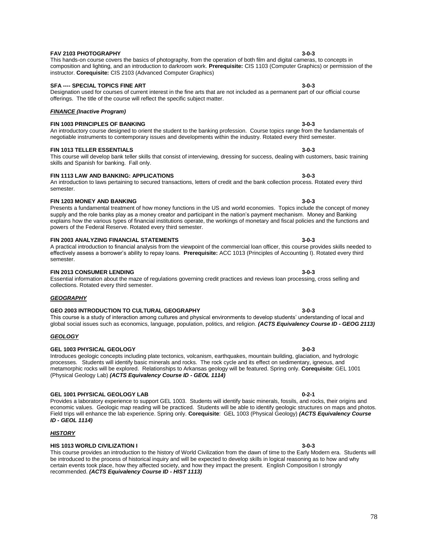#### **FAV 2103 PHOTOGRAPHY 3-0-3**

# instructor. **Corequisite:** CIS 2103 (Advanced Computer Graphics) **SFA ---- SPECIAL TOPICS FINE ART 3-0-3**

# Designation used for courses of current interest in the fine arts that are not included as a permanent part of our official course

offerings. The title of the course will reflect the specific subject matter.

# *FINANCE (Inactive Program)*

#### **FIN 1003 PRINCIPLES OF BANKING 3-0-3** An introductory course designed to orient the student to the banking profession. Course topics range from the fundamentals of

#### **FIN 1013 TELLER ESSENTIALS 3-0-3** This course will develop bank teller skills that consist of interviewing, dressing for success, dealing with customers, basic training skills and Spanish for banking. Fall only.

negotiable instruments to contemporary issues and developments within the industry. Rotated every third semester.

composition and lighting, and an introduction to darkroom work. **Prerequisite:** CIS 1103 (Computer Graphics) or permission of the

# **FIN 1113 LAW AND BANKING: APPLICATIONS 3-0-3**

# An introduction to laws pertaining to secured transactions, letters of credit and the bank collection process. Rotated every third semester.

# **FIN 1203 MONEY AND BANKING 3-0-3**

Presents a fundamental treatment of how money functions in the US and world economies. Topics include the concept of money supply and the role banks play as a money creator and participant in the nation's payment mechanism. Money and Banking explains how the various types of financial institutions operate, the workings of monetary and fiscal policies and the functions and powers of the Federal Reserve. Rotated every third semester.

# **FIN 2003 ANALYZING FINANCIAL STATEMENTS 3-0-3**

# A practical introduction to financial analysis from the viewpoint of the commercial loan officer, this course provides skills needed to effectively assess a borrower's ability to repay loans. **Prerequisite:** ACC 1013 (Principles of Accounting I). Rotated every third semester.

# **FIN 2013 CONSUMER LENDING 3-0-3**

# Essential information about the maze of regulations governing credit practices and reviews loan processing, cross selling and collections. Rotated every third semester.

#### **GEO 2003 INTRODUCTION TO CULTURAL GEOGRAPHY 3-0-3** This course is a study of interaction among cultures and physical environments to develop students' understanding of local and global social issues such as economics, language, population, politics, and religion. *(ACTS Equivalency Course ID - GEOG 2113)*

# *GEOLOGY*

*GEOGRAPHY*

# **GEL 1003 PHYSICAL GEOLOGY 3-0-3**

Introduces geologic concepts including plate tectonics, volcanism, earthquakes, mountain building, glaciation, and hydrologic processes. Students will identify basic minerals and rocks. The rock cycle and its effect on sedimentary, igneous, and metamorphic rocks will be explored. Relationships to Arkansas geology will be featured. Spring only. **Corequisite**: GEL 1001 (Physical Geology Lab) *(ACTS Equivalency Course ID - GEOL 1114)*

# **GEL 1001 PHYSICAL GEOLOGY LAB 0-2-1**

Provides a laboratory experience to support GEL 1003. Students will identify basic minerals, fossils, and rocks, their origins and economic values. Geologic map reading will be practiced. Students will be able to identify geologic structures on maps and photos. Field trips will enhance the lab experience. Spring only. **Corequisite**: GEL 1003 (Physical Geology) *(ACTS Equivalency Course ID - GEOL 1114)*

# *HISTORY*

# **HIS 1013 WORLD CIVILIZATION I 3-0-3**

This course provides an introduction to the history of World Civilization from the dawn of time to the Early Modern era. Students will be introduced to the process of historical inquiry and will be expected to develop skills in logical reasoning as to how and why certain events took place, how they affected society, and how they impact the present. English Composition I strongly recommended. *(ACTS Equivalency Course ID - HIST 1113)*

This hands-on course covers the basics of photography, from the operation of both film and digital cameras, to concepts in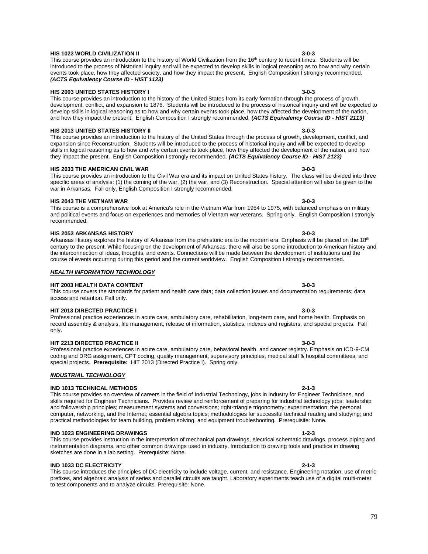#### **HIS 1023 WORLD CIVILIZATION II 3-0-3**

### This course provides an introduction to the history of World Civilization from the 16<sup>th</sup> century to recent times. Students will be introduced to the process of historical inquiry and will be expected to develop skills in logical reasoning as to how and why certain events took place, how they affected society, and how they impact the present. English Composition I strongly recommended. *(ACTS Equivalency Course ID - HIST 1123)*

#### **HIS 2003 UNITED STATES HISTORY I 3-0-3**

This course provides an introduction to the history of the United States from its early formation through the process of growth, development, conflict, and expansion to 1876. Students will be introduced to the process of historical inquiry and will be expected to develop skills in logical reasoning as to how and why certain events took place, how they affected the development of the nation, and how they impact the present. English Composition I strongly recommended. *(ACTS Equivalency Course ID - HIST 2113)*

### **HIS 2013 UNITED STATES HISTORY II 3-0-3**

This course provides an introduction to the history of the United States through the process of growth, development, conflict, and expansion since Reconstruction. Students will be introduced to the process of historical inquiry and will be expected to develop skills in logical reasoning as to how and why certain events took place, how they affected the development of the nation, and how they impact the present. English Composition I strongly recommended. *(ACTS Equivalency Course ID - HIST 2123)*

#### **HIS 2033 THE AMERICAN CIVIL WAR 3-0-3**

This course provides an introduction to the Civil War era and its impact on United States history. The class will be divided into three specific areas of analysis: (1) the coming of the war, (2) the war, and (3) Reconstruction. Special attention will also be given to the war in Arkansas.Fall only. English Composition I strongly recommended.

### **HIS 2043 THE VIETNAM WAR 3-0-3**

This course is a comprehensive look at America's role in the Vietnam War from 1954 to 1975, with balanced emphasis on military and political events and focus on experiences and memories of Vietnam war veterans. Spring only. English Composition I strongly recommended.

#### **HIS 2053 ARKANSAS HISTORY 3-0-3**

Arkansas History explores the history of Arkansas from the prehistoric era to the modern era. Emphasis will be placed on the 18<sup>th</sup> century to the present. While focusing on the development of Arkansas, there will also be some introduction to American history and the interconnection of ideas, thoughts, and events. Connections will be made between the development of institutions and the course of events occurring during this period and the current worldview. English Composition I strongly recommended.

### *HEALTH INFORMATION TECHNOLOGY*

### **HIT 2003 HEALTH DATA CONTENT 3-0-3**

# This course covers the standards for patient and health care data; data collection issues and documentation requirements; data access and retention. Fall only.

### **HIT 2013 DIRECTED PRACTICE I 3-0-3**

Professional practice experiences in acute care, ambulatory care, rehabilitation, long-term care, and home health. Emphasis on record assembly & analysis, file management, release of information, statistics, indexes and registers, and special projects. Fall only.

# **HIT 2213 DIRECTED PRACTICE II 3-0-3**

Professional practice experiences in acute care, ambulatory care, behavioral health, and cancer registry. Emphasis on ICD-9-CM coding and DRG assignment, CPT coding, quality management, supervisory principles, medical staff & hospital committees, and special projects. **Prerequisite:** HIT 2013 (Directed Practice I). Spring only.

### *INDUSTRIAL TECHNOLOGY*

### **IND 1013 TECHNICAL METHODS 2-1-3**

This course provides an overview of careers in the field of Industrial Technology, jobs in industry for Engineer Technicians, and skills required for Engineer Technicians. Provides review and reinforcement of preparing for industrial technology jobs; leadership and followership principles; measurement systems and conversions; right-triangle trigonometry; experimentation; the personal computer, networking, and the Internet; essential algebra topics; methodologies for successful technical reading and studying; and practical methodologies for team building, problem solving, and equipment troubleshooting. Prerequisite: None.

# **IND 1023 ENGINEERING DRAWINGS 1-2-3**

This course provides instruction in the interpretation of mechanical part drawings, electrical schematic drawings, process piping and instrumentation diagrams, and other common drawings used in industry. Introduction to drawing tools and practice in drawing sketches are done in a lab setting. Prerequisite: None.

# **IND 1033 DC ELECTRICITY 2-1-3**

This course introduces the principles of DC electricity to include voltage, current, and resistance. Engineering notation, use of metric prefixes, and algebraic analysis of series and parallel circuits are taught. Laboratory experiments teach use of a digital multi-meter to test components and to analyze circuits. Prerequisite: None.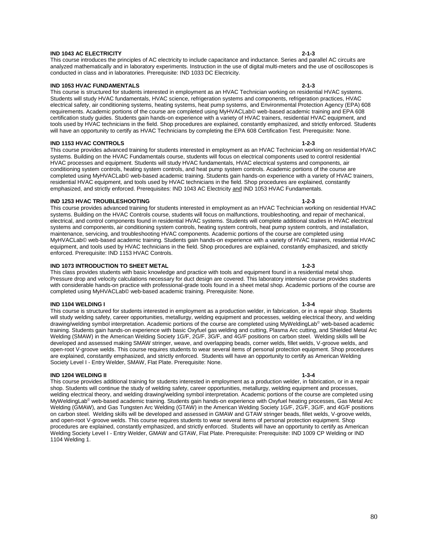#### **IND 1043 AC ELECTRICITY 2-1-3**

This course introduces the principles of AC electricity to include capacitance and inductance. Series and parallel AC circuits are analyzed mathematically and in laboratory experiments. Instruction in the use of digital multi-meters and the use of oscilloscopes is conducted in class and in laboratories. Prerequisite: IND 1033 DC Electricity.

### **IND 1053 HVAC FUNDAMENTALS 2-1-3**

This course is structured for students interested in employment as an HVAC Technician working on residential HVAC systems. Students will study HVAC fundamentals, HVAC science, refrigeration systems and components, refrigeration practices, HVAC electrical safety, air conditioning systems, heating systems, heat pump systems, and Environmental Protection Agency (EPA) 608 requirements. Academic portions of the course are completed using MyHVACLab© web-based academic training and EPA 608 certification study guides. Students gain hands-on experience with a variety of HVAC trainers, residential HVAC equipment, and tools used by HVAC technicians in the field. Shop procedures are explained, constantly emphasized, and strictly enforced. Students will have an opportunity to certify as HVAC Technicians by completing the EPA 608 Certification Test. Prerequisite: None.

### **IND 1153 HVAC CONTROLS 1-2-3**

This course provides advanced training for students interested in employment as an HVAC Technician working on residential HVAC systems. Building on the HVAC Fundamentals course, students will focus on electrical components used to control residential HVAC processes and equipment. Students will study HVAC fundamentals, HVAC electrical systems and components, air conditioning system controls, heating system controls, and heat pump system controls. Academic portions of the course are completed using MyHVACLab© web-based academic training. Students gain hands-on experience with a variety of HVAC trainers, residential HVAC equipment, and tools used by HVAC technicians in the field. Shop procedures are explained, constantly emphasized, and strictly enforced. Prerequisites: IND 1043 AC Electricity and IND 1053 HVAC Fundamentals.

#### **IND 1253 HVAC TROUBLESHOOTING 1-2-3**

This course provides advanced training for students interested in employment as an HVAC Technician working on residential HVAC systems. Building on the HVAC Controls course, students will focus on malfunctions, troubleshooting, and repair of mechanical, electrical, and control components found in residential HVAC systems. Students will complete additional studies in HVAC electrical systems and components, air conditioning system controls, heating system controls, heat pump system controls, and installation, maintenance, servicing, and troubleshooting HVAC components. Academic portions of the course are completed using MyHVACLab© web-based academic training. Students gain hands-on experience with a variety of HVAC trainers, residential HVAC equipment, and tools used by HVAC technicians in the field. Shop procedures are explained, constantly emphasized, and strictly enforced. Prerequisite: IND 1153 HVAC Controls.

# **IND 1073 INTRODUCTION TO SHEET METAL 1-2-3**

This class provides students with basic knowledge and practice with tools and equipment found in a residential metal shop. Pressure drop and velocity calculations necessary for duct design are covered. This laboratory intensive course provides students with considerable hands-on practice with professional-grade tools found in a sheet metal shop. Academic portions of the course are completed using MyHVACLab© web-based academic training. Prerequisite: None.

### **IND 1104 WELDING I 1-3-4**

This course is structured for students interested in employment as a production welder, in fabrication, or in a repair shop. Students will study welding safety, career opportunities, metallurgy, welding equipment and processes, welding electrical theory, and welding drawing/welding symbol interpretation. Academic portions of the course are completed using MyWeldingLab<sup>®</sup> web-based academic training. Students gain hands-on experience with basic Oxyfuel gas welding and cutting, Plasma Arc cutting, and Shielded Metal Arc Welding (SMAW) in the American Welding Society 1G/F, 2G/F, 3G/F, and 4G/F positions on carbon steel. Welding skills will be developed and assessed making SMAW stringer, weave, and overlapping beads, corner welds, fillet welds, V-groove welds, and open-root V-groove welds. This course requires students to wear several items of personal protection equipment. Shop procedures are explained, constantly emphasized, and strictly enforced. Students will have an opportunity to certify as American Welding Society Level I - Entry Welder, SMAW, Flat Plate. Prerequisite: None.

### **IND 1204 WELDING II 1-3-4**

This course provides additional training for students interested in employment as a production welder, in fabrication, or in a repair shop. Students will continue the study of welding safety, career opportunities, metallurgy, welding equipment and processes, welding electrical theory, and welding drawing/welding symbol interpretation. Academic portions of the course are completed using MyWeldingLab© web-based academic training. Students gain hands-on experience with Oxyfuel heating processes, Gas Metal Arc Welding (GMAW), and Gas Tungsten Arc Welding (GTAW) in the American Welding Society 1G/F, 2G/F, 3G/F, and 4G/F positions on carbon steel. Welding skills will be developed and assessed in GMAW and GTAW stringer beads, fillet welds, V-groove welds, and open-root V-groove welds. This course requires students to wear several items of personal protection equipment. Shop procedures are explained, constantly emphasized, and strictly enforced. Students will have an opportunity to certify as American Welding Society Level I - Entry Welder, GMAW and GTAW, Flat Plate. Prerequisite: Prerequisite: IND 1009 CP Welding or IND 1104 Welding 1.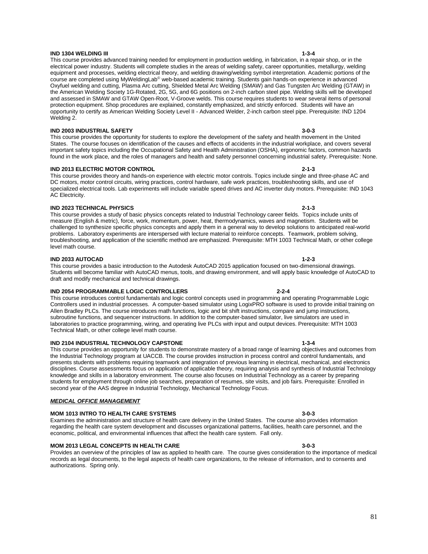#### **IND 1304 WELDING III 1-3-4**

This course provides advanced training needed for employment in production welding, in fabrication, in a repair shop, or in the electrical power industry. Students will complete studies in the areas of welding safety, career opportunities, metallurgy, welding equipment and processes, welding electrical theory, and welding drawing/welding symbol interpretation. Academic portions of the course are completed using MyWeldingLab© web-based academic training. Students gain hands-on experience in advanced Oxyfuel welding and cutting, Plasma Arc cutting, Shielded Metal Arc Welding (SMAW) and Gas Tungsten Arc Welding (GTAW) in the American Welding Society 1G-Rotated, 2G, 5G, and 6G positions on 2-inch carbon steel pipe. Welding skills will be developed and assessed in SMAW and GTAW Open-Root, V-Groove welds. This course requires students to wear several items of personal protection equipment. Shop procedures are explained, constantly emphasized, and strictly enforced. Students will have an opportunity to certify as American Welding Society Level II - Advanced Welder, 2-inch carbon steel pipe. Prerequisite: IND 1204 Welding 2.

### **IND 2003 INDUSTRIAL SAFETY 3-0-3**

This course provides the opportunity for students to explore the development of the safety and health movement in the United States. The course focuses on identification of the causes and effects of accidents in the industrial workplace, and covers several important safety topics including the Occupational Safety and Health Administration (OSHA), ergonomic factors, common hazards found in the work place, and the roles of managers and health and safety personnel concerning industrial safety. Prerequisite: None.

### **IND 2013 ELECTRIC MOTOR CONTROL 2-1-3**

This course provides theory and hands-on experience with electric motor controls. Topics include single and three-phase AC and DC motors, motor control circuits, wiring practices, control hardware, safe work practices, troubleshooting skills, and use of specialized electrical tools. Lab experiments will include variable speed drives and AC inverter duty motors. Prerequisite: IND 1043 AC Electricity.

### **IND 2023 TECHNICAL PHYSICS 2-1-3**

This course provides a study of basic physics concepts related to Industrial Technology career fields. Topics include units of measure (English & metric), force, work, momentum, power, heat, thermodynamics, waves and magnetism. Students will be challenged to synthesize specific physics concepts and apply them in a general way to develop solutions to anticipated real-world problems. Laboratory experiments are interspersed with lecture material to reinforce concepts. Teamwork, problem solving, troubleshooting, and application of the scientific method are emphasized. Prerequisite: MTH 1003 Technical Math, or other college level math course.

### **IND 2033 AUTOCAD 1-2-3**

This course provides a basic introduction to the Autodesk AutoCAD 2015 application focused on two-dimensional drawings. Students will become familiar with AutoCAD menus, tools, and drawing environment, and will apply basic knowledge of AutoCAD to draft and modify mechanical and technical drawings.

### **IND 2054 PROGRAMMABLE LOGIC CONTROLLERS 2-2-4**

This course introduces control fundamentals and logic control concepts used in programming and operating Programmable Logic Controllers used in industrial processes. A computer-based simulator using LogixPRO software is used to provide initial training on Allen Bradley PLCs. The course introduces math functions, logic and bit shift instructions, compare and jump instructions, subroutine functions, and sequencer instructions. In addition to the computer-based simulator, live simulators are used in laboratories to practice programming, wiring, and operating live PLCs with input and output devices. Prerequisite: MTH 1003 Technical Math, or other college level math course.

### **IND 2104 INDUSTRIAL TECHNOLOGY CAPSTONE 1-3-4**

This course provides an opportunity for students to demonstrate mastery of a broad range of learning objectives and outcomes from the Industrial Technology program at UACCB. The course provides instruction in process control and control fundamentals, and presents students with problems requiring teamwork and integration of previous learning in electrical, mechanical, and electronics disciplines. Course assessments focus on application of applicable theory, requiring analysis and synthesis of Industrial Technology knowledge and skills in a laboratory environment. The course also focuses on Industrial Technology as a career by preparing students for employment through online job searches, preparation of resumes, site visits, and job fairs. Prerequisite: Enrolled in second year of the AAS degree in Industrial Technology, Mechanical Technology Focus.

### *MEDICAL OFFICE MANAGEMENT*

### **MOM 1013 INTRO TO HEALTH CARE SYSTEMS 3-0-3**

Examines the administration and structure of health care delivery in the United States. The course also provides information regarding the health care system development and discusses organizational patterns, facilities, health care personnel, and the economic, political, and environmental influences that affect the health care system. Fall only.

# **MOM 2013 LEGAL CONCEPTS IN HEALTH CARE 3-0-3**

Provides an overview of the principles of law as applied to health care. The course gives consideration to the importance of medical records as legal documents, to the legal aspects of health care organizations, to the release of information, and to consents and authorizations. Spring only.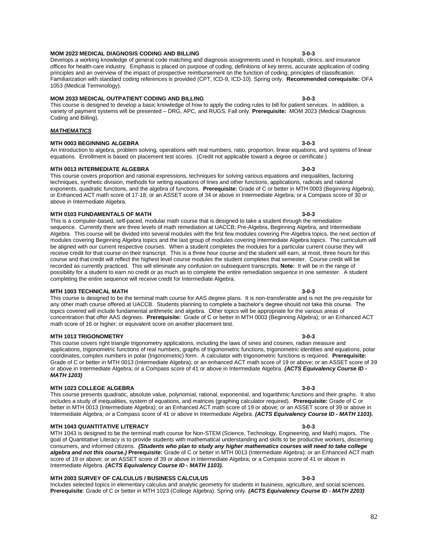#### **MOM 2023 MEDICAL DIAGNOSIS CODING AND BILLING 3-0-3**

Develops a working knowledge of general code matching and diagnosis assignments used in hospitals, clinics, and insurance offices for health-care industry. Emphasis is placed on purpose of coding, definitions of key terms, accurate application of coding principles and an overview of the impact of prospective reimbursement on the function of coding; principles of classification. Familiarization with standard coding references is provided (CPT, ICD-9, ICD-10). Spring only. **Recommended corequisite:** OFA 1053 (Medical Terminology).

### **MOM 2033 MEDICAL OUTPATIENT CODING AND BILLING 3-0-3**

This course is designed to develop a basic knowledge of how to apply the coding rules to bill for patient services. In addition, a variety of payment systems will be presented – DRG, APC, and RUGS. Fall only. **Prerequisite:** MOM 2023 (Medical Diagnosis Coding and Billing).

## *MATHEMATICS*

### **MTH 0003 BEGINNING ALGEBRA 3-0-3**

An introduction to algebra, problem solving, operations with real numbers, ratio, proportion, linear equations, and systems of linear equations. Enrollment is based on placement test scores. (Credit not applicable toward a degree or certificate.)

### **MTH 0013 INTERMEDIATE ALGEBRA 3-0-3**

This course covers proportion and rational expressions, techniques for solving various equations and inequalities, factoring techniques, synthetic division, methods for writing equations of lines and other functions, applications, radicals and rational exponents, quadratic functions, and the algebra of functions. **Prerequisite:** Grade of C or better in MTH 0003 (Beginning Algebra); or Enhanced ACT math score of 17-18; or an ASSET score of 34 or above in Intermediate Algebra; or a Compass score of 30 or above in Intermediate Algebra.

#### **MTH 0103 FUNDAMENTALS OF MATH 3-0-3**

This is a computer-based, self-paced, modular math course that is designed to take a student through the remediation sequence. Currently there are three levels of math remediation at UACCB; Pre-Algebra, Beginning Algebra, and Intermediate Algebra. This course will be divided into several modules with the first few modules covering Pre-Algebra topics, the next section of modules covering Beginning Algebra topics and the last group of modules covering Intermediate Algebra topics. The curriculum will be aligned with our current respective courses. When a student completes the modules for a particular current course they will receive credit for that course on their transcript. This is a three hour course and the student will earn, at most, three hours for this course and that credit will reflect the highest level course modules the student completes that semester. Course credit will be recorded as currently practiced. This will eliminate any confusion on subsequent transcripts. **Note:** It will be in the range of possibility for a student to earn no credit or as much as to complete the entire remediation sequence in one semester. A student completing the entire sequence will receive credit for Intermediate Algebra.

### **MTH 1003 TECHNICAL MATH 3-0-3**

This course is designed to be the terminal math course for AAS degree plans. It is non-transferable and is not the pre-requisite for any other math course offered at UACCB. Students planning to complete a bachelor's degree should not take this course. The topics covered will include fundamental arithmetic and algebra. Other topics will be appropriate for the various areas of concentration that offer AAS degrees. **Prerequisite:** Grade of C or better in MTH 0003 (Beginning Algebra); or an Enhanced ACT math score of 16 or higher; or equivalent score on another placement test.

#### **MTH 1013 TRIGONOMETRY 3-0-3**

This course covers right triangle trigonometry applications, including the laws of sines and cosines, radian measure and applications, trigonometric functions of real numbers, graphs of trigonometric functions, trigonometric identities and equations, polar coordinates, complex numbers in polar (trigonometric) form. A calculator with trigonometric functions is required. **Prerequisite:** Grade of C or better in MTH 0013 (Intermediate Algebra); or an enhanced ACT math score of 19 or above; or an ASSET score of 39 or above in Intermediate Algebra; or a Compass score of 41 or above in Intermediate Algebra. *(ACTS Equivalency Course ID - MATH 1203)*

### **MTH 1023 COLLEGE ALGEBRA 3-0-3**

This course presents quadratic, absolute value, polynomial, rational, exponential, and logarithmic functions and their graphs. It also includes a study of inequalities, system of equations, and matrices (graphing calculator required). **Prerequisite:** Grade of C or better in MTH 0013 (Intermediate Algebra); or an Enhanced ACT math score of 19 or above; or an ASSET score of 39 or above in Intermediate Algebra; or a Compass score of 41 or above in Intermediate Algebra. *(ACTS Equivalency Course ID - MATH 1103).*

### **MTH 1043 QUANTITATIVE LITERACY 3-0-3**

MTH 1043 is designed to be the terminal math course for Non-STEM (Science, Technology, Engineering, and Math) majors. The goal of Quantitative Literacy is to provide students with mathematical understanding and skills to be productive workers, discerning consumers, and informed citizens. *(Students who plan to study any higher mathematics courses will need to take college algebra and not this course.)* **Prerequisite:** Grade of C or better in MTH 0013 (Intermediate Algebra); or an Enhanced ACT math score of 19 or above; or an ASSET score of 39 or above in Intermediate Algebra; or a Compass score of 41 or above in Intermediate Algebra. *(ACTS Equivalency Course ID - MATH 1103).*

### **MTH 2003 SURVEY OF CALCULUS / BUSINESS CALCULUS 3-0-3**

Includes selected topics in elementary calculus and analytic geometry for students in business, agriculture, and social sciences. **Prerequisite**: Grade of C or better in MTH 1023 (College Algebra). Spring only. *(ACTS Equivalency Course ID - MATH 2203)*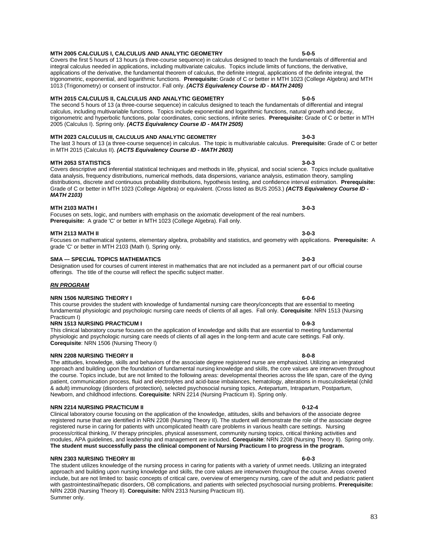### **MTH 2005 CALCULUS I, CALCULUS AND ANALYTIC GEOMETRY 5-0-5**

Covers the first 5 hours of 13 hours (a three-course sequence) in calculus designed to teach the fundamentals of differential and integral calculus needed in applications, including multivariate calculus. Topics include limits of functions, the derivative, applications of the derivative, the fundamental theorem of calculus, the definite integral, applications of the definite integral, the trigonometric, exponential, and logarithmic functions. **Prerequisite:** Grade of C or better in MTH 1023 (College Algebra) and MTH 1013 (Trigonometry) or consent of instructor. Fall only. *(ACTS Equivalency Course ID - MATH 2405)*

# **MTH 2015 CALCULUS II, CALCULUS AND ANALYTIC GEOMETRY 5-0-5**

The second 5 hours of 13 (a three-course sequence) in calculus designed to teach the fundamentals of differential and integral calculus, including multivariable functions. Topics include exponential and logarithmic functions, natural growth and decay, trigonometric and hyperbolic functions, polar coordinates, conic sections, infinite series. **Prerequisite:** Grade of C or better in MTH 2005 (Calculus I). Spring only. *(ACTS Equivalency Course ID - MATH 2505)*

# **MTH 2023 CALCULUS III, CALCULUS AND ANALYTIC GEOMETRY 3-0-3**

The last 3 hours of 13 (a three-course sequence) in calculus. The topic is multivariable calculus. **Prerequisite:** Grade of C or better in MTH 2015 (Calculus II). *(ACTS Equivalency Course ID - MATH 2603)*

# **MTH 2053 STATISTICS 3-0-3**

Covers descriptive and inferential statistical techniques and methods in life, physical, and social science. Topics include qualitative data analysis, frequency distributions, numerical methods, data dispersions, variance analysis, estimation theory, sampling distributions, discrete and continuous probability distributions, hypothesis testing, and confidence interval estimation. **Prerequisite:** Grade of C or better in MTH 1023 (College Algebra) or equivalent. (Cross listed as BUS 2053.) *(ACTS Equivalency Course ID - MATH 2103)*

# **MTH 2103 MATH I 3-0-3**

Focuses on sets, logic, and numbers with emphasis on the axiomatic development of the real numbers. **Prerequisite:** A grade 'C' or better in MTH 1023 (College Algebra). Fall only.

# **MTH 2113 MATH II 3-0-3**

Focuses on mathematical systems, elementary algebra, probability and statistics, and geometry with applications. **Prerequisite:** A grade 'C' or better in MTH 2103 (Math I). Spring only.

# **SMA --- SPECIAL TOPICS MATHEMATICS 3-0-3**

Designation used for courses of current interest in mathematics that are not included as a permanent part of our official course offerings. The title of the course will reflect the specific subject matter.

# *RN PROGRAM*

# **NRN 1506 NURSING THEORY I 6-0-6**

This course provides the student with knowledge of fundamental nursing care theory/concepts that are essential to meeting fundamental physiologic and psychologic nursing care needs of clients of all ages. Fall only. **Corequisite**: NRN 1513 (Nursing Practicum I) **NRN 1513 NURSING PRACTICUM I 0-9-3** 

This clinical laboratory course focuses on the application of knowledge and skills that are essential to meeting fundamental physiologic and psychologic nursing care needs of clients of all ages in the long-term and acute care settings. Fall only. **Corequisite**: NRN 1506 (Nursing Theory I)

# **NRN 2208 NURSING THEORY II 8-0-8**

The attitudes, knowledge, skills and behaviors of the associate degree registered nurse are emphasized. Utilizing an integrated approach and building upon the foundation of fundamental nursing knowledge and skills, the core values are interwoven throughout the course. Topics include, but are not limited to the following areas: developmental theories across the life span, care of the dying patient, communication process, fluid and electrolytes and acid-base imbalances, hematology, alterations in musculoskeletal (child & adult) immunology (disorders of protection), selected psychosocial nursing topics, Antepartum, Intrapartum, Postpartum, Newborn, and childhood infections. **Corequisite**: NRN 2214 (Nursing Practicum II). Spring only.

### **NRN 2214 NURSING PRACTICUM II 0-12-4**

Clinical laboratory course focusing on the application of the knowledge, attitudes, skills and behaviors of the associate degree registered nurse that are identified in NRN 2208 (Nursing Theory II). The student will demonstrate the role of the associate degree registered nurse in caring for patients with uncomplicated health care problems in various health care settings. Nursing process/critical thinking, IV therapy principles, physical assessment, community nursing topics, critical thinking activities and modules, APA guidelines, and leadership and management are included. **Corequisite**: NRN 2208 (Nursing Theory II). Spring only. **The student must successfully pass the clinical component of Nursing Practicum I to progress in the program.**

### **NRN 2303 NURSING THEORY III 6-0-3**

The student utilizes knowledge of the nursing process in caring for patients with a variety of unmet needs. Utilizing an integrated approach and building upon nursing knowledge and skills, the core values are interwoven throughout the course. Areas covered include, but are not limited to: basic concepts of critical care, overview of emergency nursing, care of the adult and pediatric patient with gastrointestinal/hepatic disorders, OB complications, and patients with selected psychosocial nursing problems. **Prerequisite:** NRN 2208 (Nursing Theory II). **Corequisite:** NRN 2313 Nursing Practicum III). Summer only.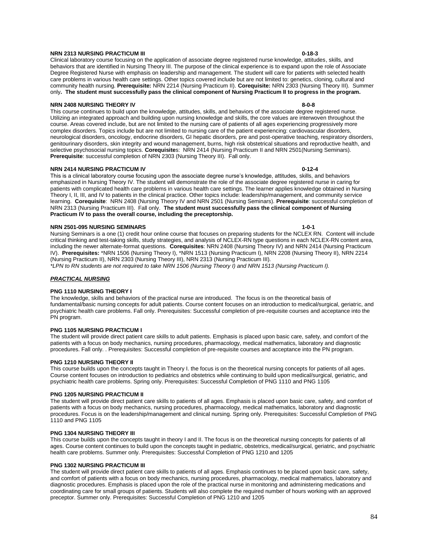### **NRN 2313 NURSING PRACTICUM III 0-18-3**

#### Clinical laboratory course focusing on the application of associate degree registered nurse knowledge, attitudes, skills, and behaviors that are identified in Nursing Theory III. The purpose of the clinical experience is to expand upon the role of Associate Degree Registered Nurse with emphasis on leadership and management. The student will care for patients with selected health care problems in various health care settings. Other topics covered include but are not limited to: genetics, cloning, cultural and community health nursing. **Prerequisite:** NRN 2214 (Nursing Practicum II). **Corequisite:** NRN 2303 (Nursing Theory III). Summer only**. The student must successfully pass the clinical component of Nursing Practicum II to progress in the program.**

### **NRN 2408 NURSING THEORY IV 8-0-8**

This course continues to build upon the knowledge, attitudes, skills, and behaviors of the associate degree registered nurse. Utilizing an integrated approach and building upon nursing knowledge and skills, the core values are interwoven throughout the course. Areas covered include, but are not limited to the nursing care of patients of all ages experiencing progressively more complex disorders. Topics include but are not limited to nursing care of the patient experiencing: cardiovascular disorders, neurological disorders, oncology, endocrine disorders, GI hepatic disorders, pre and post-operative teaching, respiratory disorders, genitourinary disorders, skin integrity and wound management, burns, high risk obstetrical situations and reproductive health, and selective psychosocial nursing topics. **Corequisite**s: NRN 2414 (Nursing Practicum II and NRN 2501(Nursing Seminars). **Prerequisite**: successful completion of NRN 2303 (Nursing Theory III). Fall only.

# **NRN 2414 NURSING PRACTICUM IV 0-12-4**

This is a clinical laboratory course focusing upon the associate degree nurse's knowledge, attitudes, skills, and behaviors emphasized in Nursing Theory IV. The student will demonstrate the role of the associate degree registered nurse in caring for patients with complicated health care problems in various health care settings. The learner applies knowledge obtained in Nursing Theory I, II, III, and IV to patients in the clinical practice. Other topics include: leadership/management, and community service learning. **Corequisite**: NRN 2408 (Nursing Theory IV and NRN 2501 (Nursing Seminars). **Prerequisite**: successful completion of NRN 2313 (Nursing Practicum III). Fall only. **The student must successfully pass the clinical component of Nursing Practicum IV to pass the overall course, including the preceptorship.**

#### **NRN 2501-095 NURSING SEMINARS 1-0-1**

Nursing Seminars is a one (1) credit hour online course that focuses on preparing students for the NCLEX RN. Content will include critical thinking and test-taking skills, study strategies, and analysis of NCLEX-RN type questions in each NCLEX-RN content area, including the newer alternate-format questions. **Corequisites**: NRN 2408 (Nursing Theory IV) and NRN 2414 (Nursing Practicum IV). **Prerequisites:** \*NRN 1506 (Nursing Theory I), \*NRN 1513 (Nursing Practicum I), NRN 2208 (Nursing Theory II), NRN 2214 (Nursing Practicum II), NRN 2303 (Nursing Theory III), NRN 2313 (Nursing Practicum III).

*\*LPN to RN students are not required to take NRN 1506 (Nursing Theory I) and NRN 1513 (Nursing Practicum I).*

#### *PRACTICAL NURSING*

#### **PNG 1110 NURSING THEORY I**

The knowledge, skills and behaviors of the practical nurse are introduced. The focus is on the theoretical basis of fundamental/basic nursing concepts for adult patients. Course content focuses on an introduction to medical/surgical, geriatric, and psychiatric health care problems. Fall only. Prerequisites: Successful completion of pre-requisite courses and acceptance into the PN program.

#### **PNG 1105 NURSING PRACTICUM I**

The student will provide direct patient care skills to adult patients. Emphasis is placed upon basic care, safety, and comfort of the patients with a focus on body mechanics, nursing procedures, pharmacology, medical mathematics, laboratory and diagnostic procedures. Fall only. . Prerequisites: Successful completion of pre-requisite courses and acceptance into the PN program.

### **PNG 1210 NURSING THEORY II**

This course builds upon the concepts taught in Theory I. the focus is on the theoretical nursing concepts for patients of all ages. Course content focuses on introduction to pediatrics and obstetrics while continuing to build upon medical/surgical, geriatric, and psychiatric health care problems. Spring only. Prerequisites: Successful Completion of PNG 1110 and PNG 1105

#### **PNG 1205 NURSING PRACTICUM II**

The student will provide direct patient care skills to patients of all ages. Emphasis is placed upon basic care, safety, and comfort of patients with a focus on body mechanics, nursing procedures, pharmacology, medical mathematics, laboratory and diagnostic procedures. Focus is on the leadership/management and clinical nursing. Spring only. Prerequisites: Successful Completion of PNG 1110 and PNG 1105

### **PNG 1304 NURSING THEORY III**

This course builds upon the concepts taught in theory I and II. The focus is on the theoretical nursing concepts for patients of all ages. Course content continues to build upon the concepts taught in pediatric, obstetrics, medical/surgical, geriatric, and psychiatric health care problems. Summer only. Prerequisites: Successful Completion of PNG 1210 and 1205

#### **PNG 1302 NURSING PRACTICUM III**

The student will provide direct patient care skills to patients of all ages. Emphasis continues to be placed upon basic care, safety, and comfort of patients with a focus on body mechanics, nursing procedures, pharmacology, medical mathematics, laboratory and diagnostic procedures. Emphasis is placed upon the role of the practical nurse in monitoring and administering medications and coordinating care for small groups of patients. Students will also complete the required number of hours working with an approved preceptor. Summer only. Prerequisites: Successful Completion of PNG 1210 and 1205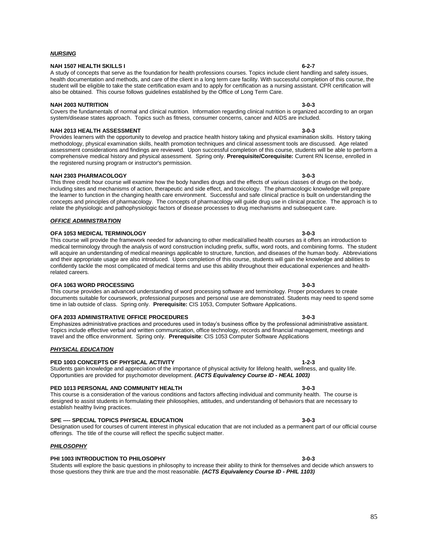#### *NURSING*

### **NAH 1507 HEALTH SKILLS I 6-2-7**

A study of concepts that serve as the foundation for health professions courses. Topics include client handling and safety issues, health documentation and methods, and care of the client in a long term care facility. With successful completion of this course, the student will be eligible to take the state certification exam and to apply for certification as a nursing assistant. CPR certification will also be obtained. This course follows guidelines established by the Office of Long Term Care.

### **NAH 2003 NUTRITION 3-0-3**

Covers the fundamentals of normal and clinical nutrition. Information regarding clinical nutrition is organized according to an organ system/disease states approach. Topics such as fitness, consumer concerns, cancer and AIDS are included.

### **NAH 2013 HEALTH ASSESSMENT 3-0-3**

Provides learners with the opportunity to develop and practice health history taking and physical examination skills. History taking methodology, physical examination skills, health promotion techniques and clinical assessment tools are discussed. Age related assessment considerations and findings are reviewed. Upon successful completion of this course, students will be able to perform a comprehensive medical history and physical assessment. Spring only. **Prerequisite/Corequisite:** Current RN license, enrolled in the registered nursing program or instructor's permission.

#### **NAH 2303 PHARMACOLOGY 3-0-3**

#### This three credit hour course will examine how the body handles drugs and the effects of various classes of drugs on the body, including sites and mechanisms of action, therapeutic and side effect, and toxicology. The pharmacologic knowledge will prepare the learner to function in the changing health care environment. Successful and safe clinical practice is built on understanding the concepts and principles of pharmacology. The concepts of pharmacology will guide drug use in clinical practice. The approach is to relate the physiologic and pathophysiologic factors of disease processes to drug mechanisms and subsequent care.

### *OFFICE ADMINISTRATION*

## **OFA 1053 MEDICAL TERMINOLOGY 3-0-3**

This course will provide the framework needed for advancing to other medical/allied health courses as it offers an introduction to medical terminology through the analysis of word construction including prefix, suffix, word roots, and combining forms. The student will acquire an understanding of medical meanings applicable to structure, function, and diseases of the human body. Abbreviations and their appropriate usage are also introduced. Upon completion of this course, students will gain the knowledge and abilities to confidently tackle the most complicated of medical terms and use this ability throughout their educational experiences and healthrelated careers.

### **OFA 1063 WORD PROCESSING 3-0-3**

This course provides an advanced understanding of word processing software and terminology. Proper procedures to create documents suitable for coursework, professional purposes and personal use are demonstrated. Students may need to spend some time in lab outside of class. Spring only. **Prerequisite:** CIS 1053, Computer Software Applications.

### **OFA 2033 ADMINISTRATIVE OFFICE PROCEDURES 3-0-3**

Emphasizes administrative practices and procedures used in today's business office by the professional administrative assistant. Topics include effective verbal and written communication, office technology, records and financial management, meetings and travel and the office environment. Spring only. **Prerequisite**: CIS 1053 Computer Software Applications

### *PHYSICAL EDUCATION*

# **PED 1003 CONCEPTS OF PHYSICAL ACTIVITY 1-2-3**

Students gain knowledge and appreciation of the importance of physical activity for lifelong health, wellness, and quality life. Opportunities are provided for psychomotor development. *(ACTS Equivalency Course ID - HEAL 1003)*

### **PED 1013 PERSONAL AND COMMUNITY HEALTH 3-0-3**

This course is a consideration of the various conditions and factors affecting individual and community health. The course is designed to assist students in formulating their philosophies, attitudes, and understanding of behaviors that are necessary to establish healthy living practices.

### **SPE ---- SPECIAL TOPICS PHYSICAL EDUCATION 3-0-3**

Designation used for courses of current interest in physical education that are not included as a permanent part of our official course offerings. The title of the course will reflect the specific subject matter.

# *PHILOSOPHY*

# **PHI 1003 INTRODUCTION TO PHILOSOPHY 3-0-3**

Students will explore the basic questions in philosophy to increase their ability to think for themselves and decide which answers to those questions they think are true and the most reasonable. *(ACTS Equivalency Course ID - PHIL 1103)*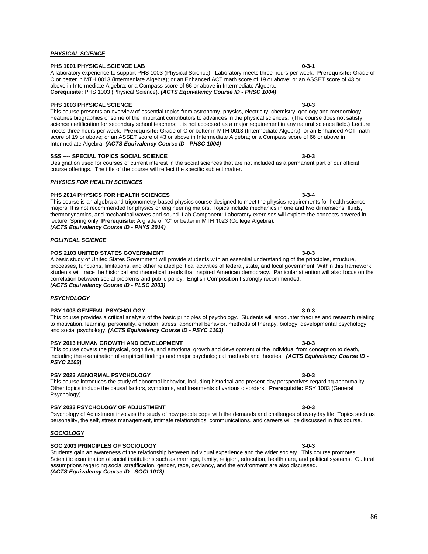#### *PHYSICAL SCIENCE*

### **PHS 1001 PHYSICAL SCIENCE LAB 0-3-1**

A laboratory experience to support PHS 1003 (Physical Science). Laboratory meets three hours per week. **Prerequisite:** Grade of C or better in MTH 0013 (Intermediate Algebra); or an Enhanced ACT math score of 19 or above; or an ASSET score of 43 or above in Intermediate Algebra; or a Compass score of 66 or above in Intermediate Algebra. **Corequisite:** PHS 1003 (Physical Science). *(ACTS Equivalency Course ID - PHSC 1004)*

### **PHS 1003 PHYSICAL SCIENCE** 3-0-3

This course presents an overview of essential topics from astronomy, physics, electricity, chemistry, geology and meteorology. Features biographies of some of the important contributors to advances in the physical sciences. (The course does not satisfy science certification for secondary school teachers; it is not accepted as a major requirement in any natural science field.) Lecture meets three hours per week. **Prerequisite:** Grade of C or better in MTH 0013 (Intermediate Algebra); or an Enhanced ACT math score of 19 or above; or an ASSET score of 43 or above in Intermediate Algebra; or a Compass score of 66 or above in Intermediate Algebra. *(ACTS Equivalency Course ID - PHSC 1004)*

#### **SSS ---- SPECIAL TOPICS SOCIAL SCIENCE 3-0-3**

Designation used for courses of current interest in the social sciences that are not included as a permanent part of our official course offerings. The title of the course will reflect the specific subject matter.

#### *PHYSICS FOR HEALTH SCIENCES*

#### **PHS 2014 PHYSICS FOR HEALTH SCIENCES 3-3-4**

This course is an algebra and trigonometry-based physics course designed to meet the physics requirements for health science majors. It is not recommended for physics or engineering majors. Topics include mechanics in one and two dimensions, fluids, thermodynamics, and mechanical waves and sound. Lab Component: Laboratory exercises will explore the concepts covered in lecture. Spring only. **Prerequisite:** A grade of "C" or better in MTH 1023 (College Algebra). *(ACTS Equivalency Course ID - PHYS 2014)*

#### *POLITICAL SCIENCE*

#### **POS 2103 UNITED STATES GOVERNMENT 3-0-3**

A basic study of United States Government will provide students with an essential understanding of the principles, structure, processes, functions, limitations, and other related political activities of federal, state, and local government. Within this framework students will trace the historical and theoretical trends that inspired American democracy. Particular attention will also focus on the correlation between social problems and public policy. English Composition I strongly recommended. *(ACTS Equivalency Course ID - PLSC 2003)*

### *PSYCHOLOGY*

#### **PSY 1003 GENERAL PSYCHOLOGY 3-0-3**

# This course provides a critical analysis of the basic principles of psychology. Students will encounter theories and research relating to motivation, learning, personality, emotion, stress, abnormal behavior, methods of therapy, biology, developmental psychology, and social psychology. *(ACTS Equivalency Course ID - PSYC 1103)*

#### **PSY 2013 HUMAN GROWTH AND DEVELOPMENT 3-0-3**

This course covers the physical, cognitive, and emotional growth and development of the individual from conception to death, including the examination of empirical findings and major psychological methods and theories. *(ACTS Equivalency Course ID - PSYC 2103)*

### **PSY 2023 ABNORMAL PSYCHOLOGY 3-0-3**

This course introduces the study of abnormal behavior, including historical and present-day perspectives regarding abnormality. Other topics include the causal factors, symptoms, and treatments of various disorders. **Prerequisite:** PSY 1003 (General Psychology).

# **PSY 2033 PSYCHOLOGY OF ADJUSTMENT 3-0-3**

Psychology of Adjustment involves the study of how people cope with the demands and challenges of everyday life. Topics such as personality, the self, stress management, intimate relationships, communications, and careers will be discussed in this course.

#### *SOCIOLOGY*

# **SOC 2003 PRINCIPLES OF SOCIOLOGY 3-0-3**

Students gain an awareness of the relationship between individual experience and the wider society. This course promotes Scientific examination of social institutions such as marriage, family, religion, education, health care, and political systems. Cultural assumptions regarding social stratification, gender, race, deviancy, and the environment are also discussed. *(ACTS Equivalency Course ID - SOCI 1013)*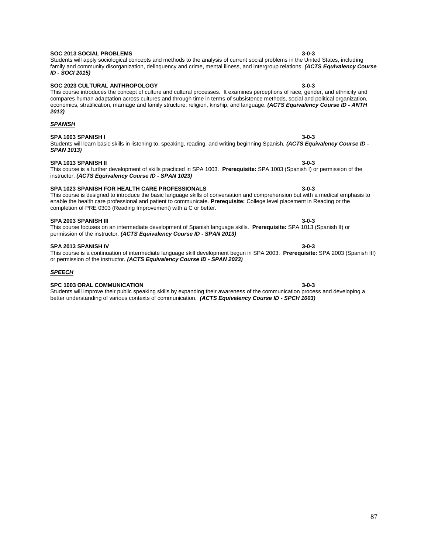#### **SOC 2013 SOCIAL PROBLEMS 3-0-3** Students will apply sociological concepts and methods to the analysis of current social problems in the United States, including

# family and community disorganization, delinquency and crime, mental illness, and intergroup relations. *(ACTS Equivalency Course ID - SOCI 2015)*

compares human adaptation across cultures and through time in terms of subsistence methods, social and political organization, economics, stratification, marriage and family structure, religion, kinship, and language. *(ACTS Equivalency Course ID - ANTH* 

#### **SOC 2023 CULTURAL ANTHROPOLOGY 3-0-3** This course introduces the concept of culture and cultural processes. It examines perceptions of race, gender, and ethnicity and

# *SPANISH*

*2013)*

# **SPA 1003 SPANISH I 3-0-3**

#### Students will learn basic skills in listening to, speaking, reading, and writing beginning Spanish. *(ACTS Equivalency Course ID - SPAN 1013)*

#### **SPA 1013 SPANISH II 3-0-3** This course is a further development of skills practiced in SPA 1003. **Prerequisite:** SPA 1003 (Spanish I) or permission of the

# **SPA 1023 SPANISH FOR HEALTH CARE PROFESSIONALS 3-0-3**

instructor. *(ACTS Equivalency Course ID - SPAN 1023)*

#### This course is designed to introduce the basic language skills of conversation and comprehension but with a medical emphasis to enable the health care professional and patient to communicate. **Prerequisite:** College level placement in Reading or the completion of PRE 0303 (Reading Improvement) with a C or better.

### **SPA 2003 SPANISH III 3-0-3**

This course focuses on an intermediate development of Spanish language skills. **Prerequisite:** SPA 1013 (Spanish II) or permission of the instructor. *(ACTS Equivalency Course ID - SPAN 2013)*

#### **SPA 2013 SPANISH IV 3-0-3**

This course is a continuation of intermediate language skill development begun in SPA 2003. **Prerequisite:** SPA 2003 (Spanish III) or permission of the instructor. *(ACTS Equivalency Course ID - SPAN 2023)*

#### *SPEECH*

### **SPC 1003 ORAL COMMUNICATION 3-0-3**

Students will improve their public speaking skills by expanding their awareness of the communication process and developing a better understanding of various contexts of communication. *(ACTS Equivalency Course ID - SPCH 1003)*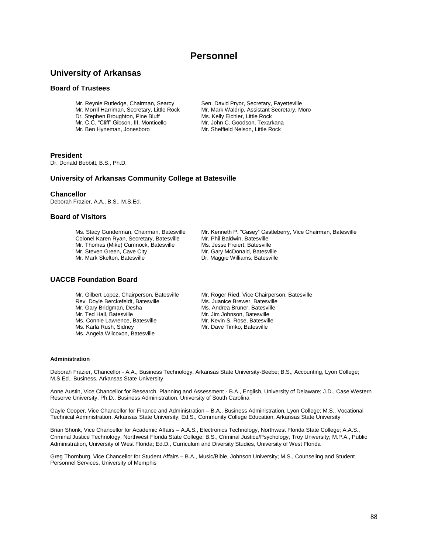# **Personnel**

# **University of Arkansas**

# **Board of Trustees**

- 
- 
- Mr. C.C. "Cliff" Gibson, III, Monticello
- 
- 

Mr. Reynie Rutledge, Chairman, Searcy Sen. David Pryor, Secretary, Fayetteville<br>Mr. Morril Harriman, Secretary, Little Rock Mr. Mark Waldrip, Assistant Secretary, M Mr. Mark Waldrip, Assistant Secretary, Moro<br>Ms. Kelly Eichler, Little Rock Dr. Stephen Broughton, Pine Bluff Ms. Kelly Eichler, Little Rock<br>Mr. C.C. "Cliff" Gibson, III, Monticello Mr. John C. Goodson, Texarkana Mr. Ben Hyneman, Jonesboro Mr. Sheffield Nelson, Little Rock

# **President**

Dr. Donald Bobbitt, B.S., Ph.D.

# **University of Arkansas Community College at Batesville**

# **Chancellor**

Deborah Frazier, A.A., B.S., M.S.Ed.

# **Board of Visitors**

Ms. Stacy Gunderman, Chairman, Batesville Mr. Kenneth P. "Casey" Castleberry, Vice Chairman, Batesville<br>Colonel Karen Ryan, Secretary, Batesville Mr. Phil Baldwin, Batesville Colonel Karen Ryan, Secretary, Batesville Mr. Phil Baldwin, Batesville<br>Mr. Thomas (Mike) Cumnock, Batesville Ms. Jesse Freiert, Batesville Mr. Thomas (Mike) Cumnock, Batesville Mr. Jesse Freiert, Batesville<br>Mr. Steven Green. Cave City Mr. Gary McDonald. Batesville Mr. Steven Green, Cave City<br>Mr. Mark Skelton, Batesville

- 
- 
- 
- 
- Dr. Maggie Williams, Batesville

# **UACCB Foundation Board**

- Rev. Doyle Berckefeldt, Batesville<br>Mr. Gary Bridgman, Desha Mr. Gary Bridgman, Desha Ms. Andrea Bruner, Batesville<br>Mr. Ted Hall, Batesville Mr. Jim Johnson, Batesville Ms. Connie Lawrence, Batesville<br>Ms. Karla Rush, Sidney Ms. Angela Wilcoxon, Batesville
- Mr. Gilbert Lopez, Chairperson, Batesville Mr. Roger Ried, Vice Chairperson, Batesville<br>Rev. Doyle Berckefeldt, Batesville Ms. Juanice Brewer, Batesville Mr. Jim Johnson, Batesville<br>Mr. Kevin S. Rose, Batesville Mr. Dave Timko, Batesville

### **Administration**

Deborah Frazier, Chancellor - A.A., Business Technology, Arkansas State University-Beebe; B.S., Accounting, Lyon College; M.S.Ed., Business, Arkansas State University

Anne Austin, Vice Chancellor for Research, Planning and Assessment - B.A., English, University of Delaware; J.D., Case Western Reserve University; Ph.D., Business Administration, University of South Carolina

Gayle Cooper, Vice Chancellor for Finance and Administration – B.A., Business Administration, Lyon College; M.S., Vocational Technical Administration, Arkansas State University; Ed.S., Community College Education, Arkansas State University

Brian Shonk, Vice Chancellor for Academic Affairs – A.A.S., Electronics Technology, Northwest Florida State College; A.A.S., Criminal Justice Technology, Northwest Florida State College; B.S., Criminal Justice/Psychology, Troy University; M.P.A., Public Administration, University of West Florida; Ed.D., Curriculum and Diversity Studies, University of West Florida

Greg Thornburg, Vice Chancellor for Student Affairs – B.A., Music/Bible, Johnson University; M.S., Counseling and Student Personnel Services, University of Memphis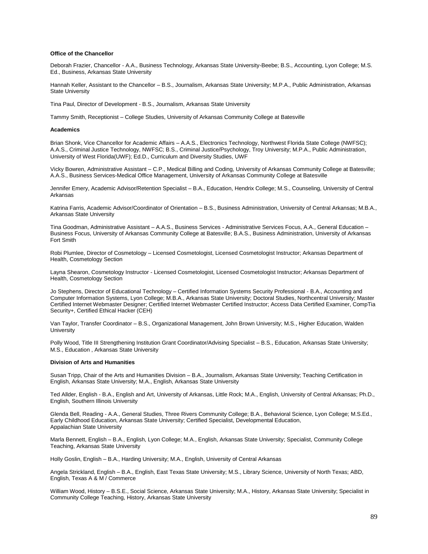#### **Office of the Chancellor**

Deborah Frazier, Chancellor - A.A., Business Technology, Arkansas State University-Beebe; B.S., Accounting, Lyon College; M.S. Ed., Business, Arkansas State University

Hannah Keller, Assistant to the Chancellor – B.S., Journalism, Arkansas State University; M.P.A., Public Administration, Arkansas State University

Tina Paul, Director of Development - B.S., Journalism, Arkansas State University

Tammy Smith, Receptionist – College Studies, University of Arkansas Community College at Batesville

#### **Academics**

Brian Shonk, Vice Chancellor for Academic Affairs – A.A.S., Electronics Technology, Northwest Florida State College (NWFSC); A.A.S., Criminal Justice Technology, NWFSC; B.S., Criminal Justice/Psychology, Troy University; M.P.A., Public Administration, University of West Florida(UWF); Ed.D., Curriculum and Diversity Studies, UWF

Vicky Bowren, Administrative Assistant – C.P., Medical Billing and Coding, University of Arkansas Community College at Batesville; A.A.S., Business Services-Medical Office Management, University of Arkansas Community College at Batesville

Jennifer Emery, Academic Advisor/Retention Specialist – B.A., Education, Hendrix College; M.S., Counseling, University of Central Arkansas

Katrina Farris, Academic Advisor/Coordinator of Orientation – B.S., Business Administration, University of Central Arkansas; M.B.A., Arkansas State University

Tina Goodman, Administrative Assistant - A.A.S., Business Services - Administrative Services Focus, A.A., General Education -Business Focus, University of Arkansas Community College at Batesville; B.A.S., Business Administration, University of Arkansas Fort Smith

Robi Plumlee, Director of Cosmetology – Licensed Cosmetologist, Licensed Cosmetologist Instructor; Arkansas Department of Health, Cosmetology Section

Layna Shearon, Cosmetology Instructor - Licensed Cosmetologist, Licensed Cosmetologist Instructor; Arkansas Department of Health, Cosmetology Section

Jo Stephens, Director of Educational Technology – Certified Information Systems Security Professional - B.A., Accounting and Computer Information Systems, Lyon College; M.B.A., Arkansas State University; Doctoral Studies, Northcentral University; Master Certified Internet Webmaster Designer; Certified Internet Webmaster Certified Instructor; Access Data Certified Examiner, CompTia Security+, Certified Ethical Hacker (CEH)

Van Taylor, Transfer Coordinator – B.S., Organizational Management, John Brown University; M.S., Higher Education, Walden **University** 

Polly Wood, Title III Strengthening Institution Grant Coordinator/Advising Specialist – B.S., Education, Arkansas State University; M.S., Education , Arkansas State University

#### **Division of Arts and Humanities**

Susan Tripp, Chair of the Arts and Humanities Division – B.A., Journalism, Arkansas State University; Teaching Certification in English, Arkansas State University; M.A., English, Arkansas State University

Ted Allder, English - B.A., English and Art, University of Arkansas, Little Rock; M.A., English, University of Central Arkansas; Ph.D., English, Southern Illinois University

Glenda Bell, Reading - A.A., General Studies, Three Rivers Community College; B.A., Behavioral Science, Lyon College; M.S.Ed., Early Childhood Education, Arkansas State University; Certified Specialist, Developmental Education, Appalachian State University

Marla Bennett, English – B.A., English, Lyon College; M.A., English, Arkansas State University; Specialist, Community College Teaching, Arkansas State University

Holly Goslin, English – B.A., Harding University; M.A., English, University of Central Arkansas

Angela Strickland, English – B.A., English, East Texas State University; M.S., Library Science, University of North Texas; ABD, English, Texas A & M / Commerce

William Wood, History – B.S.E., Social Science, Arkansas State University; M.A., History, Arkansas State University; Specialist in Community College Teaching, History, Arkansas State University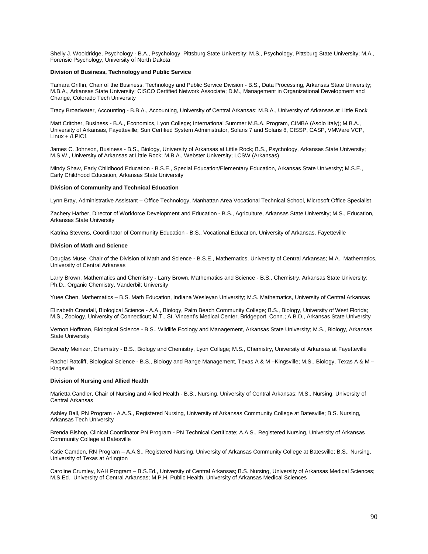Shelly J. Wooldridge, Psychology - B.A., Psychology, Pittsburg State University; M.S., Psychology, Pittsburg State University; M.A., Forensic Psychology, University of North Dakota

#### **Division of Business, Technology and Public Service**

Tamara Griffin, Chair of the Business, Technology and Public Service Division - B.S., Data Processing, Arkansas State University; M.B.A., Arkansas State University; CISCO Certified Network Associate; D.M., Management in Organizational Development and Change, Colorado Tech University

Tracy Broadwater, Accounting - B.B.A., Accounting, University of Central Arkansas; M.B.A., University of Arkansas at Little Rock

Matt Critcher, Business - B.A., Economics, Lyon College; International Summer M.B.A. Program, CIMBA (Asolo Italy); M.B.A., University of Arkansas, Fayetteville; Sun Certified System Administrator, Solaris 7 and Solaris 8, CISSP, CASP, VMWare VCP, Linux + /LPIC1

James C. Johnson, Business - B.S., Biology, University of Arkansas at Little Rock; B.S., Psychology, Arkansas State University; M.S.W., University of Arkansas at Little Rock; M.B.A., Webster University; LCSW (Arkansas)

Mindy Shaw, Early Childhood Education - B.S.E., Special Education/Elementary Education, Arkansas State University; M.S.E., Early Childhood Education, Arkansas State University

#### **Division of Community and Technical Education**

Lynn Bray, Administrative Assistant – Office Technology, Manhattan Area Vocational Technical School, Microsoft Office Specialist

Zachery Harber, Director of Workforce Development and Education - B.S., Agriculture, Arkansas State University; M.S., Education, Arkansas State University

Katrina Stevens, Coordinator of Community Education - B.S., Vocational Education, University of Arkansas, Fayetteville

#### **Division of Math and Science**

Douglas Muse, Chair of the Division of Math and Science - B.S.E., Mathematics, University of Central Arkansas; M.A., Mathematics, University of Central Arkansas

Larry Brown, Mathematics and Chemistry **-** Larry Brown, Mathematics and Science - B.S., Chemistry, Arkansas State University; Ph.D., Organic Chemistry, Vanderbilt University

Yuee Chen, Mathematics – B.S. Math Education, Indiana Wesleyan University; M.S. Mathematics, University of Central Arkansas

Elizabeth Crandall, Biological Science - A.A., Biology, Palm Beach Community College; B.S., Biology, University of West Florida; M.S., Zoology, University of Connecticut; M.T., St. Vincent's Medical Center, Bridgeport, Conn.; A.B.D., Arkansas State University

Vernon Hoffman, Biological Science - B.S., Wildlife Ecology and Management, Arkansas State University; M.S., Biology, Arkansas State University

Beverly Meinzer, Chemistry - B.S., Biology and Chemistry, Lyon College; M.S., Chemistry, University of Arkansas at Fayetteville

Rachel Ratcliff, Biological Science - B.S., Biology and Range Management, Texas A & M –Kingsville; M.S., Biology, Texas A & M – Kingsville

#### **Division of Nursing and Allied Health**

Marietta Candler, Chair of Nursing and Allied Health - B.S., Nursing, University of Central Arkansas; M.S., Nursing, University of Central Arkansas

Ashley Ball, PN Program - A.A.S., Registered Nursing, University of Arkansas Community College at Batesville; B.S. Nursing, Arkansas Tech University

Brenda Bishop, Clinical Coordinator PN Program - PN Technical Certificate; A.A.S., Registered Nursing, University of Arkansas Community College at Batesville

Katie Camden, RN Program – A.A.S., Registered Nursing, University of Arkansas Community College at Batesville; B.S., Nursing, University of Texas at Arlington

Caroline Crumley, NAH Program – B.S.Ed., University of Central Arkansas; B.S. Nursing, University of Arkansas Medical Sciences; M.S.Ed., University of Central Arkansas; M.P.H. Public Health, University of Arkansas Medical Sciences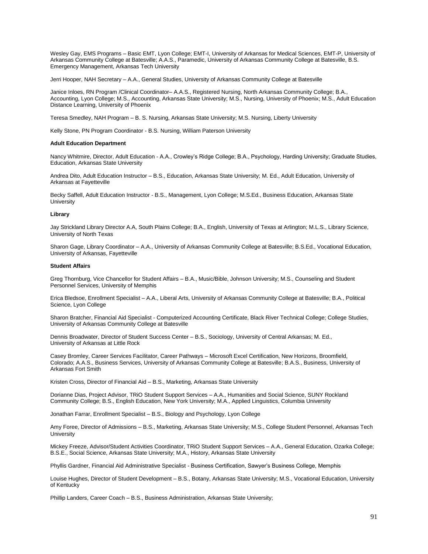Wesley Gay, EMS Programs – Basic EMT, Lyon College; EMT-I, University of Arkansas for Medical Sciences, EMT-P, University of Arkansas Community College at Batesville; A.A.S., Paramedic, University of Arkansas Community College at Batesville, B.S. Emergency Management, Arkansas Tech University

Jerri Hooper, NAH Secretary – A.A., General Studies, University of Arkansas Community College at Batesville

Janice Inloes, RN Program /Clinical Coordinator– A.A.S., Registered Nursing, North Arkansas Community College; B.A., Accounting, Lyon College; M.S., Accounting, Arkansas State University; M.S., Nursing, University of Phoenix; M.S., Adult Education Distance Learning, University of Phoenix

Teresa Smedley, NAH Program – B. S. Nursing, Arkansas State University; M.S. Nursing, Liberty University

Kelly Stone, PN Program Coordinator - B.S. Nursing, William Paterson University

#### **Adult Education Department**

Nancy Whitmire, Director, Adult Education - A.A., Crowley's Ridge College; B.A., Psychology, Harding University; Graduate Studies, Education, Arkansas State University

Andrea Dito, Adult Education Instructor – B.S., Education, Arkansas State University; M. Ed., Adult Education, University of Arkansas at Fayetteville

Becky Saffell, Adult Education Instructor - B.S., Management, Lyon College; M.S.Ed., Business Education, Arkansas State **University** 

#### **Library**

Jay Strickland Library Director A.A, South Plains College; B.A., English, University of Texas at Arlington; M.L.S., Library Science, University of North Texas

Sharon Gage, Library Coordinator – A.A., University of Arkansas Community College at Batesville; B.S.Ed., Vocational Education, University of Arkansas, Fayetteville

#### **Student Affairs**

Greg Thornburg, Vice Chancellor for Student Affairs – B.A., Music/Bible, Johnson University; M.S., Counseling and Student Personnel Services, University of Memphis

Erica Bledsoe, Enrollment Specialist – A.A., Liberal Arts, University of Arkansas Community College at Batesville; B.A., Political Science, Lyon College

Sharon Bratcher, Financial Aid Specialist - Computerized Accounting Certificate, Black River Technical College; College Studies, University of Arkansas Community College at Batesville

Dennis Broadwater, Director of Student Success Center – B.S., Sociology, University of Central Arkansas; M. Ed., University of Arkansas at Little Rock

Casey Bromley, Career Services Facilitator, Career Pathways – Microsoft Excel Certification, New Horizons, Broomfield, Colorado; A.A.S., Business Services, University of Arkansas Community College at Batesville; B.A.S., Business, University of Arkansas Fort Smith

Kristen Cross, Director of Financial Aid – B.S., Marketing, Arkansas State University

Dorianne Dias, Project Advisor, TRiO Student Support Services – A.A., Humanities and Social Science, SUNY Rockland Community College; B.S., English Education, New York University; M.A., Applied Linguistics, Columbia University

Jonathan Farrar, Enrollment Specialist – B.S., Biology and Psychology, Lyon College

Amy Foree, Director of Admissions – B.S., Marketing, Arkansas State University; M.S., College Student Personnel, Arkansas Tech **University** 

Mickey Freeze, Advisor/Student Activities Coordinator, TRiO Student Support Services – A.A., General Education, Ozarka College; B.S.E., Social Science, Arkansas State University; M.A., History, Arkansas State University

Phyllis Gardner, Financial Aid Administrative Specialist - Business Certification, Sawyer's Business College, Memphis

Louise Hughes, Director of Student Development – B.S., Botany, Arkansas State University; M.S., Vocational Education, University of Kentucky

Phillip Landers, Career Coach – B.S., Business Administration, Arkansas State University;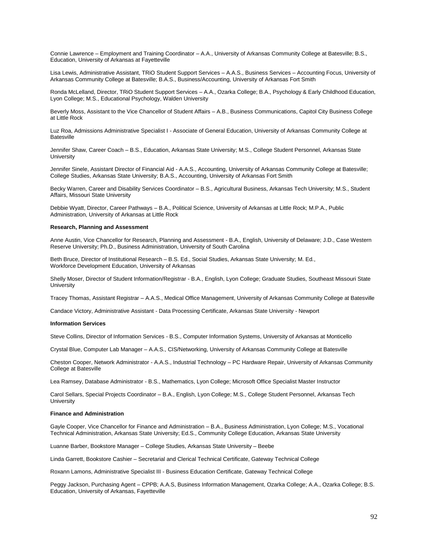Connie Lawrence – Employment and Training Coordinator *–* A.A., University of Arkansas Community College at Batesville; B.S., Education, University of Arkansas at Fayetteville

Lisa Lewis, Administrative Assistant, TRiO Student Support Services – A.A.S., Business Services – Accounting Focus, University of Arkansas Community College at Batesville; B.A.S., Business/Accounting, University of Arkansas Fort Smith

Ronda McLelland, Director, TRiO Student Support Services – A.A., Ozarka College; B.A., Psychology & Early Childhood Education, Lyon College; M.S., Educational Psychology, Walden University

Beverly Moss, Assistant to the Vice Chancellor of Student Affairs – A.B., Business Communications, Capitol City Business College at Little Rock

Luz Roa, Admissions Administrative Specialist I - Associate of General Education, University of Arkansas Community College at Batesville

Jennifer Shaw, Career Coach – B.S., Education, Arkansas State University; M.S., College Student Personnel, Arkansas State **University** 

Jennifer Sinele, Assistant Director of Financial Aid - A.A.S., Accounting, University of Arkansas Community College at Batesville; College Studies, Arkansas State University; B.A.S., Accounting, University of Arkansas Fort Smith

Becky Warren, Career and Disability Services Coordinator – B.S., Agricultural Business, Arkansas Tech University; M.S., Student Affairs, Missouri State University

Debbie Wyatt, Director, Career Pathways – B.A., Political Science, University of Arkansas at Little Rock; M.P.A., Public Administration, University of Arkansas at Little Rock

### **Research, Planning and Assessment**

Anne Austin, Vice Chancellor for Research, Planning and Assessment - B.A., English, University of Delaware; J.D., Case Western Reserve University; Ph.D., Business Administration, University of South Carolina

Beth Bruce, Director of Institutional Research – B.S. Ed., Social Studies, Arkansas State University; M. Ed., Workforce Development Education, University of Arkansas

Shelly Moser, Director of Student Information/Registrar - B.A., English, Lyon College; Graduate Studies, Southeast Missouri State **University** 

Tracey Thomas, Assistant Registrar – A.A.S., Medical Office Management, University of Arkansas Community College at Batesville

Candace Victory, Administrative Assistant - Data Processing Certificate, Arkansas State University - Newport

#### **Information Services**

Steve Collins, Director of Information Services - B.S., Computer Information Systems, University of Arkansas at Monticello

Crystal Blue, Computer Lab Manager – A.A.S., CIS/Networking, University of Arkansas Community College at Batesville

Cheston Cooper, Network Administrator - A.A.S., Industrial Technology – PC Hardware Repair, University of Arkansas Community College at Batesville

Lea Ramsey, Database Administrator - B.S., Mathematics, Lyon College; Microsoft Office Specialist Master Instructor

Carol Sellars, Special Projects Coordinator – B.A., English, Lyon College; M.S., College Student Personnel, Arkansas Tech **University** 

#### **Finance and Administration**

Gayle Cooper, Vice Chancellor for Finance and Administration – B.A., Business Administration, Lyon College; M.S., Vocational Technical Administration, Arkansas State University; Ed.S., Community College Education, Arkansas State University

Luanne Barber, Bookstore Manager – College Studies, Arkansas State University – Beebe

Linda Garrett, Bookstore Cashier – Secretarial and Clerical Technical Certificate, Gateway Technical College

Roxann Lamons, Administrative Specialist III - Business Education Certificate, Gateway Technical College

Peggy Jackson, Purchasing Agent – CPPB; A.A.S, Business Information Management, Ozarka College; A.A., Ozarka College; B.S. Education, University of Arkansas, Fayetteville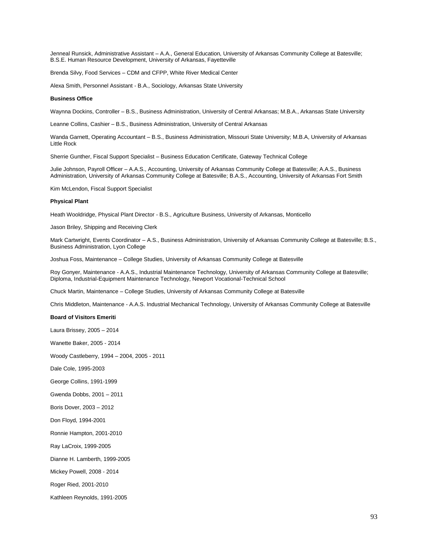Jenneal Runsick, Administrative Assistant – A.A., General Education, University of Arkansas Community College at Batesville; B.S.E. Human Resource Development, University of Arkansas, Fayetteville

Brenda Silvy, Food Services – CDM and CFPP, White River Medical Center

Alexa Smith, Personnel Assistant - B.A., Sociology, Arkansas State University

#### **Business Office**

Waynna Dockins, Controller – B.S., Business Administration, University of Central Arkansas; M.B.A., Arkansas State University

Leanne Collins, Cashier – B.S., Business Administration, University of Central Arkansas

Wanda Garnett, Operating Accountant – B.S., Business Administration, Missouri State University; M.B.A, University of Arkansas Little Rock

Sherrie Gunther, Fiscal Support Specialist – Business Education Certificate, Gateway Technical College

Julie Johnson, Payroll Officer – A.A.S., Accounting, University of Arkansas Community College at Batesville; A.A.S., Business Administration, University of Arkansas Community College at Batesville; B.A.S., Accounting, University of Arkansas Fort Smith

Kim McLendon, Fiscal Support Specialist

#### **Physical Plant**

Heath Wooldridge, Physical Plant Director - B.S., Agriculture Business, University of Arkansas, Monticello

Jason Briley, Shipping and Receiving Clerk

Mark Cartwright, Events Coordinator – A.S., Business Administration, University of Arkansas Community College at Batesville; B.S., Business Administration, Lyon College

Joshua Foss, Maintenance – College Studies, University of Arkansas Community College at Batesville

Roy Gonyer, Maintenance - A.A.S., Industrial Maintenance Technology, University of Arkansas Community College at Batesville; Diploma, Industrial-Equipment Maintenance Technology, Newport Vocational-Technical School

Chuck Martin, Maintenance – College Studies, University of Arkansas Community College at Batesville

Chris Middleton, Maintenance - A.A.S. Industrial Mechanical Technology, University of Arkansas Community College at Batesville

#### **Board of Visitors Emeriti**

Laura Brissey, 2005 – 2014

Wanette Baker, 2005 - 2014

Woody Castleberry, 1994 – 2004, 2005 - 2011

Dale Cole, 1995-2003

George Collins, 1991-1999

Gwenda Dobbs, 2001 – 2011

Boris Dover, 2003 – 2012

Don Floyd, 1994-2001

Ronnie Hampton, 2001-2010

Ray LaCroix, 1999-2005

Dianne H. Lamberth, 1999-2005

Mickey Powell, 2008 - 2014

Roger Ried, 2001-2010

Kathleen Reynolds, 1991-2005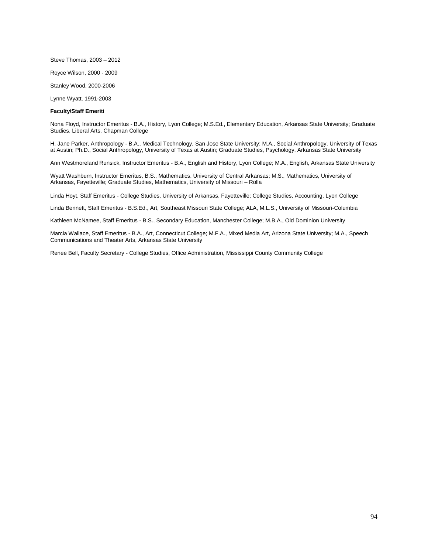Steve Thomas, 2003 – 2012

Royce Wilson, 2000 - 2009

Stanley Wood, 2000-2006

Lynne Wyatt, 1991-2003

### **Faculty/Staff Emeriti**

Nona Floyd, Instructor Emeritus - B.A., History, Lyon College; M.S.Ed., Elementary Education, Arkansas State University; Graduate Studies, Liberal Arts, Chapman College

H. Jane Parker, Anthropology - B.A., Medical Technology, San Jose State University; M.A., Social Anthropology, University of Texas at Austin; Ph.D., Social Anthropology, University of Texas at Austin; Graduate Studies, Psychology, Arkansas State University

Ann Westmoreland Runsick, Instructor Emeritus - B.A., English and History, Lyon College; M.A., English, Arkansas State University

Wyatt Washburn, Instructor Emeritus, B.S., Mathematics, University of Central Arkansas; M.S., Mathematics, University of Arkansas, Fayetteville; Graduate Studies, Mathematics, University of Missouri – Rolla

Linda Hoyt, Staff Emeritus - College Studies, University of Arkansas, Fayetteville; College Studies, Accounting, Lyon College

Linda Bennett, Staff Emeritus - B.S.Ed., Art, Southeast Missouri State College; ALA, M.L.S., University of Missouri-Columbia

Kathleen McNamee, Staff Emeritus - B.S., Secondary Education, Manchester College; M.B.A., Old Dominion University

Marcia Wallace, Staff Emeritus - B.A., Art, Connecticut College; M.F.A., Mixed Media Art, Arizona State University; M.A., Speech Communications and Theater Arts, Arkansas State University

Renee Bell, Faculty Secretary - College Studies, Office Administration, Mississippi County Community College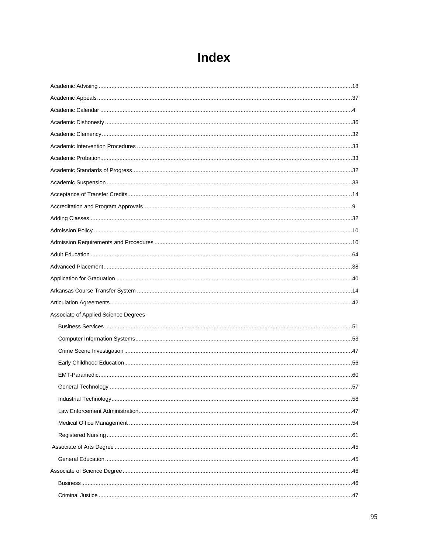| Associate of Applied Science Degrees |  |
|--------------------------------------|--|
|                                      |  |
|                                      |  |
|                                      |  |
|                                      |  |
|                                      |  |
|                                      |  |
|                                      |  |
|                                      |  |
|                                      |  |
|                                      |  |
|                                      |  |
|                                      |  |
|                                      |  |
|                                      |  |
|                                      |  |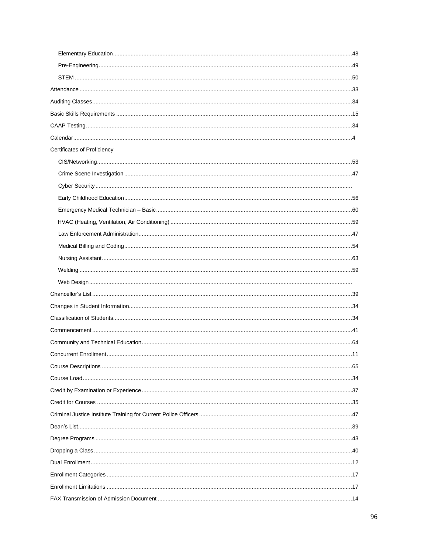| Certificates of Proficiency |  |
|-----------------------------|--|
|                             |  |
|                             |  |
|                             |  |
|                             |  |
|                             |  |
|                             |  |
|                             |  |
|                             |  |
|                             |  |
|                             |  |
|                             |  |
|                             |  |
|                             |  |
|                             |  |
|                             |  |
|                             |  |
|                             |  |
|                             |  |
|                             |  |
|                             |  |
|                             |  |
|                             |  |
|                             |  |
|                             |  |
|                             |  |
|                             |  |
|                             |  |
|                             |  |
|                             |  |